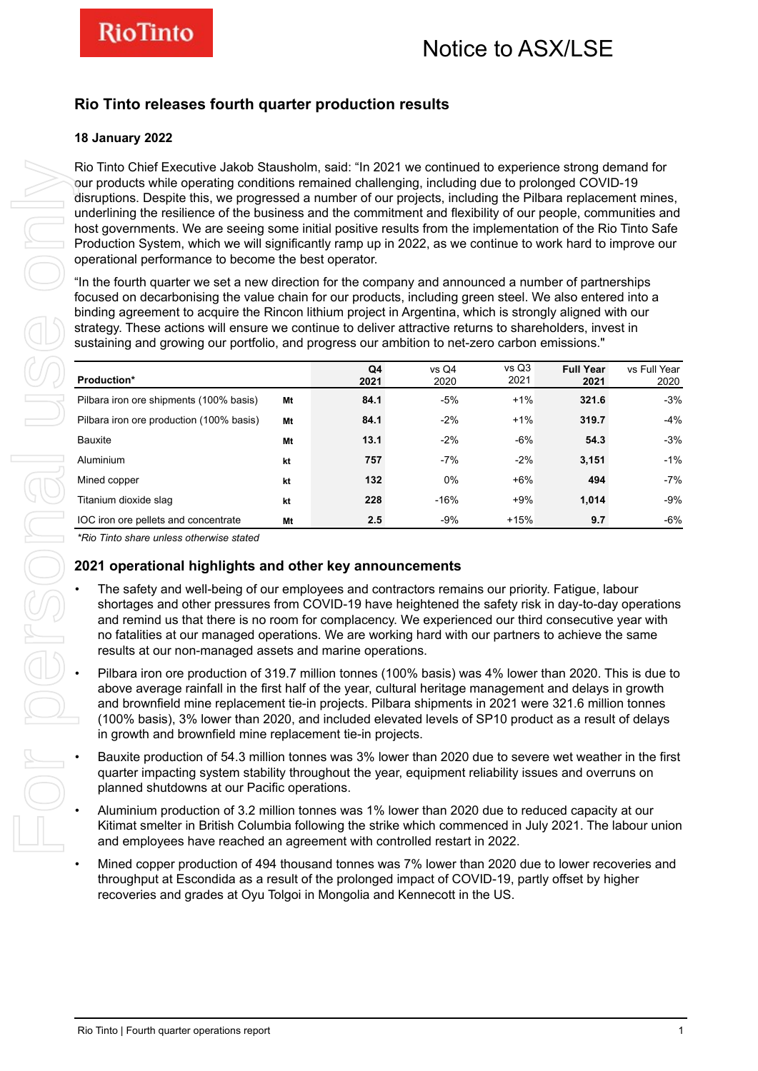### **Rio Tinto releases fourth quarter production results**

### **18 January 2022**

| strategy. These actions will ensure we continue to deliver attractive returns to shareholders, invest in<br>sustaining and growing our portfolio, and progress our ambition to net-zero carbon emissions."                                                                                                                                                                                                                                                                                                                                   |    |              | binding agreement to acquire the Rincon lithium project in Argentina, which is strongly aligned with our |               | focused on decarbonising the value chain for our products, including green steel. We also entered into a |              |
|----------------------------------------------------------------------------------------------------------------------------------------------------------------------------------------------------------------------------------------------------------------------------------------------------------------------------------------------------------------------------------------------------------------------------------------------------------------------------------------------------------------------------------------------|----|--------------|----------------------------------------------------------------------------------------------------------|---------------|----------------------------------------------------------------------------------------------------------|--------------|
| Production*                                                                                                                                                                                                                                                                                                                                                                                                                                                                                                                                  |    | Q4           | vs Q4                                                                                                    | vs Q3<br>2021 | <b>Full Year</b>                                                                                         | vs Full Year |
| Pilbara iron ore shipments (100% basis)                                                                                                                                                                                                                                                                                                                                                                                                                                                                                                      | Mt | 2021<br>84.1 | 2020<br>-5%                                                                                              | $+1\%$        | 2021<br>321.6                                                                                            | 2020<br>-3%  |
| Pilbara iron ore production (100% basis)                                                                                                                                                                                                                                                                                                                                                                                                                                                                                                     | Mt | 84.1         | $-2%$                                                                                                    | $+1%$         | 319.7                                                                                                    | $-4%$        |
| Bauxite                                                                                                                                                                                                                                                                                                                                                                                                                                                                                                                                      | Mt | 13.1         | $-2\%$                                                                                                   | -6%           | 54.3                                                                                                     | $-3%$        |
| Aluminium                                                                                                                                                                                                                                                                                                                                                                                                                                                                                                                                    | kt | 757          | $-7%$                                                                                                    | $-2%$         | 3,151                                                                                                    | $-1%$        |
| Mined copper                                                                                                                                                                                                                                                                                                                                                                                                                                                                                                                                 | kt | 132          | 0%                                                                                                       | $+6%$         | 494                                                                                                      | $-7%$        |
| Titanium dioxide slag                                                                                                                                                                                                                                                                                                                                                                                                                                                                                                                        | kt | 228          | $-16%$                                                                                                   | $+9%$         | 1,014                                                                                                    | $-9%$        |
| IOC iron ore pellets and concentrate                                                                                                                                                                                                                                                                                                                                                                                                                                                                                                         | Mt | 2.5          | -9%                                                                                                      | $+15%$        | 9.7                                                                                                      | $-6%$        |
| 2021 operational highlights and other key announcements<br>The safety and well-being of our employees and contractors remains our priority. Fatigue, labour<br>shortages and other pressures from COVID-19 have heightened the safety risk in day-to-day operations<br>and remind us that there is no room for complacency. We experienced our third consecutive year with<br>no fatalities at our managed operations. We are working hard with our partners to achieve the same<br>results at our non-managed assets and marine operations. |    |              |                                                                                                          |               |                                                                                                          |              |
| Pilbara iron ore production of 319.7 million tonnes (100% basis) was 4% lower than 2020. This is due to<br>above average rainfall in the first half of the year, cultural heritage management and delays in growth<br>and brownfield mine replacement tie-in projects. Pilbara shipments in 2021 were 321.6 million tonnes<br>(100% basis), 3% lower than 2020, and included elevated levels of SP10 product as a result of delays                                                                                                           |    |              |                                                                                                          |               |                                                                                                          |              |
| in growth and brownfield mine replacement tie-in projects.                                                                                                                                                                                                                                                                                                                                                                                                                                                                                   |    |              |                                                                                                          |               |                                                                                                          |              |
| Bauxite production of 54.3 million tonnes was 3% lower than 2020 due to severe wet weather in the first<br>quarter impacting system stability throughout the year, equipment reliability issues and overruns on<br>planned shutdowns at our Pacific operations.                                                                                                                                                                                                                                                                              |    |              |                                                                                                          |               |                                                                                                          |              |
| Aluminium production of 3.2 million tonnes was 1% lower than 2020 due to reduced capacity at our<br>Kitimat smelter in British Columbia following the strike which commenced in July 2021. The labour union<br>and employees have reached an agreement with controlled restart in 2022.                                                                                                                                                                                                                                                      |    |              |                                                                                                          |               |                                                                                                          |              |

### **2021 operational highlights and other key announcements**

- The safety and well-being of our employees and contractors remains our priority. Fatigue, labour shortages and other pressures from COVID-19 have heightened the safety risk in day-to-day operations and remind us that there is no room for complacency. We experienced our third consecutive year with no fatalities at our managed operations. We are working hard with our partners to achieve the same results at our non-managed assets and marine operations.
- Pilbara iron ore production of 319.7 million tonnes (100% basis) was 4% lower than 2020. This is due to above average rainfall in the first half of the year, cultural heritage management and delays in growth and brownfield mine replacement tie-in projects. Pilbara shipments in 2021 were 321.6 million tonnes (100% basis), 3% lower than 2020, and included elevated levels of SP10 product as a result of delays in growth and brownfield mine replacement tie-in projects.
- Bauxite production of 54.3 million tonnes was 3% lower than 2020 due to severe wet weather in the first quarter impacting system stability throughout the year, equipment reliability issues and overruns on planned shutdowns at our Pacific operations.
- Aluminium production of 3.2 million tonnes was 1% lower than 2020 due to reduced capacity at our Kitimat smelter in British Columbia following the strike which commenced in July 2021. The labour union and employees have reached an agreement with controlled restart in 2022.
- Mined copper production of 494 thousand tonnes was 7% lower than 2020 due to lower recoveries and throughput at Escondida as a result of the prolonged impact of COVID-19, partly offset by higher recoveries and grades at Oyu Tolgoi in Mongolia and Kennecott in the US.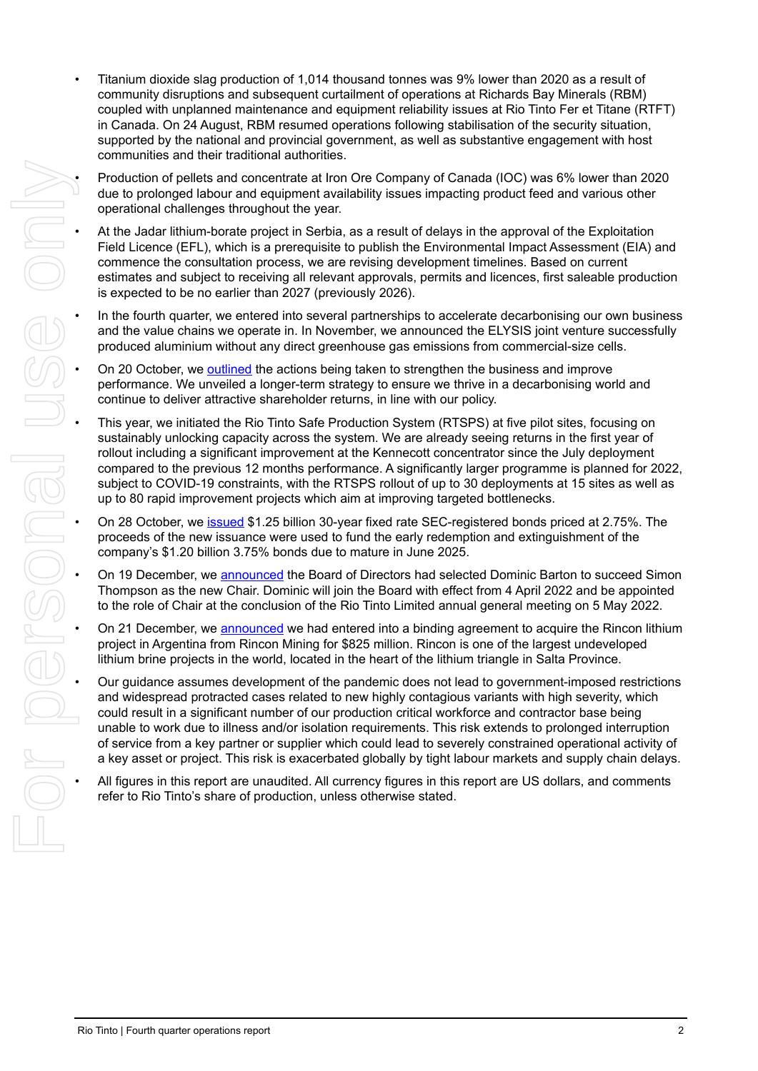- Titanium dioxide slag production of 1,014 thousand tonnes was 9% lower than 2020 as a result of community disruptions and subsequent curtailment of operations at Richards Bay Minerals (RBM) coupled with unplanned maintenance and equipment reliability issues at Rio Tinto Fer et Titane (RTFT) in Canada. On 24 August, RBM resumed operations following stabilisation of the security situation, supported by the national and provincial government, as well as substantive engagement with host communities and their traditional authorities.
- Production of pellets and concentrate at Iron Ore Company of Canada (IOC) was 6% lower than 2020 due to prolonged labour and equipment availability issues impacting product feed and various other operational challenges throughout the year.
- At the Jadar lithium-borate project in Serbia, as a result of delays in the approval of the Exploitation Field Licence (EFL), which is a prerequisite to publish the Environmental Impact Assessment (EIA) and commence the consultation process, we are revising development timelines. Based on current estimates and subject to receiving all relevant approvals, permits and licences, first saleable production is expected to be no earlier than 2027 (previously 2026).
- In the fourth quarter, we entered into several partnerships to accelerate decarbonising our own business and the value chains we operate in. In November, we announced the ELYSIS joint venture successfully produced aluminium without any direct greenhouse gas emissions from commercial-size cells.
- On 20 October, we [outlined](https://www.riotinto.com/news/releases/2021/Rio-Tinto-to-strengthen-performance-decarbonise-and-grow) the actions being taken to strengthen the business and improve performance. We unveiled a longer-term strategy to ensure we thrive in a decarbonising world and continue to deliver attractive shareholder returns, in line with our policy.
- This year, we initiated the Rio Tinto Safe Production System (RTSPS) at five pilot sites, focusing on sustainably unlocking capacity across the system. We are already seeing returns in the first year of rollout including a significant improvement at the Kennecott concentrator since the July deployment compared to the previous 12 months performance. A significantly larger programme is planned for 2022, subject to COVID-19 constraints, with the RTSPS rollout of up to 30 deployments at 15 sites as well as up to 80 rapid improvement projects which aim at improving targeted bottlenecks. Production of persis and competition in the model of Competition and Competition and SNL operation and SNL operation and Competition and Competition and Competition and Competition and Competition and Competition and Compe
	- On 28 October, we [issued](https://www.riotinto.com/news/releases/2021/Rio-Tinto-Finance-USA-Limited-prices-US1,-d-,25-billion-of-30-year-fixed-rate-notes) \$1.25 billion 30-year fixed rate SEC-registered bonds priced at 2.75%. The proceeds of the new issuance were used to fund the early redemption and extinguishment of the company's \$1.20 billion 3.75% bonds due to mature in June 2025.
	- On 19 December, we [announced](https://www.riotinto.com/news/releases/2021/Dominic-Barton-to-succeed-Simon-Thompson-as-Chair) the Board of Directors had selected Dominic Barton to succeed Simon Thompson as the new Chair. Dominic will join the Board with effect from 4 April 2022 and be appointed to the role of Chair at the conclusion of the Rio Tinto Limited annual general meeting on 5 May 2022.
	- On 21 December, we [announced](https://www.riotinto.com/news/releases/2021/Rio-Tinto-to-acquire-Rincon-Mining-lithium-project) we had entered into a binding agreement to acquire the Rincon lithium project in Argentina from Rincon Mining for \$825 million. Rincon is one of the largest undeveloped lithium brine projects in the world, located in the heart of the lithium triangle in Salta Province.
	- Our guidance assumes development of the pandemic does not lead to government-imposed restrictions and widespread protracted cases related to new highly contagious variants with high severity, which could result in a significant number of our production critical workforce and contractor base being unable to work due to illness and/or isolation requirements. This risk extends to prolonged interruption of service from a key partner or supplier which could lead to severely constrained operational activity of a key asset or project. This risk is exacerbated globally by tight labour markets and supply chain delays.
	- All figures in this report are unaudited. All currency figures in this report are US dollars, and comments refer to Rio Tinto's share of production, unless otherwise stated.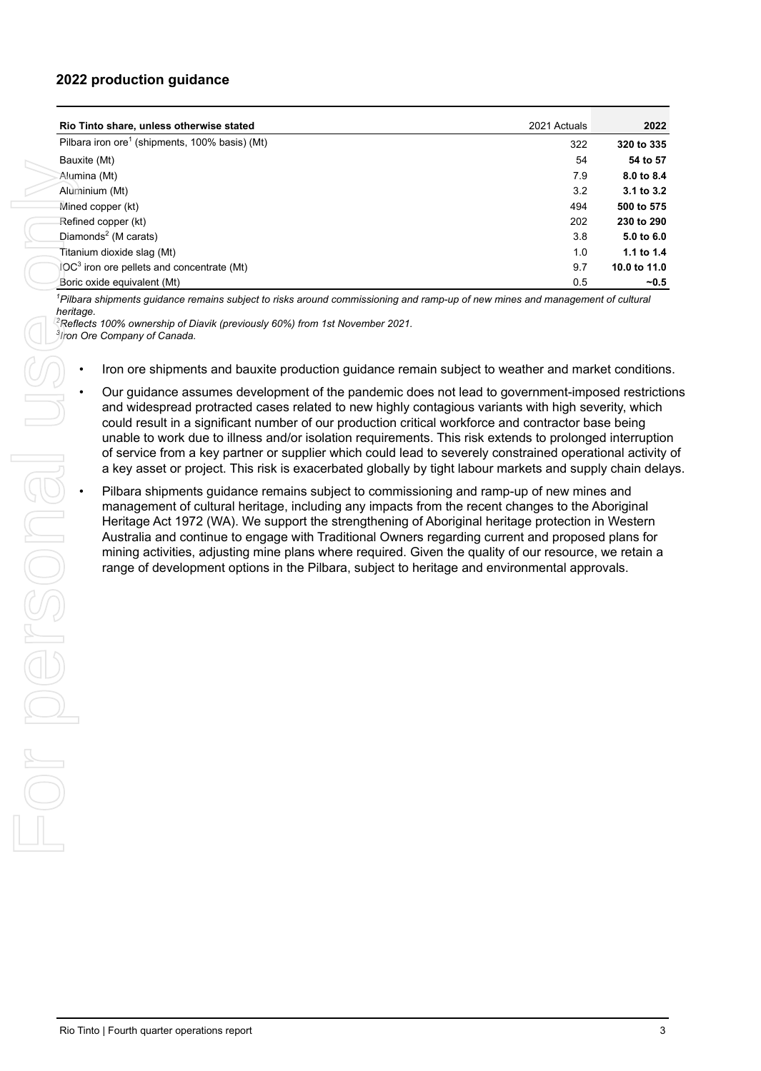### **2022 production guidance**

|                | Rio Tinto share, unless otherwise stated                                                                                                                                                                                                                                                                                                                                                                                                                                                                                                                                                                          | 2021 Actuals | 2022           |
|----------------|-------------------------------------------------------------------------------------------------------------------------------------------------------------------------------------------------------------------------------------------------------------------------------------------------------------------------------------------------------------------------------------------------------------------------------------------------------------------------------------------------------------------------------------------------------------------------------------------------------------------|--------------|----------------|
|                | Pilbara iron ore <sup>1</sup> (shipments, 100% basis) (Mt)                                                                                                                                                                                                                                                                                                                                                                                                                                                                                                                                                        | 322          | 320 to 335     |
| Bauxite (Mt)   |                                                                                                                                                                                                                                                                                                                                                                                                                                                                                                                                                                                                                   | 54           | 54 to 57       |
| Alumina (Mt)   |                                                                                                                                                                                                                                                                                                                                                                                                                                                                                                                                                                                                                   | 7.9          | 8.0 to 8.4     |
| Aluminium (Mt) |                                                                                                                                                                                                                                                                                                                                                                                                                                                                                                                                                                                                                   | 3.2          | 3.1 to 3.2     |
|                | Mined copper (kt)                                                                                                                                                                                                                                                                                                                                                                                                                                                                                                                                                                                                 | 494          | 500 to 575     |
|                | Refined copper (kt)                                                                                                                                                                                                                                                                                                                                                                                                                                                                                                                                                                                               | 202          | 230 to 290     |
|                | Diamonds <sup>2</sup> (M carats)                                                                                                                                                                                                                                                                                                                                                                                                                                                                                                                                                                                  | 3.8          | 5.0 to 6.0     |
|                | Titanium dioxide slag (Mt)                                                                                                                                                                                                                                                                                                                                                                                                                                                                                                                                                                                        | 1.0          | 1.1 to 1.4     |
|                | IOC <sup>3</sup> iron ore pellets and concentrate (Mt)                                                                                                                                                                                                                                                                                                                                                                                                                                                                                                                                                            | 9.7          | 10.0 to 11.0   |
|                | Boric oxide equivalent (Mt)                                                                                                                                                                                                                                                                                                                                                                                                                                                                                                                                                                                       | 0.5          | $-0.5$         |
| heritage.      | <sup>1</sup> Pilbara shipments guidance remains subject to risks around commissioning and ramp-up of new mines and management of cultural<br><sup>2</sup> Reflects 100% ownership of Diavik (previously 60%) from 1st November 2021.<br>3Iron Ore Company of Canada.<br>Iron ore shipments and bauxite production guidance remain subject to weather and market conditions<br>Our guidance assumes development of the pandemic does not lead to government-imposed restriction<br>and widespread protracted cases related to new highly contagious variants with high severity, which                             |              |                |
|                | could result in a significant number of our production critical workforce and contractor base being<br>unable to work due to illness and/or isolation requirements. This risk extends to prolonged interruption<br>of service from a key partner or supplier which could lead to severely constrained operational activity<br>a key asset or project. This risk is exacerbated globally by tight labour markets and supply chain delay                                                                                                                                                                            |              |                |
|                | Pilbara shipments guidance remains subject to commissioning and ramp-up of new mines and<br>management of cultural heritage, including any impacts from the recent changes to the Aboriginal<br>Heritage Act 1972 (WA). We support the strengthening of Aboriginal heritage protection in Western<br>Australia and continue to engage with Traditional Owners regarding current and proposed plans for<br>mining activities, adjusting mine plans where required. Given the quality of our resource, we retain a<br>range of development options in the Pilbara, subject to heritage and environmental approvals. |              |                |
|                |                                                                                                                                                                                                                                                                                                                                                                                                                                                                                                                                                                                                                   |              |                |
|                | Rio Tinto   Fourth quarter operations report                                                                                                                                                                                                                                                                                                                                                                                                                                                                                                                                                                      |              | 3 <sup>1</sup> |

- Iron ore shipments and bauxite production guidance remain subject to weather and market conditions.
- Our guidance assumes development of the pandemic does not lead to government-imposed restrictions and widespread protracted cases related to new highly contagious variants with high severity, which could result in a significant number of our production critical workforce and contractor base being unable to work due to illness and/or isolation requirements. This risk extends to prolonged interruption of service from a key partner or supplier which could lead to severely constrained operational activity of a key asset or project. This risk is exacerbated globally by tight labour markets and supply chain delays.
- Follow the asymple can't number of our production critical workforce and contractor case being of service from a key partner or supplier which could lead to severely constrained operational a lease asset or project. This r management of cultural heritage, including any impacts from the recent changes to the Aboriginal Heritage Act 1972 (WA). We support the strengthening of Aboriginal heritage protection in Western Australia and continue to engage with Traditional Owners regarding current and proposed plans for mining activities, adjusting mine plans where required. Given the quality of our resource, we retain a range of development options in the Pilbara, subject to heritage and environmental approvals.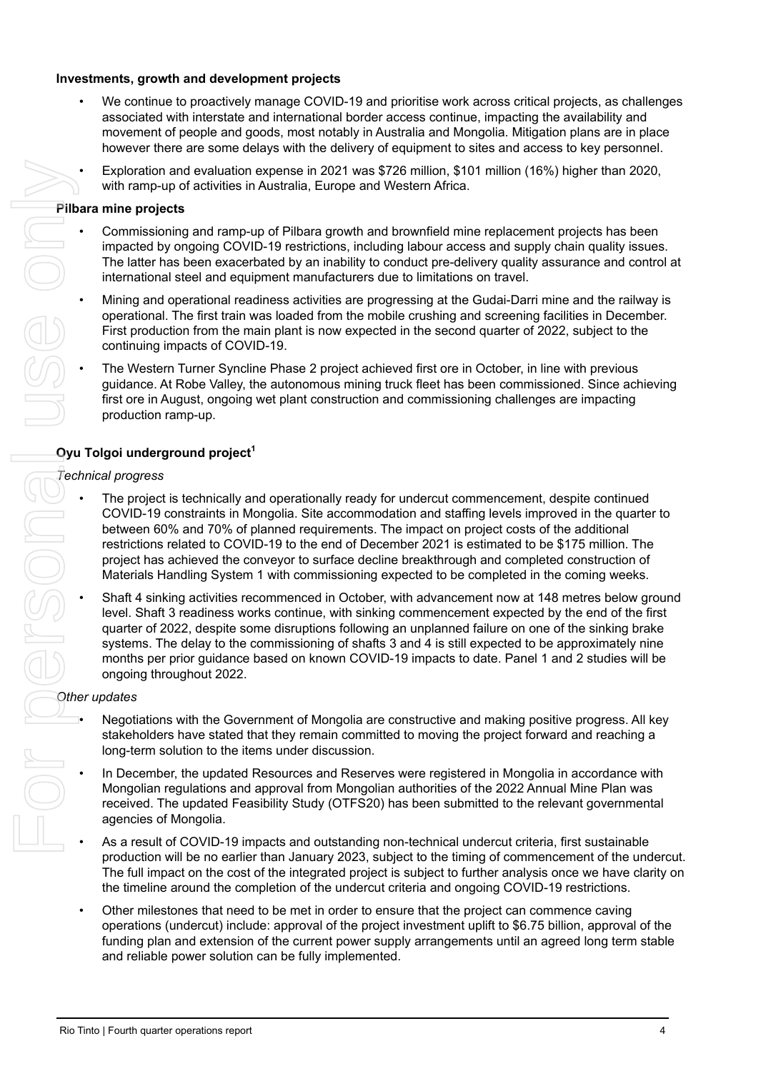#### **Investments, growth and development projects**

- We continue to proactively manage COVID-19 and prioritise work across critical projects, as challenges associated with interstate and international border access continue, impacting the availability and movement of people and goods, most notably in Australia and Mongolia. Mitigation plans are in place however there are some delays with the delivery of equipment to sites and access to key personnel.
- Exploration and evaluation expense in 2021 was \$726 million, \$101 million (16%) higher than 2020, with ramp-up of activities in Australia, Europe and Western Africa.

#### **Pilbara mine projects**

- Commissioning and ramp-up of Pilbara growth and brownfield mine replacement projects has been impacted by ongoing COVID-19 restrictions, including labour access and supply chain quality issues. The latter has been exacerbated by an inability to conduct pre-delivery quality assurance and control at international steel and equipment manufacturers due to limitations on travel.
- Mining and operational readiness activities are progressing at the Gudai-Darri mine and the railway is operational. The first train was loaded from the mobile crushing and screening facilities in December. First production from the main plant is now expected in the second quarter of 2022, subject to the continuing impacts of COVID-19.
- The Western Turner Syncline Phase 2 project achieved first ore in October, in line with previous guidance. At Robe Valley, the autonomous mining truck fleet has been commissioned. Since achieving first ore in August, ongoing wet plant construction and commissioning challenges are impacting production ramp-up.

### **Oyu Tolgoi underground project<sup>1</sup>**

### *Technical progress*

- The project is technically and operationally ready for undercut commencement, despite continued COVID-19 constraints in Mongolia. Site accommodation and staffing levels improved in the quarter to between 60% and 70% of planned requirements. The impact on project costs of the additional restrictions related to COVID-19 to the end of December 2021 is estimated to be \$175 million. The project has achieved the conveyor to surface decline breakthrough and completed construction of Materials Handling System 1 with commissioning expected to be completed in the coming weeks. From the interesting of the most interesting the most interesting to the filling of the interesting pair and the interesting of the interesting pair and the interesting of the interesting of the interesting pair denote th
	- Shaft 4 sinking activities recommenced in October, with advancement now at 148 metres below ground level. Shaft 3 readiness works continue, with sinking commencement expected by the end of the first quarter of 2022, despite some disruptions following an unplanned failure on one of the sinking brake systems. The delay to the commissioning of shafts 3 and 4 is still expected to be approximately nine months per prior guidance based on known COVID-19 impacts to date. Panel 1 and 2 studies will be ongoing throughout 2022.

### *Other updates*

- Negotiations with the Government of Mongolia are constructive and making positive progress. All key stakeholders have stated that they remain committed to moving the project forward and reaching a long-term solution to the items under discussion.
- In December, the updated Resources and Reserves were registered in Mongolia in accordance with Mongolian regulations and approval from Mongolian authorities of the 2022 Annual Mine Plan was received. The updated Feasibility Study (OTFS20) has been submitted to the relevant governmental agencies of Mongolia.
- As a result of COVID-19 impacts and outstanding non-technical undercut criteria, first sustainable production will be no earlier than January 2023, subject to the timing of commencement of the undercut. The full impact on the cost of the integrated project is subject to further analysis once we have clarity on the timeline around the completion of the undercut criteria and ongoing COVID-19 restrictions.
- Other milestones that need to be met in order to ensure that the project can commence caving operations (undercut) include: approval of the project investment uplift to \$6.75 billion, approval of the funding plan and extension of the current power supply arrangements until an agreed long term stable and reliable power solution can be fully implemented.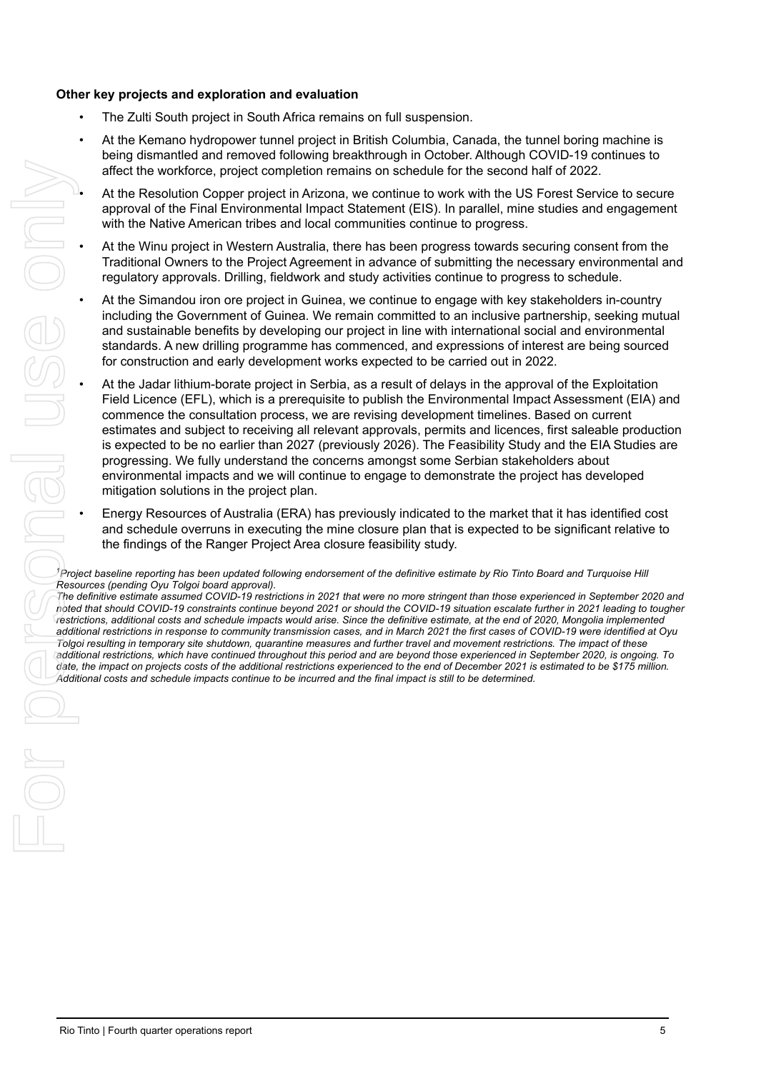#### **Other key projects and exploration and evaluation**

- The Zulti South project in South Africa remains on full suspension.
- At the Kemano hydropower tunnel project in British Columbia, Canada, the tunnel boring machine is being dismantled and removed following breakthrough in October. Although COVID-19 continues to affect the workforce, project completion remains on schedule for the second half of 2022.
- At the Resolution Copper project in Arizona, we continue to work with the US Forest Service to secure approval of the Final Environmental Impact Statement (EIS). In parallel, mine studies and engagement with the Native American tribes and local communities continue to progress.
- At the Winu project in Western Australia, there has been progress towards securing consent from the Traditional Owners to the Project Agreement in advance of submitting the necessary environmental and regulatory approvals. Drilling, fieldwork and study activities continue to progress to schedule.
- At the Simandou iron ore project in Guinea, we continue to engage with key stakeholders in-country including the Government of Guinea. We remain committed to an inclusive partnership, seeking mutual and sustainable benefits by developing our project in line with international social and environmental standards. A new drilling programme has commenced, and expressions of interest are being sourced for construction and early development works expected to be carried out in 2022.
- At the Jadar lithium-borate project in Serbia, as a result of delays in the approval of the Exploitation Field Licence (EFL), which is a prerequisite to publish the Environmental Impact Assessment (EIA) and commence the consultation process, we are revising development timelines. Based on current estimates and subject to receiving all relevant approvals, permits and licences, first saleable production is expected to be no earlier than 2027 (previously 2026). The Feasibility Study and the EIA Studies are progressing. We fully understand the concerns amongst some Serbian stakeholders about environmental impacts and we will continue to engage to demonstrate the project has developed mitigation solutions in the project plan. Rio The Vietname Train (Fourth control of the fourth control of the second to the Second to the Fourth control of the Fourth control of the Fourth control of the Fourth control of the Fourth control of the Fourth control o
	- Energy Resources of Australia (ERA) has previously indicated to the market that it has identified cost and schedule overruns in executing the mine closure plan that is expected to be significant relative to the findings of the Ranger Project Area closure feasibility study.

*<sup>1</sup>Project baseline reporting has been updated following endorsement of the definitive estimate by Rio Tinto Board and Turquoise Hill Resources (pending Oyu Tolgoi board approval).*

*The definitive estimate assumed COVID-19 restrictions in 2021 that were no more stringent than those experienced in September 2020 and noted that should COVID-19 constraints continue beyond 2021 or should the COVID-19 situation escalate further in 2021 leading to tougher restrictions, additional costs and schedule impacts would arise. Since the definitive estimate, at the end of 2020, Mongolia implemented additional restrictions in response to community transmission cases, and in March 2021 the first cases of COVID-19 were identified at Oyu Tolgoi resulting in temporary site shutdown, quarantine measures and further travel and movement restrictions. The impact of these additional restrictions, which have continued throughout this period and are beyond those experienced in September 2020, is ongoing. To date, the impact on projects costs of the additional restrictions experienced to the end of December 2021 is estimated to be \$175 million. Additional costs and schedule impacts continue to be incurred and the final impact is still to be determined.*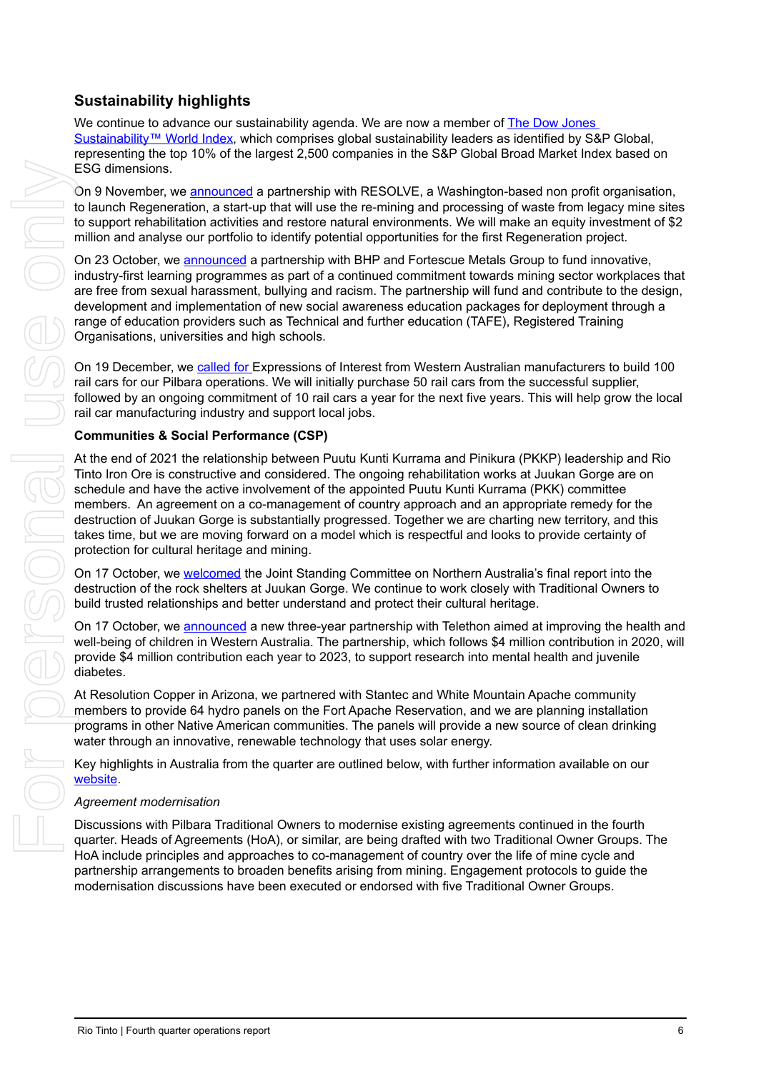### **Sustainability highlights**

We continue to advance our sustainability agenda. We are now a member of [The Dow Jones](https://www.spglobal.com/spdji/en/indices/esg/dow-jones-sustainability-world-index/#overview)  [Sustainability™ World Index](https://www.spglobal.com/spdji/en/indices/esg/dow-jones-sustainability-world-index/#overview), which comprises global sustainability leaders as identified by S&P Global, representing the top 10% of the largest 2,500 companies in the S&P Global Broad Market Index based on ESG dimensions.

On 9 November, we [announced](https://www.riotinto.com/news/releases/2021/Rio-Tinto-invests-in-start-up-to-support-habitat-restoration-final) a partnership with RESOLVE, a Washington-based non profit organisation, to launch Regeneration, a start-up that will use the re-mining and processing of waste from legacy mine sites to support rehabilitation activities and restore natural environments. We will make an equity investment of \$2 million and analyse our portfolio to identify potential opportunities for the first Regeneration project.

On 23 October, we [announced](https://www.riotinto.com/news/releases/2021/Rio-Tinto-BHP-and-Fortescue-Collaborate-on-New-Learning-Programs-to-Create-Safer-Workplaces) a partnership with BHP and Fortescue Metals Group to fund innovative, industry-first learning programmes as part of a continued commitment towards mining sector workplaces that are free from sexual harassment, bullying and racism. The partnership will fund and contribute to the design, development and implementation of new social awareness education packages for deployment through a range of education providers such as Technical and further education (TAFE), Registered Training Organisations, universities and high schools.

On 19 December, we [called for](https://www.riotinto.com/news/releases/2021/Rio-Tinto-puts-call-out-to-WA-manufacturers-to-build-iron-ore-rail-cars) Expressions of Interest from Western Australian manufacturers to build 100 rail cars for our Pilbara operations. We will initially purchase 50 rail cars from the successful supplier, followed by an ongoing commitment of 10 rail cars a year for the next five years. This will help grow the local rail car manufacturing industry and support local jobs.

#### **Communities & Social Performance (CSP)**

At the end of 2021 the relationship between Puutu Kunti Kurrama and Pinikura (PKKP) leadership and Rio Tinto Iron Ore is constructive and considered. The ongoing rehabilitation works at Juukan Gorge are on schedule and have the active involvement of the appointed Puutu Kunti Kurrama (PKK) committee members. An agreement on a co-management of country approach and an appropriate remedy for the destruction of Juukan Gorge is substantially progressed. Together we are charting new territory, and this takes time, but we are moving forward on a model which is respectful and looks to provide certainty of protection for cultural heritage and mining. ES de dimensions, we are constrained to personal paid in RESOLVE, a Washington based men profit organizations<br>to the more fregrencients respectively to the forest mention and processing of weak in the personal use only and

On 17 October, we [welcomed](https://www.riotinto.com/news/releases/2021/Rio-Tinto-Statement-on-Joint-Standing-Committee-on-Northern-Australia-Report) the Joint Standing Committee on Northern Australia's final report into the destruction of the rock shelters at Juukan Gorge. We continue to work closely with Traditional Owners to build trusted relationships and better understand and protect their cultural heritage.

On 17 October, we [announced](https://www.riotinto.com/news/releases/2021/Rio-Tinto-announces-12-million-dollar-Telethon-partnership) a new three-year partnership with Telethon aimed at improving the health and well-being of children in Western Australia. The partnership, which follows \$4 million contribution in 2020, will provide \$4 million contribution each year to 2023, to support research into mental health and juvenile diabetes.

At Resolution Copper in Arizona, we partnered with Stantec and White Mountain Apache community members to provide 64 hydro panels on the Fort Apache Reservation, and we are planning installation programs in other Native American communities. The panels will provide a new source of clean drinking water through an innovative, renewable technology that uses solar energy.

Key highlights in Australia from the quarter are outlined below, with further information available on our [website](https://www.riotinto.com/sustainability/communities).

#### *Agreement modernisation*

Discussions with Pilbara Traditional Owners to modernise existing agreements continued in the fourth quarter. Heads of Agreements (HoA), or similar, are being drafted with two Traditional Owner Groups. The HoA include principles and approaches to co-management of country over the life of mine cycle and partnership arrangements to broaden benefits arising from mining. Engagement protocols to guide the modernisation discussions have been executed or endorsed with five Traditional Owner Groups.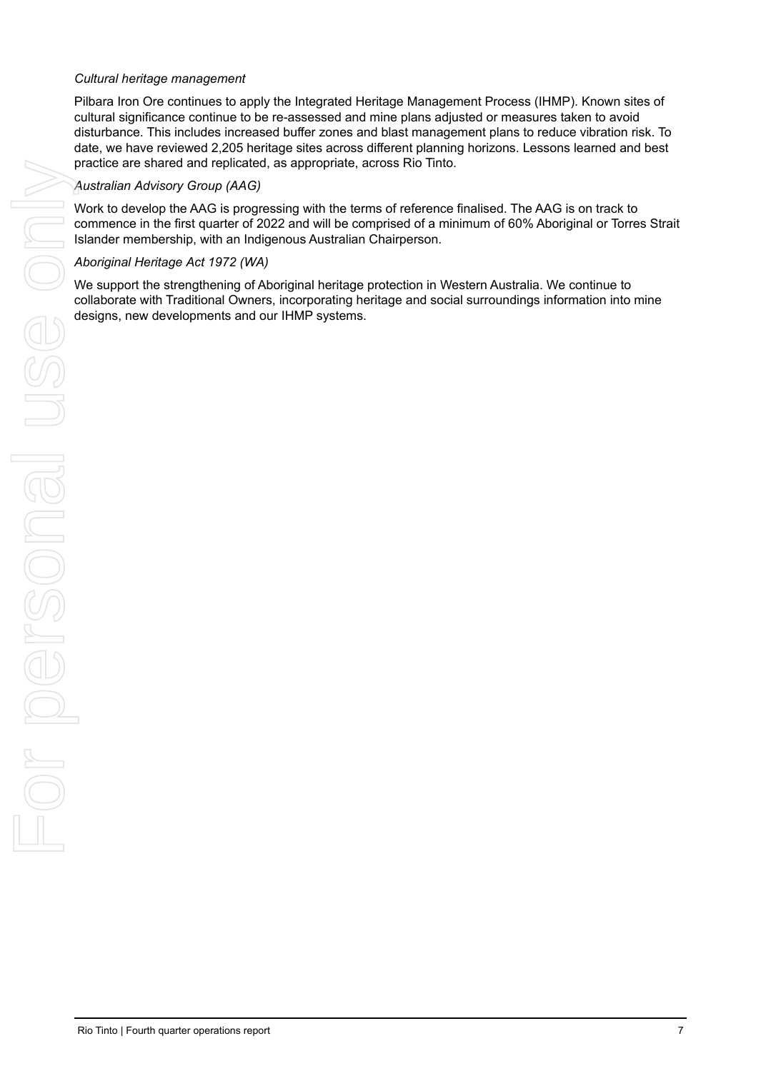#### *Cultural heritage management*

Pilbara Iron Ore continues to apply the Integrated Heritage Management Process (IHMP). Known sites of cultural significance continue to be re-assessed and mine plans adjusted or measures taken to avoid disturbance. This includes increased buffer zones and blast management plans to reduce vibration risk. To date, we have reviewed 2,205 heritage sites across different planning horizons. Lessons learned and best practice are shared and replicated, as appropriate, across Rio Tinto.

#### *Australian Advisory Group (AAG)*

Work to develop the AAG is progressing with the terms of reference finalised. The AAG is on track to commence in the first quarter of 2022 and will be comprised of a minimum of 60% Aboriginal or Torres Strait Islander membership, with an Indigenous Australian Chairperson.

We support the strengthening of Aboriginal heritage protection in Western Australia. We continue to collaborate with Traditional Owners, incorporating heritage and social surroundings information into mine designs, new developments and our IHMP systems.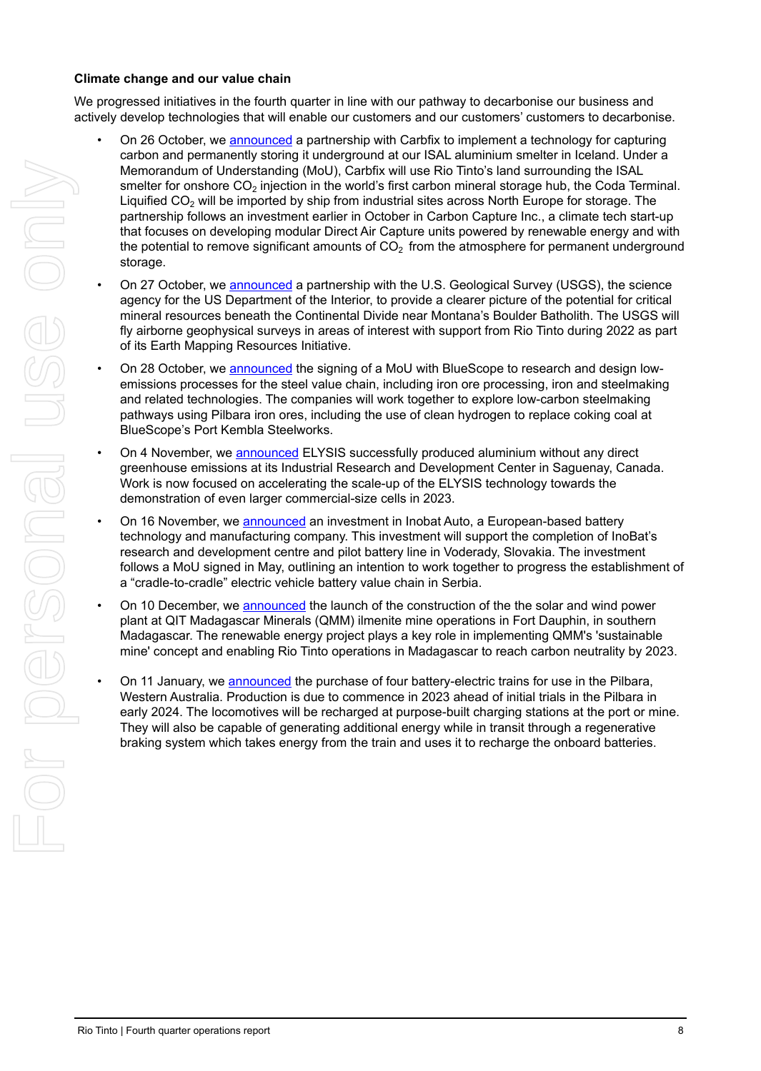#### **Climate change and our value chain**

We progressed initiatives in the fourth quarter in line with our pathway to decarbonise our business and actively develop technologies that will enable our customers and our customers' customers to decarbonise.

- On 26 October, we [announced](https://www.riotinto.com/news/releases/2021/Rio-Tinto-and-Carbfix-partner-for-carbon-capture-and-storage) a partnership with Carbfix to implement a technology for capturing carbon and permanently storing it underground at our ISAL aluminium smelter in Iceland. Under a Memorandum of Understanding (MoU), Carbfix will use Rio Tinto's land surrounding the ISAL smelter for onshore  $CO<sub>2</sub>$  injection in the world's first carbon mineral storage hub, the Coda Terminal. Liquified  $CO<sub>2</sub>$  will be imported by ship from industrial sites across North Europe for storage. The partnership follows an investment earlier in October in Carbon Capture Inc., a climate tech start-up that focuses on developing modular Direct Air Capture units powered by renewable energy and with the potential to remove significant amounts of  $CO<sub>2</sub>$  from the atmosphere for permanent underground storage. Riomannia of the interest of the content of the interest of the interest of the interest of the interest of the interest of the interest of the interest of the interest of the interest of the interest of the interest only
	- On 27 October, we [announced](https://www.riotinto.com/news/releases/2021/USGS-and-Rio-Tinto-Partner-to-Survey-for-Critical-Minerals-in-Southwest-Montana) a partnership with the U.S. Geological Survey (USGS), the science agency for the US Department of the Interior, to provide a clearer picture of the potential for critical mineral resources beneath the Continental Divide near Montana's Boulder Batholith. The USGS will fly airborne geophysical surveys in areas of interest with support from Rio Tinto during 2022 as part of its Earth Mapping Resources Initiative.
	- On 28 October, we [announced](https://www.riotinto.com/news/releases/2021/Rio-Tinto-and-BlueScope-to-explore-low-carbon-steelmaking-pathways) the signing of a MoU with BlueScope to research and design lowemissions processes for the steel value chain, including iron ore processing, iron and steelmaking and related technologies. The companies will work together to explore low-carbon steelmaking pathways using Pilbara iron ores, including the use of clean hydrogen to replace coking coal at BlueScope's Port Kembla Steelworks.
	- On 4 November, we [announced](https://www.riotinto.com/news/releases/2021/Carbon-free-aluminium-smelting-a-step-closer-ELYSIS-advances-commercial-demonstration-and-operates-at-industrial-scale) ELYSIS successfully produced aluminium without any direct greenhouse emissions at its Industrial Research and Development Center in Saguenay, Canada. Work is now focused on accelerating the scale-up of the ELYSIS technology towards the demonstration of even larger commercial-size cells in 2023.
	- On 16 November, we [announced](https://www.riotinto.com/news/releases/2021/Rio-Tinto-invests-in-InoBat) an investment in Inobat Auto, a European-based battery technology and manufacturing company. This investment will support the completion of InoBat's research and development centre and pilot battery line in Voderady, Slovakia. The investment follows a MoU signed in May, outlining an intention to work together to progress the establishment of a "cradle-to-cradle" electric vehicle battery value chain in Serbia.
	- On 10 December, we [announced](https://www.riotinto.com/news/releases/2021/Rio-Tinto-QMM-Launches-the-Construction-of-Its-Renewable-Energy-Project) the launch of the construction of the the solar and wind power plant at QIT Madagascar Minerals (QMM) ilmenite mine operations in Fort Dauphin, in southern Madagascar. The renewable energy project plays a key role in implementing QMM's 'sustainable mine' concept and enabling Rio Tinto operations in Madagascar to reach carbon neutrality by 2023.
	- On 11 January, we [announced](https://eu.wdesk.com/a/QWNjb3VudB82MDAyNjEwNzMxNDgzMTM2/doc/db93549acf894032ae49229785a89508/r/-1/v/1/sec/db93549acf894032ae49229785a89508_7) the purchase of four battery-electric trains for use in the Pilbara, Western Australia. Production is due to commence in 2023 ahead of initial trials in the Pilbara in early 2024. The locomotives will be recharged at purpose-built charging stations at the port or mine. They will also be capable of generating additional energy while in transit through a regenerative braking system which takes energy from the train and uses it to recharge the onboard batteries.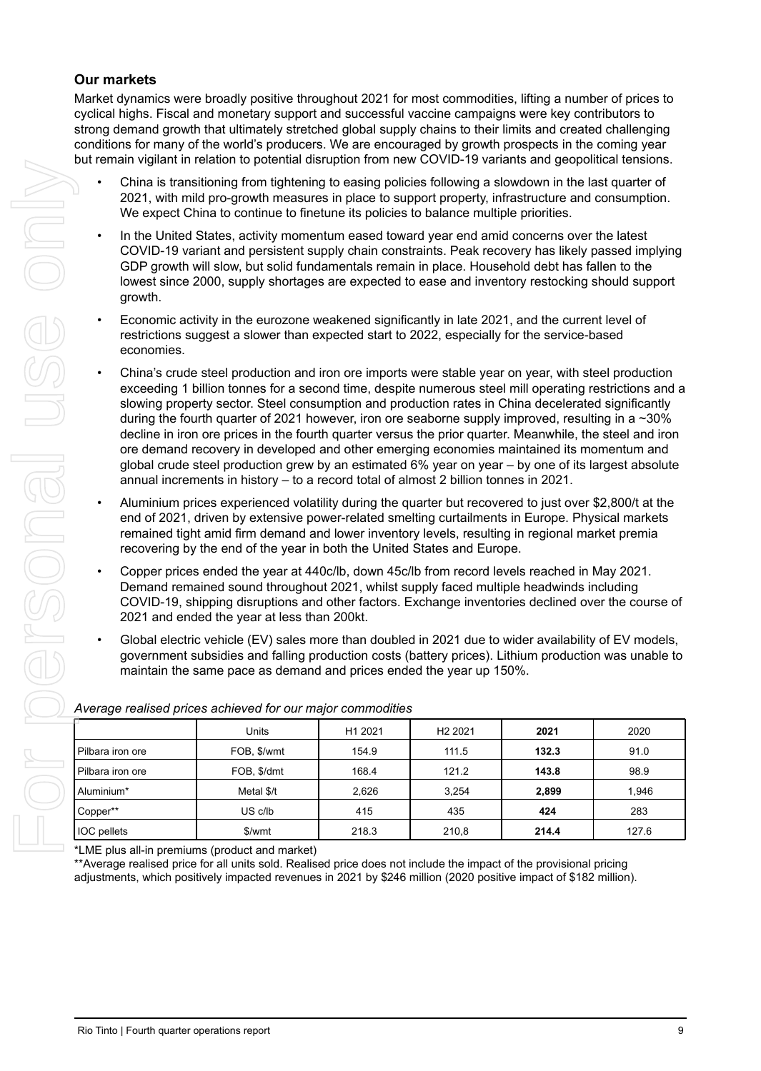### **Our markets**

Market dynamics were broadly positive throughout 2021 for most commodities, lifting a number of prices to cyclical highs. Fiscal and monetary support and successful vaccine campaigns were key contributors to strong demand growth that ultimately stretched global supply chains to their limits and created challenging conditions for many of the world's producers. We are encouraged by growth prospects in the coming year but remain vigilant in relation to potential disruption from new COVID-19 variants and geopolitical tensions.

- China is transitioning from tightening to easing policies following a slowdown in the last quarter of 2021, with mild pro-growth measures in place to support property, infrastructure and consumption. We expect China to continue to finetune its policies to balance multiple priorities.
- In the United States, activity momentum eased toward year end amid concerns over the latest COVID-19 variant and persistent supply chain constraints. Peak recovery has likely passed implying GDP growth will slow, but solid fundamentals remain in place. Household debt has fallen to the lowest since 2000, supply shortages are expected to ease and inventory restocking should support growth.
- Economic activity in the eurozone weakened significantly in late 2021, and the current level of restrictions suggest a slower than expected start to 2022, especially for the service-based economies.
- China's crude steel production and iron ore imports were stable year on year, with steel production exceeding 1 billion tonnes for a second time, despite numerous steel mill operating restrictions and a slowing property sector. Steel consumption and production rates in China decelerated significantly during the fourth quarter of 2021 however, iron ore seaborne supply improved, resulting in a ~30% decline in iron ore prices in the fourth quarter versus the prior quarter. Meanwhile, the steel and iron ore demand recovery in developed and other emerging economies maintained its momentum and global crude steel production grew by an estimated 6% year on year – by one of its largest absolute annual increments in history – to a record total of almost 2 billion tonnes in 2021.
- Aluminium prices experienced volatility during the quarter but recovered to just over \$2,800/t at the end of 2021, driven by extensive power-related smelting curtailments in Europe. Physical markets remained tight amid firm demand and lower inventory levels, resulting in regional market premia recovering by the end of the year in both the United States and Europe.
- Copper prices ended the year at 440c/lb, down 45c/lb from record levels reached in May 2021. Demand remained sound throughout 2021, whilst supply faced multiple headwinds including COVID-19, shipping disruptions and other factors. Exchange inventories declined over the course of 2021 and ended the year at less than 200kt.
- Global electric vehicle (EV) sales more than doubled in 2021 due to wider availability of EV models, government subsidies and falling production costs (battery prices). Lithium production was unable to maintain the same pace as demand and prices ended the year up 150%.

|                                              | but romain vigilant in rolation to potential disruption nominow OO viD To vanants and geopolitical tensions.                                                                                                                                                                                                                                                                                                                                                                                                                                                                                                                                                                                                                                                                                                                     |         |                     |       |       |
|----------------------------------------------|----------------------------------------------------------------------------------------------------------------------------------------------------------------------------------------------------------------------------------------------------------------------------------------------------------------------------------------------------------------------------------------------------------------------------------------------------------------------------------------------------------------------------------------------------------------------------------------------------------------------------------------------------------------------------------------------------------------------------------------------------------------------------------------------------------------------------------|---------|---------------------|-------|-------|
|                                              | China is transitioning from tightening to easing policies following a slowdown in the last quarter of<br>2021, with mild pro-growth measures in place to support property, infrastructure and consumption.<br>We expect China to continue to finetune its policies to balance multiple priorities.                                                                                                                                                                                                                                                                                                                                                                                                                                                                                                                               |         |                     |       |       |
| $\bullet$<br>growth.                         | In the United States, activity momentum eased toward year end amid concerns over the latest<br>COVID-19 variant and persistent supply chain constraints. Peak recovery has likely passed implying<br>GDP growth will slow, but solid fundamentals remain in place. Household debt has fallen to the<br>lowest since 2000, supply shortages are expected to ease and inventory restocking should support                                                                                                                                                                                                                                                                                                                                                                                                                          |         |                     |       |       |
| $\bullet$<br>economies.                      | Economic activity in the eurozone weakened significantly in late 2021, and the current level of<br>restrictions suggest a slower than expected start to 2022, especially for the service-based                                                                                                                                                                                                                                                                                                                                                                                                                                                                                                                                                                                                                                   |         |                     |       |       |
| $\bullet$                                    | China's crude steel production and iron ore imports were stable year on year, with steel production<br>exceeding 1 billion tonnes for a second time, despite numerous steel mill operating restrictions and a<br>slowing property sector. Steel consumption and production rates in China decelerated significantly<br>during the fourth quarter of 2021 however, iron ore seaborne supply improved, resulting in a ~30%<br>decline in iron ore prices in the fourth quarter versus the prior quarter. Meanwhile, the steel and iron<br>ore demand recovery in developed and other emerging economies maintained its momentum and<br>global crude steel production grew by an estimated 6% year on year - by one of its largest absolute<br>annual increments in history - to a record total of almost 2 billion tonnes in 2021. |         |                     |       |       |
| $\bullet$                                    | Aluminium prices experienced volatility during the quarter but recovered to just over \$2,800/t at the<br>end of 2021, driven by extensive power-related smelting curtailments in Europe. Physical markets<br>remained tight amid firm demand and lower inventory levels, resulting in regional market premia<br>recovering by the end of the year in both the United States and Europe.                                                                                                                                                                                                                                                                                                                                                                                                                                         |         |                     |       |       |
| $\bullet$                                    | Copper prices ended the year at 440c/lb, down 45c/lb from record levels reached in May 2021.<br>Demand remained sound throughout 2021, whilst supply faced multiple headwinds including<br>COVID-19, shipping disruptions and other factors. Exchange inventories declined over the course of<br>2021 and ended the year at less than 200kt.                                                                                                                                                                                                                                                                                                                                                                                                                                                                                     |         |                     |       |       |
| $\bullet$                                    | Global electric vehicle (EV) sales more than doubled in 2021 due to wider availability of EV models,<br>government subsidies and falling production costs (battery prices). Lithium production was unable to<br>maintain the same pace as demand and prices ended the year up 150%.                                                                                                                                                                                                                                                                                                                                                                                                                                                                                                                                              |         |                     |       |       |
|                                              | Average realised prices achieved for our major commodities                                                                                                                                                                                                                                                                                                                                                                                                                                                                                                                                                                                                                                                                                                                                                                       |         |                     |       |       |
|                                              | Units                                                                                                                                                                                                                                                                                                                                                                                                                                                                                                                                                                                                                                                                                                                                                                                                                            | H1 2021 | H <sub>2</sub> 2021 | 2021  | 2020  |
| Pilbara iron ore                             | FOB, \$/wmt                                                                                                                                                                                                                                                                                                                                                                                                                                                                                                                                                                                                                                                                                                                                                                                                                      | 154.9   | 111.5               | 132.3 | 91.0  |
| Pilbara iron ore                             | FOB, \$/dmt                                                                                                                                                                                                                                                                                                                                                                                                                                                                                                                                                                                                                                                                                                                                                                                                                      | 168.4   | 121.2               | 143.8 | 98.9  |
| Aluminium*                                   | Metal \$/t                                                                                                                                                                                                                                                                                                                                                                                                                                                                                                                                                                                                                                                                                                                                                                                                                       | 2,626   | 3,254               | 2,899 | 1,946 |
| Copper**                                     | US c/lb                                                                                                                                                                                                                                                                                                                                                                                                                                                                                                                                                                                                                                                                                                                                                                                                                          | 415     | 435                 | 424   | 283   |
| IOC pellets                                  | \$/wmt                                                                                                                                                                                                                                                                                                                                                                                                                                                                                                                                                                                                                                                                                                                                                                                                                           | 218.3   | 210,8               | 214.4 | 127.6 |
|                                              | *LME plus all-in premiums (product and market)<br>** Average realised price for all units sold. Realised price does not include the impact of the provisional pricing<br>adjustments, which positively impacted revenues in 2021 by \$246 million (2020 positive impact of \$182 million).                                                                                                                                                                                                                                                                                                                                                                                                                                                                                                                                       |         |                     |       |       |
| Rio Tinto   Fourth quarter operations report |                                                                                                                                                                                                                                                                                                                                                                                                                                                                                                                                                                                                                                                                                                                                                                                                                                  |         |                     |       | 9     |

### *Average realised prices achieved for our major commodities*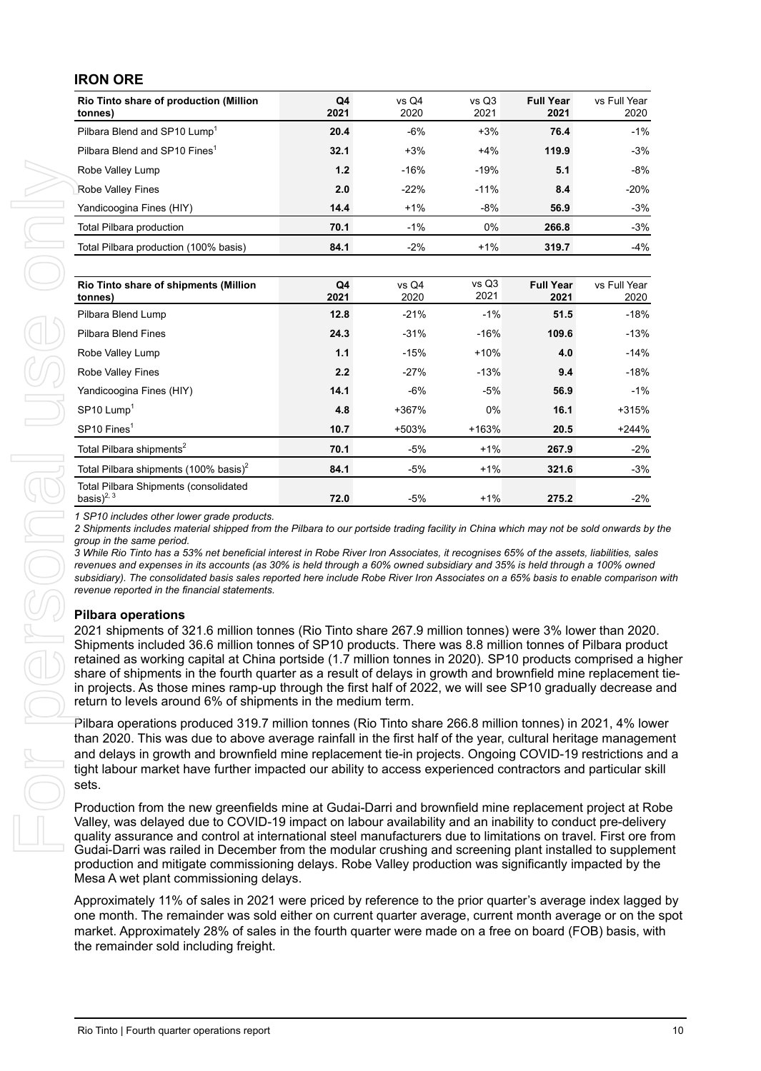| Rio Tinto share of production (Million<br>tonnes) | Q4<br>2021 | $vs$ Q4<br>2020 | vs Q3<br>2021 | <b>Full Year</b><br>2021 | vs Full Year<br>2020 |
|---------------------------------------------------|------------|-----------------|---------------|--------------------------|----------------------|
| Pilbara Blend and SP10 Lump <sup>1</sup>          | 20.4       | $-6%$           | $+3%$         | 76.4                     | $-1%$                |
| Pilbara Blend and SP10 Fines <sup>1</sup>         | 32.1       | $+3%$           | $+4%$         | 119.9                    | $-3%$                |
| Robe Valley Lump                                  | 1.2        | $-16%$          | $-19%$        | 5.1                      | $-8%$                |
| Robe Valley Fines                                 | 2.0        | $-22%$          | $-11%$        | 8.4                      | $-20%$               |
| Yandicoogina Fines (HIY)                          | 14.4       | $+1%$           | $-8%$         | 56.9                     | $-3%$                |
| <b>Total Pilbara production</b>                   | 70.1       | $-1%$           | 0%            | 266.8                    | $-3%$                |
| Total Pilbara production (100% basis)             | 84.1       | $-2%$           | $+1%$         | 319.7                    | -4%                  |

| Robe Valley Fines                                                                                                                                                                                                                                                                                                                                                                                                                                                                                                                                                                                        |      |        | $-19%$ | 5.1              | $-8%$        |
|----------------------------------------------------------------------------------------------------------------------------------------------------------------------------------------------------------------------------------------------------------------------------------------------------------------------------------------------------------------------------------------------------------------------------------------------------------------------------------------------------------------------------------------------------------------------------------------------------------|------|--------|--------|------------------|--------------|
|                                                                                                                                                                                                                                                                                                                                                                                                                                                                                                                                                                                                          | 2.0  | $-22%$ | $-11%$ | 8.4              | $-20%$       |
| Yandicoogina Fines (HIY)                                                                                                                                                                                                                                                                                                                                                                                                                                                                                                                                                                                 | 14.4 | $+1%$  | $-8%$  | 56.9             | $-3%$        |
| Total Pilbara production                                                                                                                                                                                                                                                                                                                                                                                                                                                                                                                                                                                 | 70.1 | $-1%$  | 0%     | 266.8            | $-3%$        |
| Total Pilbara production (100% basis)                                                                                                                                                                                                                                                                                                                                                                                                                                                                                                                                                                    | 84.1 | $-2%$  | $+1%$  | 319.7            | $-4%$        |
| Rio Tinto share of shipments (Million                                                                                                                                                                                                                                                                                                                                                                                                                                                                                                                                                                    | Q4   | vs Q4  | vs Q3  | <b>Full Year</b> | vs Full Year |
| tonnes)                                                                                                                                                                                                                                                                                                                                                                                                                                                                                                                                                                                                  | 2021 | 2020   | 2021   | 2021             | 2020         |
| Pilbara Blend Lump                                                                                                                                                                                                                                                                                                                                                                                                                                                                                                                                                                                       | 12.8 | $-21%$ | $-1%$  | 51.5             | $-18%$       |
| Pilbara Blend Fines                                                                                                                                                                                                                                                                                                                                                                                                                                                                                                                                                                                      | 24.3 | $-31%$ | $-16%$ | 109.6            | $-13%$       |
| Robe Valley Lump                                                                                                                                                                                                                                                                                                                                                                                                                                                                                                                                                                                         | 1.1  | $-15%$ | $+10%$ | 4.0              | $-14%$       |
| Robe Valley Fines                                                                                                                                                                                                                                                                                                                                                                                                                                                                                                                                                                                        | 2.2  | $-27%$ | $-13%$ | 9.4              | $-18%$       |
| Yandicoogina Fines (HIY)                                                                                                                                                                                                                                                                                                                                                                                                                                                                                                                                                                                 | 14.1 | $-6%$  | $-5%$  | 56.9             | $-1%$        |
| $SP10$ Lump <sup>1</sup>                                                                                                                                                                                                                                                                                                                                                                                                                                                                                                                                                                                 | 4.8  | +367%  | 0%     | 16.1             | +315%        |
| SP10 Fines <sup>1</sup>                                                                                                                                                                                                                                                                                                                                                                                                                                                                                                                                                                                  | 10.7 | +503%  | +163%  | 20.5             | $+244%$      |
| Total Pilbara shipments <sup>2</sup>                                                                                                                                                                                                                                                                                                                                                                                                                                                                                                                                                                     | 70.1 | $-5%$  | $+1%$  | 267.9            | $-2%$        |
| Total Pilbara shipments (100% basis) <sup>2</sup><br><b>Total Pilbara Shipments (consolidated</b>                                                                                                                                                                                                                                                                                                                                                                                                                                                                                                        | 84.1 | $-5%$  | $+1%$  | 321.6            | $-3%$        |
| basis) $^{2, 3}$                                                                                                                                                                                                                                                                                                                                                                                                                                                                                                                                                                                         | 72.0 | $-5%$  | $+1%$  | 275.2            | $-2%$        |
| <b>Pilbara operations</b><br>2021 shipments of 321.6 million tonnes (Rio Tinto share 267.9 million tonnes) were 3% lower than 2020.<br>Shipments included 36.6 million tonnes of SP10 products. There was 8.8 million tonnes of Pilbara product<br>retained as working capital at China portside (1.7 million tonnes in 2020). SP10 products comprised a higher                                                                                                                                                                                                                                          |      |        |        |                  |              |
| share of shipments in the fourth quarter as a result of delays in growth and brownfield mine replacement tie-<br>in projects. As those mines ramp-up through the first half of 2022, we will see SP10 gradually decrease and<br>return to levels around 6% of shipments in the medium term.                                                                                                                                                                                                                                                                                                              |      |        |        |                  |              |
| Pilbara operations produced 319.7 million tonnes (Rio Tinto share 266.8 million tonnes) in 2021, 4% lower<br>than 2020. This was due to above average rainfall in the first half of the year, cultural heritage management<br>and delays in growth and brownfield mine replacement tie-in projects. Ongoing COVID-19 restrictions and a<br>tight labour market have further impacted our ability to access experienced contractors and particular skill<br>sets.                                                                                                                                         |      |        |        |                  |              |
| Production from the new greenfields mine at Gudai-Darri and brownfield mine replacement project at Robe<br>Valley, was delayed due to COVID-19 impact on labour availability and an inability to conduct pre-delivery<br>quality assurance and control at international steel manufacturers due to limitations on travel. First ore from<br>Gudai-Darri was railed in December from the modular crushing and screening plant installed to supplement<br>production and mitigate commissioning delays. Robe Valley production was significantly impacted by the<br>Mesa A wet plant commissioning delays. |      |        |        |                  |              |

#### **Pilbara operations**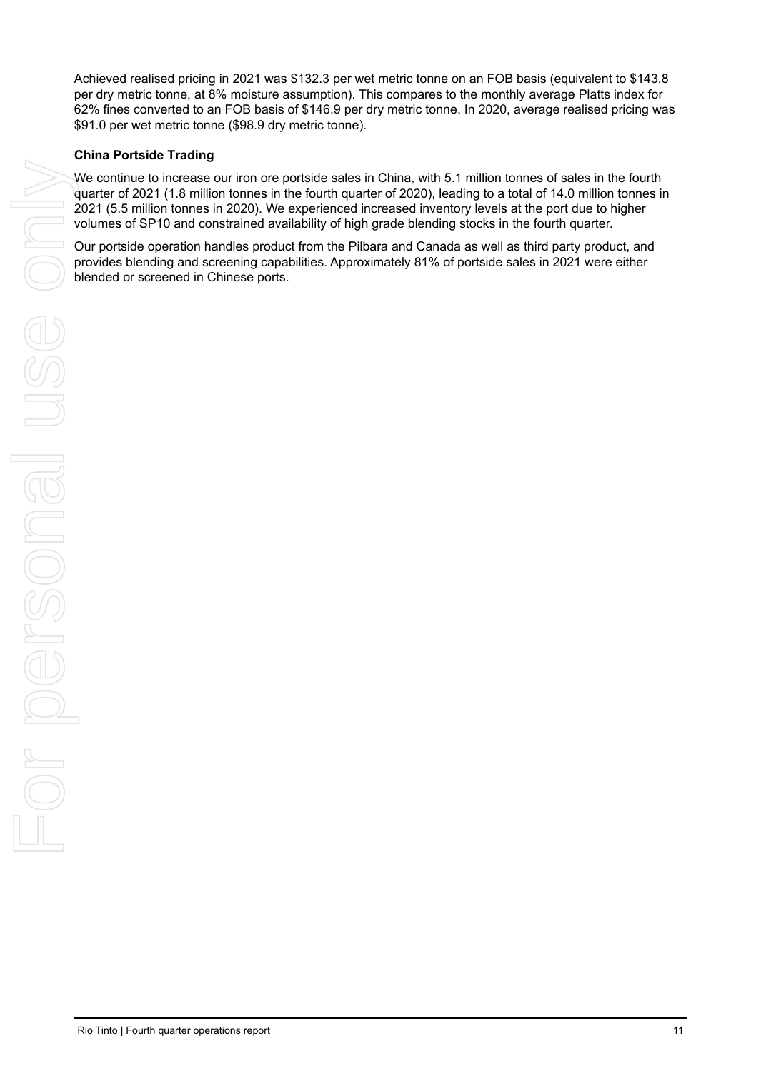Achieved realised pricing in 2021 was \$132.3 per wet metric tonne on an FOB basis (equivalent to \$143.8 per dry metric tonne, at 8% moisture assumption). This compares to the monthly average Platts index for 62% fines converted to an FOB basis of \$146.9 per dry metric tonne. In 2020, average realised pricing was \$91.0 per wet metric tonne (\$98.9 dry metric tonne).

#### **China Portside Trading**

We continue to increase our iron ore portside sales in China, with 5.1 million tonnes of sales in the fourth quarter of 2021 (1.8 million tonnes in the fourth quarter of 2020), leading to a total of 14.0 million tonnes in 2021 (5.5 million tonnes in 2020). We experienced increased inventory levels at the port due to higher volumes of SP10 and constrained availability of high grade blending stocks in the fourth quarter.

Our portside operation handles product from the Pilbara and Canada as well as third party product, and provides blending and screening capabilities. Approximately 81% of portside sales in 2021 were either blended or screened in Chinese ports.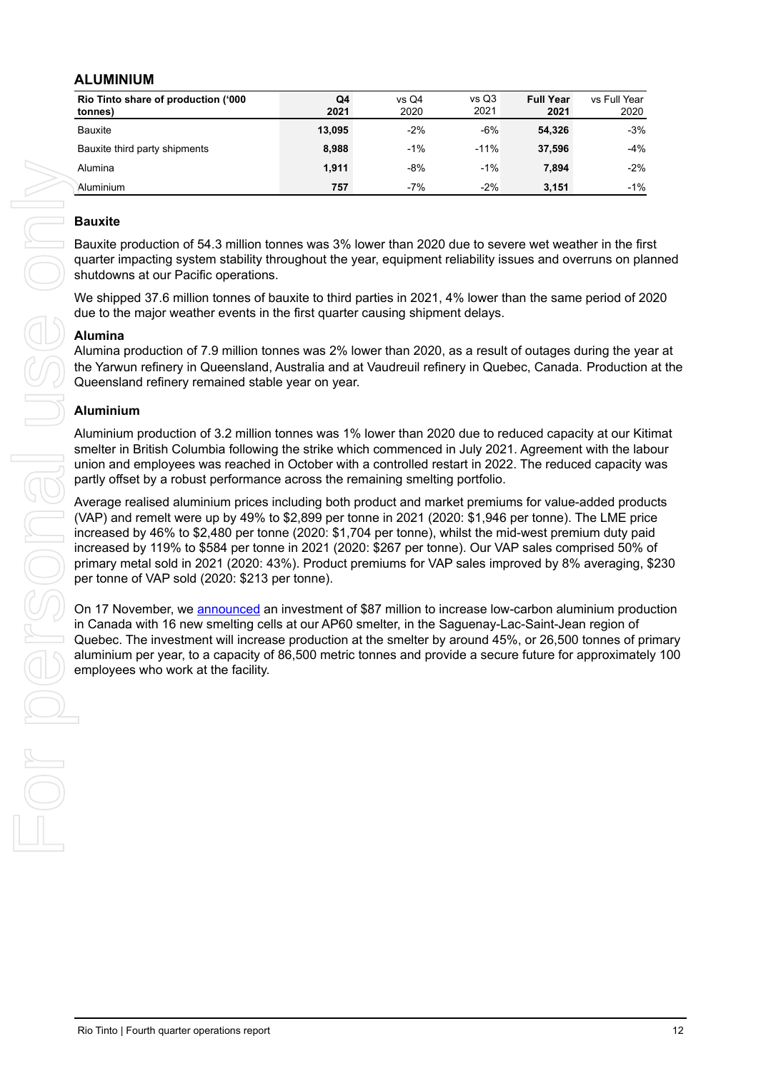#### **ALUMINIUM**

| Rio Tinto share of production ('000 | Q4     | vs Q4 | vs Q3  | <b>Full Year</b> | vs Full Year |
|-------------------------------------|--------|-------|--------|------------------|--------------|
| tonnes)                             | 2021   | 2020  | 2021   | 2021             | 2020         |
| <b>Bauxite</b>                      | 13.095 | $-2%$ | $-6%$  | 54.326           | $-3%$        |
| Bauxite third party shipments       | 8,988  | $-1%$ | $-11%$ | 37.596           | $-4%$        |
| Alumina                             | 1.911  | $-8%$ | $-1%$  | 7.894            | $-2%$        |
| Aluminium                           | 757    | $-7%$ | $-2%$  | 3.151            | $-1%$        |

#### **Bauxite**

Bauxite production of 54.3 million tonnes was 3% lower than 2020 due to severe wet weather in the first quarter impacting system stability throughout the year, equipment reliability issues and overruns on planned shutdowns at our Pacific operations.

We shipped 37.6 million tonnes of bauxite to third parties in 2021, 4% lower than the same period of 2020 due to the major weather events in the first quarter causing shipment delays.

#### **Alumina**

Alumina production of 7.9 million tonnes was 2% lower than 2020, as a result of outages during the year at the Yarwun refinery in Queensland, Australia and at Vaudreuil refinery in Quebec, Canada. Production at the Queensland refinery remained stable year on year.

#### **Aluminium**

Aluminium production of 3.2 million tonnes was 1% lower than 2020 due to reduced capacity at our Kitimat smelter in British Columbia following the strike which commenced in July 2021. Agreement with the labour union and employees was reached in October with a controlled restart in 2022. The reduced capacity was partly offset by a robust performance across the remaining smelting portfolio.

Average realised aluminium prices including both product and market premiums for value-added products (VAP) and remelt were up by 49% to \$2,899 per tonne in 2021 (2020: \$1,946 per tonne). The LME price increased by 46% to \$2,480 per tonne (2020: \$1,704 per tonne), whilst the mid-west premium duty paid increased by 119% to \$584 per tonne in 2021 (2020: \$267 per tonne). Our VAP sales comprised 50% of primary metal sold in 2021 (2020: 43%). Product premiums for VAP sales improved by 8% averaging, \$230 per tonne of VAP sold (2020: \$213 per tonne). American report of the state is the state of the state of the state of the state of the state of the state of the state of the state of the state of the state of the state of the state of the state of the state of the sta

On 17 November, we [announced](https://www.riotinto.com/news/releases/2021/Rio-Tinto-invests-to-increase-low-carbon-AP60-aluminium-production-in-Canada) an investment of \$87 million to increase low-carbon aluminium production in Canada with 16 new smelting cells at our AP60 smelter, in the Saguenay-Lac-Saint-Jean region of Quebec. The investment will increase production at the smelter by around 45%, or 26,500 tonnes of primary aluminium per year, to a capacity of 86,500 metric tonnes and provide a secure future for approximately 100 employees who work at the facility.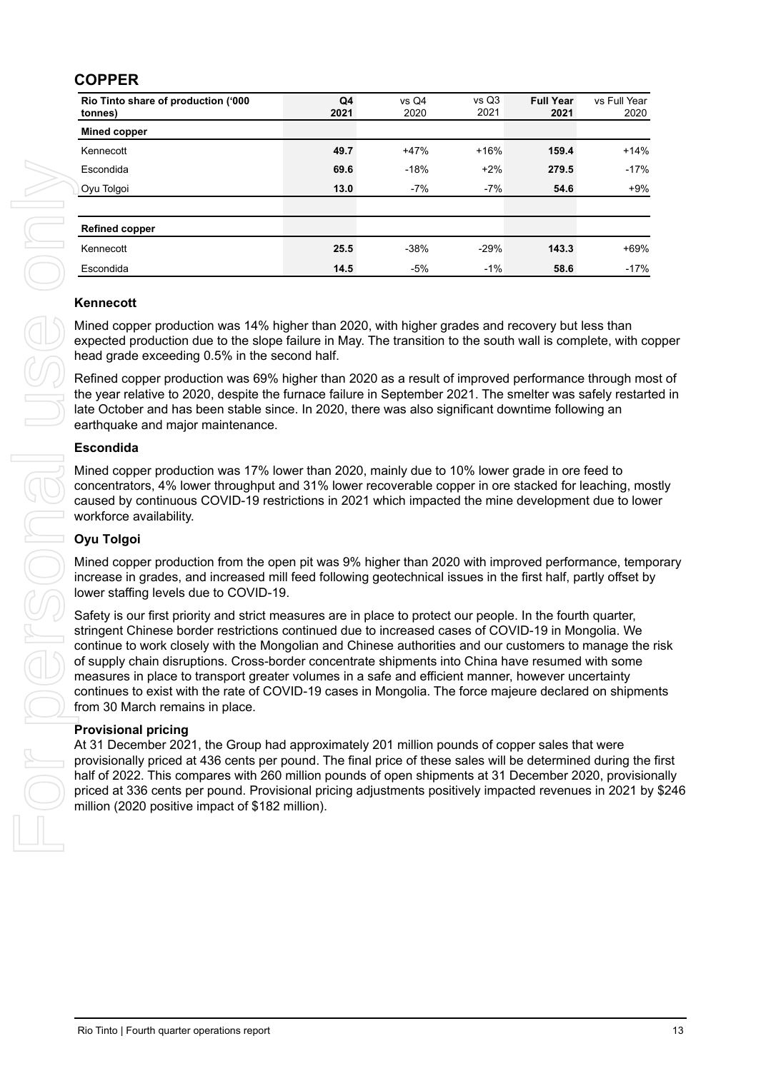### **COPPER**

| Rio Tinto share of production ('000<br>tonnes)                                                                                                                                                                                                                                                                                                                                                                                                                                                                                                                                                                                                                                         | Q4<br>2021 | vs Q4<br>2020 | vs Q3<br>2021 | <b>Full Year</b><br>2021 | vs Full Year<br>2020 |
|----------------------------------------------------------------------------------------------------------------------------------------------------------------------------------------------------------------------------------------------------------------------------------------------------------------------------------------------------------------------------------------------------------------------------------------------------------------------------------------------------------------------------------------------------------------------------------------------------------------------------------------------------------------------------------------|------------|---------------|---------------|--------------------------|----------------------|
| <b>Mined copper</b>                                                                                                                                                                                                                                                                                                                                                                                                                                                                                                                                                                                                                                                                    |            |               |               |                          |                      |
| Kennecott                                                                                                                                                                                                                                                                                                                                                                                                                                                                                                                                                                                                                                                                              | 49.7       | $+47%$        | $+16%$        | 159.4                    | $+14%$               |
| Escondida                                                                                                                                                                                                                                                                                                                                                                                                                                                                                                                                                                                                                                                                              | 69.6       | $-18%$        | $+2%$         | 279.5                    | $-17%$               |
| Oyu Tolgoi                                                                                                                                                                                                                                                                                                                                                                                                                                                                                                                                                                                                                                                                             | 13.0       | -7%           | $-7%$         | 54.6                     | $+9%$                |
| <b>Refined copper</b>                                                                                                                                                                                                                                                                                                                                                                                                                                                                                                                                                                                                                                                                  |            |               |               |                          |                      |
| Kennecott                                                                                                                                                                                                                                                                                                                                                                                                                                                                                                                                                                                                                                                                              | 25.5       | $-38%$        | $-29%$        | 143.3                    | +69%                 |
| Escondida                                                                                                                                                                                                                                                                                                                                                                                                                                                                                                                                                                                                                                                                              | 14.5       | $-5%$         | $-1%$         | 58.6                     | $-17%$               |
| Kennecott<br>Mined copper production was 14% higher than 2020, with higher grades and recovery but less than<br>expected production due to the slope failure in May. The transition to the south wall is complete, with copper<br>head grade exceeding 0.5% in the second half.<br>Refined copper production was 69% higher than 2020 as a result of improved performance through most of                                                                                                                                                                                                                                                                                              |            |               |               |                          |                      |
| the year relative to 2020, despite the furnace failure in September 2021. The smelter was safely restarted in<br>late October and has been stable since. In 2020, there was also significant downtime following an<br>earthquake and major maintenance.                                                                                                                                                                                                                                                                                                                                                                                                                                |            |               |               |                          |                      |
| <b>Escondida</b>                                                                                                                                                                                                                                                                                                                                                                                                                                                                                                                                                                                                                                                                       |            |               |               |                          |                      |
| Mined copper production was 17% lower than 2020, mainly due to 10% lower grade in ore feed to<br>concentrators, 4% lower throughput and 31% lower recoverable copper in ore stacked for leaching, mostly<br>caused by continuous COVID-19 restrictions in 2021 which impacted the mine development due to lower<br>workforce availability.                                                                                                                                                                                                                                                                                                                                             |            |               |               |                          |                      |
| <b>Oyu Tolgoi</b>                                                                                                                                                                                                                                                                                                                                                                                                                                                                                                                                                                                                                                                                      |            |               |               |                          |                      |
| Mined copper production from the open pit was 9% higher than 2020 with improved performance, temporary<br>increase in grades, and increased mill feed following geotechnical issues in the first half, partly offset by<br>lower staffing levels due to COVID-19.                                                                                                                                                                                                                                                                                                                                                                                                                      |            |               |               |                          |                      |
| Safety is our first priority and strict measures are in place to protect our people. In the fourth quarter,<br>stringent Chinese border restrictions continued due to increased cases of COVID-19 in Mongolia. We<br>continue to work closely with the Mongolian and Chinese authorities and our customers to manage the risk<br>of supply chain disruptions. Cross-border concentrate shipments into China have resumed with some<br>measures in place to transport greater volumes in a safe and efficient manner, however uncertainty<br>continues to exist with the rate of COVID-19 cases in Mongolia. The force majeure declared on shipments<br>from 30 March remains in place. |            |               |               |                          |                      |
| <b>Provisional pricing</b><br>At 31 December 2021, the Group had approximately 201 million pounds of copper sales that were<br>provisionally priced at 436 cents per pound. The final price of these sales will be determined during the first<br>half of 2022. This compares with 260 million pounds of open shipments at 31 December 2020, provisionally<br>priced at 336 cents per pound. Provisional pricing adjustments positively impacted revenues in 2021 by \$246<br>million (2020 positive impact of \$182 million).                                                                                                                                                         |            |               |               |                          |                      |
|                                                                                                                                                                                                                                                                                                                                                                                                                                                                                                                                                                                                                                                                                        |            |               |               |                          |                      |
|                                                                                                                                                                                                                                                                                                                                                                                                                                                                                                                                                                                                                                                                                        |            |               |               |                          |                      |
|                                                                                                                                                                                                                                                                                                                                                                                                                                                                                                                                                                                                                                                                                        |            |               |               |                          |                      |

#### **Kennecott**

#### **Escondida**

#### **Oyu Tolgoi**

#### **Provisional pricing**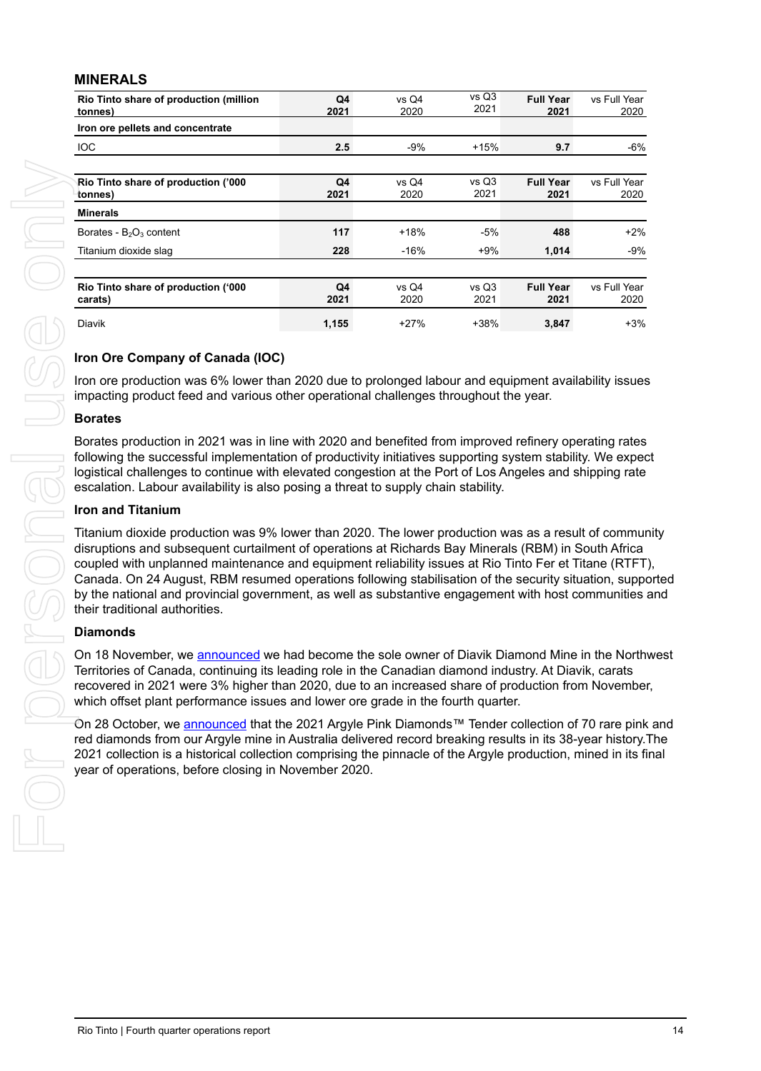#### **MINERALS**

| Iron ore pellets and concentrate<br><b>IOC</b><br>2.5<br>$-9%$<br>$+15%$<br>9.7<br>vs Q3<br>Q4<br>vs Q4<br><b>Full Year</b><br>vs Full Year<br>Rio Tinto share of production ('000<br>2021<br>2021<br>2020<br>2021<br>tonnes)<br><b>Minerals</b><br>117<br>$+18%$<br>Borates - B <sub>2</sub> O <sub>3</sub> content<br>$-5%$<br>488<br>228<br>Titanium dioxide slag<br>$-16%$<br>$+9%$<br>1,014<br><b>Full Year</b><br>Rio Tinto share of production ('000<br>Q4<br>vs Q4<br>vs Q3<br>2020<br>2021<br>2021<br>2021<br>carats)<br>Diavik<br>1,155<br>$+27%$<br>+38%<br>3,847 | Iron ore production was 6% lower than 2020 due to prolonged labour and equipment availability issues<br>impacting product feed and various other operational challenges throughout the year.<br>Borates production in 2021 was in line with 2020 and benefited from improved refinery operating rates<br>following the successful implementation of productivity initiatives supporting system stability. We expect<br>logistical challenges to continue with elevated congestion at the Port of Los Angeles and shipping rate<br>Titanium dioxide production was 9% lower than 2020. The lower production was as a result of community<br>disruptions and subsequent curtailment of operations at Richards Bay Minerals (RBM) in South Africa<br>coupled with unplanned maintenance and equipment reliability issues at Rio Tinto Fer et Titane (RTFT),<br>Canada. On 24 August, RBM resumed operations following stabilisation of the security situation, supported<br>by the national and provincial government, as well as substantive engagement with host communities and<br>On 18 November, we announced we had become the sole owner of Diavik Diamond Mine in the Northwest<br>Territories of Canada, continuing its leading role in the Canadian diamond industry. At Diavik, carats<br>recovered in 2021 were 3% higher than 2020, due to an increased share of production from November,<br>On 28 October, we announced that the 2021 Argyle Pink Diamonds™ Tender collection of 70 rare pink and<br>red diamonds from our Argyle mine in Australia delivered record breaking results in its 38-year history. The<br>2021 collection is a historical collection comprising the pinnacle of the Argyle production, mined in its final | Iron Ore Company of Canada (IOC)<br><b>Borates</b><br>escalation. Labour availability is also posing a threat to supply chain stability.<br><b>Iron and Titanium</b><br>their traditional authorities.<br><b>Diamonds</b><br>which offset plant performance issues and lower ore grade in the fourth quarter.<br>year of operations, before closing in November 2020. | Rio Tinto share of production (million<br>tonnes) | Q4<br>2021 | 2020 | 2021 | 2021 | 2020                 |
|------------------------------------------------------------------------------------------------------------------------------------------------------------------------------------------------------------------------------------------------------------------------------------------------------------------------------------------------------------------------------------------------------------------------------------------------------------------------------------------------------------------------------------------------------------------------------|--------------------------------------------------------------------------------------------------------------------------------------------------------------------------------------------------------------------------------------------------------------------------------------------------------------------------------------------------------------------------------------------------------------------------------------------------------------------------------------------------------------------------------------------------------------------------------------------------------------------------------------------------------------------------------------------------------------------------------------------------------------------------------------------------------------------------------------------------------------------------------------------------------------------------------------------------------------------------------------------------------------------------------------------------------------------------------------------------------------------------------------------------------------------------------------------------------------------------------------------------------------------------------------------------------------------------------------------------------------------------------------------------------------------------------------------------------------------------------------------------------------------------------------------------------------------------------------------------------------------------------------------------------------------------------------------------------------------------------------------------|-----------------------------------------------------------------------------------------------------------------------------------------------------------------------------------------------------------------------------------------------------------------------------------------------------------------------------------------------------------------------|---------------------------------------------------|------------|------|------|------|----------------------|
|                                                                                                                                                                                                                                                                                                                                                                                                                                                                                                                                                                              |                                                                                                                                                                                                                                                                                                                                                                                                                                                                                                                                                                                                                                                                                                                                                                                                                                                                                                                                                                                                                                                                                                                                                                                                                                                                                                                                                                                                                                                                                                                                                                                                                                                                                                                                                  |                                                                                                                                                                                                                                                                                                                                                                       |                                                   |            |      |      |      |                      |
|                                                                                                                                                                                                                                                                                                                                                                                                                                                                                                                                                                              |                                                                                                                                                                                                                                                                                                                                                                                                                                                                                                                                                                                                                                                                                                                                                                                                                                                                                                                                                                                                                                                                                                                                                                                                                                                                                                                                                                                                                                                                                                                                                                                                                                                                                                                                                  |                                                                                                                                                                                                                                                                                                                                                                       |                                                   |            |      |      |      | -6%                  |
|                                                                                                                                                                                                                                                                                                                                                                                                                                                                                                                                                                              |                                                                                                                                                                                                                                                                                                                                                                                                                                                                                                                                                                                                                                                                                                                                                                                                                                                                                                                                                                                                                                                                                                                                                                                                                                                                                                                                                                                                                                                                                                                                                                                                                                                                                                                                                  |                                                                                                                                                                                                                                                                                                                                                                       |                                                   |            |      |      |      |                      |
|                                                                                                                                                                                                                                                                                                                                                                                                                                                                                                                                                                              |                                                                                                                                                                                                                                                                                                                                                                                                                                                                                                                                                                                                                                                                                                                                                                                                                                                                                                                                                                                                                                                                                                                                                                                                                                                                                                                                                                                                                                                                                                                                                                                                                                                                                                                                                  |                                                                                                                                                                                                                                                                                                                                                                       |                                                   |            |      |      |      | 2020                 |
|                                                                                                                                                                                                                                                                                                                                                                                                                                                                                                                                                                              |                                                                                                                                                                                                                                                                                                                                                                                                                                                                                                                                                                                                                                                                                                                                                                                                                                                                                                                                                                                                                                                                                                                                                                                                                                                                                                                                                                                                                                                                                                                                                                                                                                                                                                                                                  |                                                                                                                                                                                                                                                                                                                                                                       |                                                   |            |      |      |      |                      |
|                                                                                                                                                                                                                                                                                                                                                                                                                                                                                                                                                                              |                                                                                                                                                                                                                                                                                                                                                                                                                                                                                                                                                                                                                                                                                                                                                                                                                                                                                                                                                                                                                                                                                                                                                                                                                                                                                                                                                                                                                                                                                                                                                                                                                                                                                                                                                  |                                                                                                                                                                                                                                                                                                                                                                       |                                                   |            |      |      |      | $+2%$                |
|                                                                                                                                                                                                                                                                                                                                                                                                                                                                                                                                                                              |                                                                                                                                                                                                                                                                                                                                                                                                                                                                                                                                                                                                                                                                                                                                                                                                                                                                                                                                                                                                                                                                                                                                                                                                                                                                                                                                                                                                                                                                                                                                                                                                                                                                                                                                                  |                                                                                                                                                                                                                                                                                                                                                                       |                                                   |            |      |      |      | $-9%$                |
|                                                                                                                                                                                                                                                                                                                                                                                                                                                                                                                                                                              |                                                                                                                                                                                                                                                                                                                                                                                                                                                                                                                                                                                                                                                                                                                                                                                                                                                                                                                                                                                                                                                                                                                                                                                                                                                                                                                                                                                                                                                                                                                                                                                                                                                                                                                                                  |                                                                                                                                                                                                                                                                                                                                                                       |                                                   |            |      |      |      | vs Full Year<br>2020 |
|                                                                                                                                                                                                                                                                                                                                                                                                                                                                                                                                                                              |                                                                                                                                                                                                                                                                                                                                                                                                                                                                                                                                                                                                                                                                                                                                                                                                                                                                                                                                                                                                                                                                                                                                                                                                                                                                                                                                                                                                                                                                                                                                                                                                                                                                                                                                                  |                                                                                                                                                                                                                                                                                                                                                                       |                                                   |            |      |      |      | $+3%$                |
|                                                                                                                                                                                                                                                                                                                                                                                                                                                                                                                                                                              |                                                                                                                                                                                                                                                                                                                                                                                                                                                                                                                                                                                                                                                                                                                                                                                                                                                                                                                                                                                                                                                                                                                                                                                                                                                                                                                                                                                                                                                                                                                                                                                                                                                                                                                                                  |                                                                                                                                                                                                                                                                                                                                                                       |                                                   |            |      |      |      |                      |
|                                                                                                                                                                                                                                                                                                                                                                                                                                                                                                                                                                              |                                                                                                                                                                                                                                                                                                                                                                                                                                                                                                                                                                                                                                                                                                                                                                                                                                                                                                                                                                                                                                                                                                                                                                                                                                                                                                                                                                                                                                                                                                                                                                                                                                                                                                                                                  |                                                                                                                                                                                                                                                                                                                                                                       |                                                   |            |      |      |      |                      |
|                                                                                                                                                                                                                                                                                                                                                                                                                                                                                                                                                                              |                                                                                                                                                                                                                                                                                                                                                                                                                                                                                                                                                                                                                                                                                                                                                                                                                                                                                                                                                                                                                                                                                                                                                                                                                                                                                                                                                                                                                                                                                                                                                                                                                                                                                                                                                  |                                                                                                                                                                                                                                                                                                                                                                       |                                                   |            |      |      |      |                      |
|                                                                                                                                                                                                                                                                                                                                                                                                                                                                                                                                                                              |                                                                                                                                                                                                                                                                                                                                                                                                                                                                                                                                                                                                                                                                                                                                                                                                                                                                                                                                                                                                                                                                                                                                                                                                                                                                                                                                                                                                                                                                                                                                                                                                                                                                                                                                                  |                                                                                                                                                                                                                                                                                                                                                                       |                                                   |            |      |      |      |                      |
|                                                                                                                                                                                                                                                                                                                                                                                                                                                                                                                                                                              |                                                                                                                                                                                                                                                                                                                                                                                                                                                                                                                                                                                                                                                                                                                                                                                                                                                                                                                                                                                                                                                                                                                                                                                                                                                                                                                                                                                                                                                                                                                                                                                                                                                                                                                                                  |                                                                                                                                                                                                                                                                                                                                                                       |                                                   |            |      |      |      |                      |
|                                                                                                                                                                                                                                                                                                                                                                                                                                                                                                                                                                              |                                                                                                                                                                                                                                                                                                                                                                                                                                                                                                                                                                                                                                                                                                                                                                                                                                                                                                                                                                                                                                                                                                                                                                                                                                                                                                                                                                                                                                                                                                                                                                                                                                                                                                                                                  |                                                                                                                                                                                                                                                                                                                                                                       |                                                   |            |      |      |      |                      |
|                                                                                                                                                                                                                                                                                                                                                                                                                                                                                                                                                                              |                                                                                                                                                                                                                                                                                                                                                                                                                                                                                                                                                                                                                                                                                                                                                                                                                                                                                                                                                                                                                                                                                                                                                                                                                                                                                                                                                                                                                                                                                                                                                                                                                                                                                                                                                  |                                                                                                                                                                                                                                                                                                                                                                       |                                                   |            |      |      |      |                      |
|                                                                                                                                                                                                                                                                                                                                                                                                                                                                                                                                                                              |                                                                                                                                                                                                                                                                                                                                                                                                                                                                                                                                                                                                                                                                                                                                                                                                                                                                                                                                                                                                                                                                                                                                                                                                                                                                                                                                                                                                                                                                                                                                                                                                                                                                                                                                                  |                                                                                                                                                                                                                                                                                                                                                                       |                                                   |            |      |      |      |                      |
|                                                                                                                                                                                                                                                                                                                                                                                                                                                                                                                                                                              |                                                                                                                                                                                                                                                                                                                                                                                                                                                                                                                                                                                                                                                                                                                                                                                                                                                                                                                                                                                                                                                                                                                                                                                                                                                                                                                                                                                                                                                                                                                                                                                                                                                                                                                                                  |                                                                                                                                                                                                                                                                                                                                                                       |                                                   |            |      |      |      |                      |

#### **Iron Ore Company of Canada (IOC)**

#### **Borates**

#### **Iron and Titanium**

#### **Diamonds**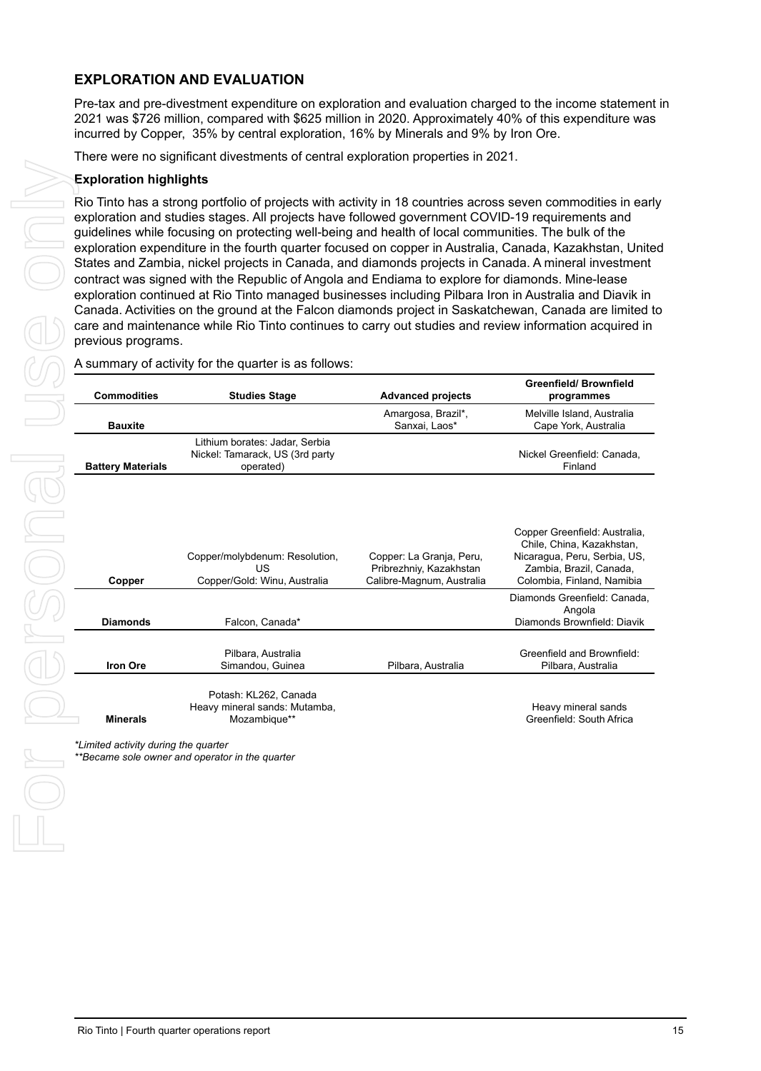### **EXPLORATION AND EVALUATION**

Pre-tax and pre-divestment expenditure on exploration and evaluation charged to the income statement in 2021 was \$726 million, compared with \$625 million in 2020. Approximately 40% of this expenditure was incurred by Copper, 35% by central exploration, 16% by Minerals and 9% by Iron Ore.

There were no significant divestments of central exploration properties in 2021.

#### **Exploration highlights**

| programmes<br>Melville Island, Australia<br>Cape York, Australia<br>Nickel Greenfield: Canada,<br>Finland<br>Copper Greenfield: Australia,<br>Chile, China, Kazakhstan, |
|-------------------------------------------------------------------------------------------------------------------------------------------------------------------------|
|                                                                                                                                                                         |
|                                                                                                                                                                         |
| Zambia, Brazil, Canada,<br>Colombia, Finland, Namibia<br>Diamonds Greenfield: Canada,<br>Angola<br>Diamonds Brownfield: Diavik                                          |
| Greenfield and Brownfield:                                                                                                                                              |
| Pilbara, Australia                                                                                                                                                      |
| Heavy mineral sands<br>Greenfield: South Africa                                                                                                                         |
|                                                                                                                                                                         |
|                                                                                                                                                                         |
|                                                                                                                                                                         |
|                                                                                                                                                                         |
|                                                                                                                                                                         |
|                                                                                                                                                                         |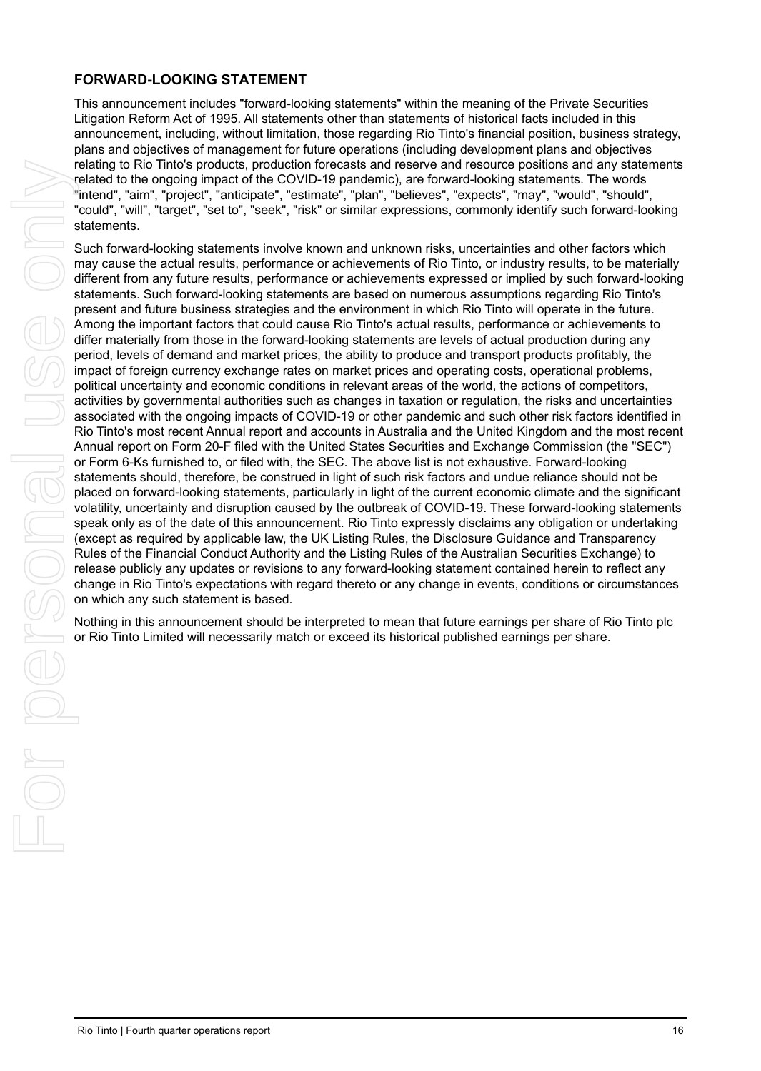#### **FORWARD-LOOKING STATEMENT**

This announcement includes "forward-looking statements" within the meaning of the Private Securities Litigation Reform Act of 1995. All statements other than statements of historical facts included in this announcement, including, without limitation, those regarding Rio Tinto's financial position, business strategy, plans and objectives of management for future operations (including development plans and objectives relating to Rio Tinto's products, production forecasts and reserve and resource positions and any statements related to the ongoing impact of the COVID-19 pandemic), are forward-looking statements. The words "intend", "aim", "project", "anticipate", "estimate", "plan", "believes", "expects", "may", "would", "should", "could", "will", "target", "set to", "seek", "risk" or similar expressions, commonly identify such forward-looking statements.

Such forward-looking statements involve known and unknown risks, uncertainties and other factors which may cause the actual results, performance or achievements of Rio Tinto, or industry results, to be materially different from any future results, performance or achievements expressed or implied by such forward-looking statements. Such forward-looking statements are based on numerous assumptions regarding Rio Tinto's present and future business strategies and the environment in which Rio Tinto will operate in the future. Among the important factors that could cause Rio Tinto's actual results, performance or achievements to differ materially from those in the forward-looking statements are levels of actual production during any period, levels of demand and market prices, the ability to produce and transport products profitably, the impact of foreign currency exchange rates on market prices and operating costs, operational problems, political uncertainty and economic conditions in relevant areas of the world, the actions of competitors, activities by governmental authorities such as changes in taxation or regulation, the risks and uncertainties associated with the ongoing impacts of COVID-19 or other pandemic and such other risk factors identified in Rio Tinto's most recent Annual report and accounts in Australia and the United Kingdom and the most recent Annual report on Form 20-F filed with the United States Securities and Exchange Commission (the "SEC") or Form 6-Ks furnished to, or filed with, the SEC. The above list is not exhaustive. Forward-looking statements should, therefore, be construed in light of such risk factors and undue reliance should not be placed on forward-looking statements, particularly in light of the current economic climate and the significant volatility, uncertainty and disruption caused by the outbreak of COVID-19. These forward-looking statements speak only as of the date of this announcement. Rio Tinto expressly disclaims any obligation or undertaking (except as required by applicable law, the UK Listing Rules, the Disclosure Guidance and Transparency Rules of the Financial Conduct Authority and the Listing Rules of the Australian Securities Exchange) to release publicly any updates or revisions to any forward-looking statement contained herein to reflect any change in Rio Tinto's expectations with regard thereto or any change in events, conditions or circumstances on which any such statement is based. Restricts the riot of the studies and the studies and the studies of the studies of the studies of the riot of the studies of the riot of the studies of the studies of the riot of the studies of the riot of the studies of

Nothing in this announcement should be interpreted to mean that future earnings per share of Rio Tinto plc or Rio Tinto Limited will necessarily match or exceed its historical published earnings per share.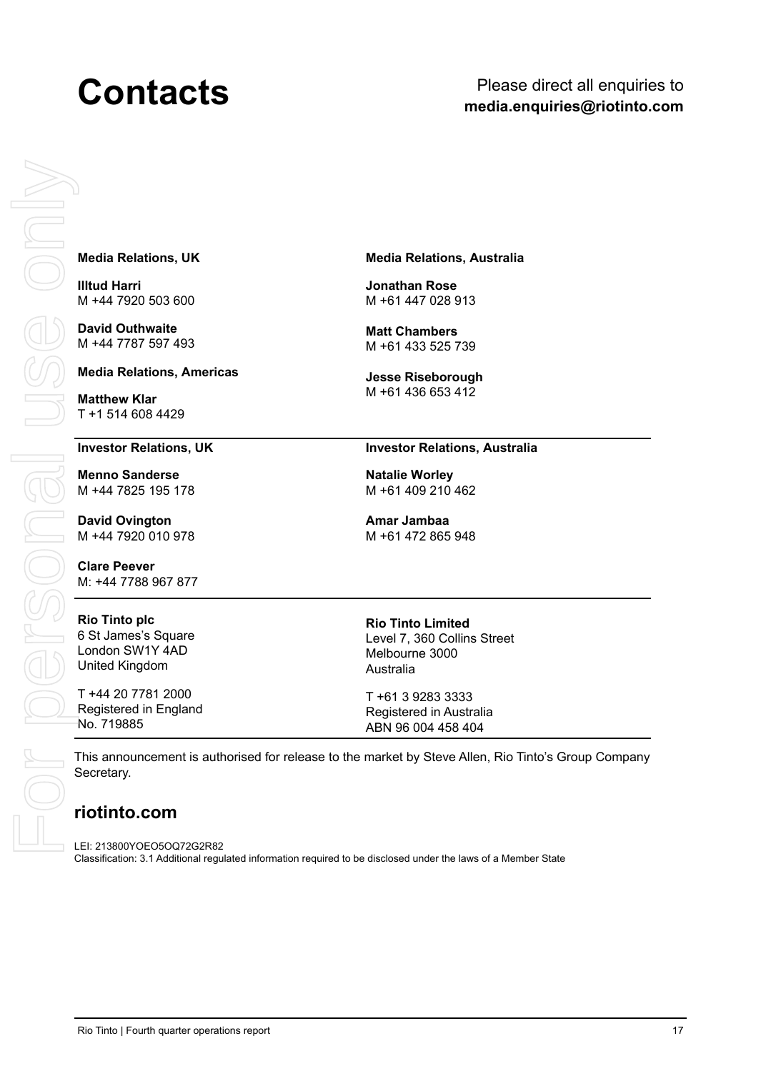## **Contacts** Please direct all enquiries to **media.enquiries@riotinto.com**

#### **Media Relations, UK**

**Illtud Harri** M +44 7920 503 600

**David Outhwaite** M +44 7787 597 493

#### **Media Relations, Americas**

**Matthew Klar**

#### **Investor Relations, UK**

**Menno Sanderse** M +44 7825 195 178

**David Ovington** M +44 7920 010 978

**Clare Peever** M: +44 7788 967 877

#### **Rio Tinto plc** 6 St James's Square London SW1Y 4AD United Kingdom

T +44 20 7781 2000 Registered in England No. 719885

#### **Media Relations, Australia**

**Jonathan Rose** M +61 447 028 913

**Matt Chambers** M +61 433 525 739

**Jesse Riseborough** M +61 436 653 412

#### **Investor Relations, Australia**

**Natalie Worley** M +61 409 210 462

**Amar Jambaa**  M +61 472 865 948

**Rio Tinto Limited** Level 7, 360 Collins Street Melbourne 3000 Australia

T +61 3 9283 3333 Registered in Australia ABN 96 004 458 404

This announcement is authorised for release to the market by Steve Allen, Rio Tinto's Group Company Secretary.

### **riotinto.com**

LEI: 213800YOEO5OQ72G2R82 Classification: 3.1 Additional regulated information required to be disclosed under the laws of a Member State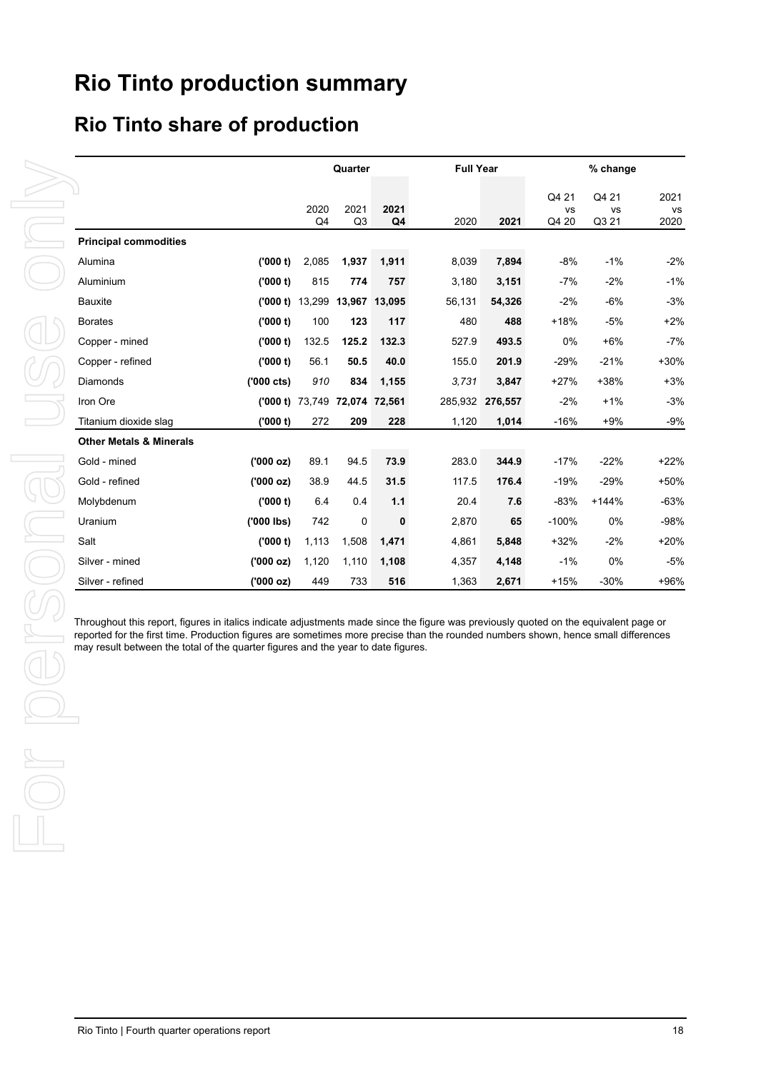# **Rio Tinto production summary**

## **Rio Tinto share of production**

|                                                                                   |                     |                               | Quarter                |                        | <b>Full Year</b>                                                                                                                                                                                                                                                            |                 |                             | % change             |                    |
|-----------------------------------------------------------------------------------|---------------------|-------------------------------|------------------------|------------------------|-----------------------------------------------------------------------------------------------------------------------------------------------------------------------------------------------------------------------------------------------------------------------------|-----------------|-----------------------------|----------------------|--------------------|
|                                                                                   |                     | 2020<br>Q <sub>4</sub>        | 2021<br>Q <sub>3</sub> | 2021<br>Q <sub>4</sub> | 2020                                                                                                                                                                                                                                                                        | 2021            | Q4 21<br><b>VS</b><br>Q4 20 | Q4 21<br>vs<br>Q3 21 | 2021<br>vs<br>2020 |
| <b>Principal commodities</b>                                                      |                     |                               |                        |                        |                                                                                                                                                                                                                                                                             |                 |                             |                      |                    |
| Alumina                                                                           | (000 t)             | 2,085                         | 1,937                  | 1,911                  | 8,039                                                                                                                                                                                                                                                                       | 7,894           | $-8%$                       | $-1%$                | $-2%$              |
| Aluminium                                                                         | (000 t)             | 815                           | 774                    | 757                    | 3,180                                                                                                                                                                                                                                                                       | 3,151           | -7%                         | $-2%$                | $-1%$              |
| <b>Bauxite</b>                                                                    |                     | ('000 t) 13,299 13,967 13,095 |                        |                        | 56,131                                                                                                                                                                                                                                                                      | 54,326          | $-2%$                       | $-6%$                | $-3%$              |
| <b>Borates</b>                                                                    | (000 t)             | 100                           | 123                    | 117                    | 480                                                                                                                                                                                                                                                                         | 488             | $+18%$                      | $-5%$                | $+2%$              |
| Copper - mined                                                                    | (000 t)             | 132.5                         | 125.2                  | 132.3                  | 527.9                                                                                                                                                                                                                                                                       | 493.5           | $0\%$                       | $+6%$                | $-7%$              |
| Copper - refined                                                                  | (000 t)             | 56.1                          | 50.5                   | 40.0                   | 155.0                                                                                                                                                                                                                                                                       | 201.9           | $-29%$                      | $-21%$               | $+30%$             |
| Diamonds                                                                          | $(000 \text{ cts})$ | 910                           | 834                    | 1,155                  | 3,731                                                                                                                                                                                                                                                                       | 3,847           | $+27%$                      | +38%                 | $+3%$              |
| Iron Ore                                                                          |                     | ('000 t) 73,749 72,074 72,561 |                        |                        |                                                                                                                                                                                                                                                                             | 285,932 276,557 | $-2%$                       | $+1%$                | $-3%$              |
| Titanium dioxide slag                                                             | (000 t)             | 272                           | 209                    | 228                    | 1,120                                                                                                                                                                                                                                                                       | 1,014           | $-16%$                      | $+9%$                | $-9%$              |
| <b>Other Metals &amp; Minerals</b>                                                |                     |                               |                        |                        |                                                                                                                                                                                                                                                                             |                 |                             |                      |                    |
| Gold - mined                                                                      | (000 oz)            | 89.1                          | 94.5                   | 73.9                   | 283.0                                                                                                                                                                                                                                                                       | 344.9           | $-17%$                      | $-22%$               | $+22%$             |
| Gold - refined                                                                    | (000 oz)            | 38.9                          | 44.5                   | 31.5                   | 117.5                                                                                                                                                                                                                                                                       | 176.4           | $-19%$                      | $-29%$               | +50%               |
| Molybdenum                                                                        | (000 t)             | 6.4                           | 0.4                    | $1.1$                  | 20.4                                                                                                                                                                                                                                                                        | 7.6             | $-83%$                      | $+144%$              | $-63%$             |
| Uranium                                                                           | $(000$ lbs)         | 742                           | 0                      | $\bf{0}$               | 2,870                                                                                                                                                                                                                                                                       | 65              | $-100%$                     | 0%                   | $-98%$             |
| Salt                                                                              | (000 t)             | 1,113                         | 1,508                  | 1,471                  | 4,861                                                                                                                                                                                                                                                                       | 5,848           | $+32%$                      | $-2%$                | $+20%$             |
| Silver - mined                                                                    | (000 oz)            | 1,120                         | 1,110                  | 1,108                  | 4,357                                                                                                                                                                                                                                                                       | 4,148           | $-1%$                       | 0%                   | $-5%$              |
| Silver - refined                                                                  | (000 oz)            | 449                           | 733                    | 516                    | 1,363                                                                                                                                                                                                                                                                       | 2,671           | $+15%$                      | $-30%$               | +96%               |
|                                                                                   |                     |                               |                        |                        | Throughout this report, figures in italics indicate adjustments made since the figure was previously quoted on the equivalent page or<br>reported for the first time. Production figures are sometimes more precise than the rounded numbers shown, hence small differences |                 |                             |                      |                    |
| may result between the total of the quarter figures and the year to date figures. |                     |                               |                        |                        |                                                                                                                                                                                                                                                                             |                 |                             |                      |                    |
|                                                                                   |                     |                               |                        |                        |                                                                                                                                                                                                                                                                             |                 |                             |                      |                    |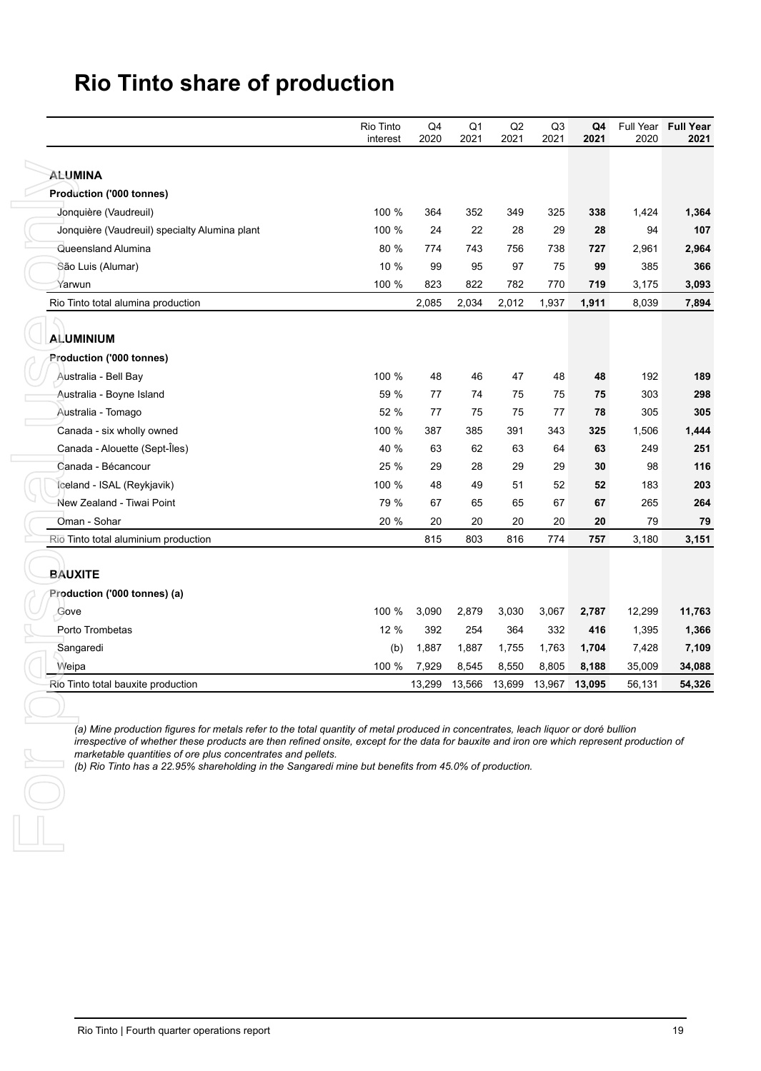|                                                                                                                                                                                                                                                                                                                                     | Rio Tinto<br>interest | Q4<br>2020 | Q <sub>1</sub><br>2021 | Q2<br>2021 | Q3<br>2021 | Q4<br>2021 | Full Year<br>2020 | <b>Full Year</b><br>2021 |
|-------------------------------------------------------------------------------------------------------------------------------------------------------------------------------------------------------------------------------------------------------------------------------------------------------------------------------------|-----------------------|------------|------------------------|------------|------------|------------|-------------------|--------------------------|
| <b>ALUMINA</b>                                                                                                                                                                                                                                                                                                                      |                       |            |                        |            |            |            |                   |                          |
| Production ('000 tonnes)                                                                                                                                                                                                                                                                                                            |                       |            |                        |            |            |            |                   |                          |
| Jonquière (Vaudreuil)                                                                                                                                                                                                                                                                                                               | 100 %                 | 364        | 352                    | 349        | 325        | 338        | 1,424             | 1,364                    |
| Jonquière (Vaudreuil) specialty Alumina plant                                                                                                                                                                                                                                                                                       | 100 %                 | 24         | 22                     | 28         | 29         | 28         | 94                | 107                      |
| Queensland Alumina                                                                                                                                                                                                                                                                                                                  | 80 %                  | 774        | 743                    | 756        | 738        | 727        | 2,961             | 2,964                    |
| São Luis (Alumar)                                                                                                                                                                                                                                                                                                                   | 10 %                  | 99         | 95                     | 97         | 75         | 99         | 385               | 366                      |
| Yarwun                                                                                                                                                                                                                                                                                                                              | 100 %                 | 823        | 822                    | 782        | 770        | 719        | 3,175             | 3,093                    |
| Rio Tinto total alumina production                                                                                                                                                                                                                                                                                                  |                       | 2,085      | 2,034                  | 2,012      | 1,937      | 1,911      | 8,039             | 7,894                    |
| <b>ALUMINIUM</b>                                                                                                                                                                                                                                                                                                                    |                       |            |                        |            |            |            |                   |                          |
| Production ('000 tonnes)                                                                                                                                                                                                                                                                                                            |                       |            |                        |            |            |            |                   |                          |
|                                                                                                                                                                                                                                                                                                                                     | 100 %                 | 48         | 46                     | 47         |            |            | 192               | 189                      |
| Australia - Bell Bay                                                                                                                                                                                                                                                                                                                | 59 %                  | 77         | 74                     | 75         | 48         | 48         |                   | 298                      |
| Australia - Boyne Island                                                                                                                                                                                                                                                                                                            |                       |            |                        |            | 75         | 75         | 303               |                          |
| Australia - Tomago                                                                                                                                                                                                                                                                                                                  | 52 %                  | 77<br>387  | 75<br>385              | 75<br>391  | 77         | 78         | 305               | 305                      |
| Canada - six wholly owned                                                                                                                                                                                                                                                                                                           | 100 %<br>40 %         | 63         | 62                     | 63         | 343<br>64  | 325<br>63  | 1,506<br>249      | 1,444<br>251             |
| Canada - Alouette (Sept-Îles)<br>Canada - Bécancour                                                                                                                                                                                                                                                                                 |                       | 29         |                        |            |            |            |                   | 116                      |
|                                                                                                                                                                                                                                                                                                                                     | 25 %<br>100 %         | 48         | 28<br>49               | 29<br>51   | 29         | 30         | 98<br>183         | 203                      |
| Iceland - ISAL (Reykjavik)<br>New Zealand - Tiwai Point                                                                                                                                                                                                                                                                             | 79 %                  | 67         | 65                     | 65         | 52<br>67   | 52<br>67   | 265               | 264                      |
| Oman - Sohar                                                                                                                                                                                                                                                                                                                        | 20 %                  | 20         | 20                     | 20         | 20         | 20         | 79                | 79                       |
| Rio Tinto total aluminium production                                                                                                                                                                                                                                                                                                |                       | 815        | 803                    | 816        | 774        | 757        | 3,180             | 3,151                    |
| Gove                                                                                                                                                                                                                                                                                                                                | 100 %                 | 3,090      | 2,879                  | 3,030      | 3,067      | 2,787      | 12,299            | 11,763                   |
|                                                                                                                                                                                                                                                                                                                                     |                       |            |                        |            |            |            |                   | 1,366                    |
| Sangaredi                                                                                                                                                                                                                                                                                                                           | (b)                   | 1,887      | 1,887                  | 1,755      | 1,763      | 1,704      | 7,428             | 7,109                    |
| Weipa                                                                                                                                                                                                                                                                                                                               | 100 %                 | 7,929      | 8,545                  | 8,550      | 8,805      | 8,188      | 35,009            | 34,088                   |
| Rio Tinto total bauxite production                                                                                                                                                                                                                                                                                                  |                       | 13,299     | 13,566                 | 13,699     | 13,967     | 13,095     | 56,131            | 54,326                   |
| Production ('000 tonnes) (a)<br>Porto Trombetas<br>(a) Mine production figures for metals refer to the total quantity of metal produced in concentrates, leach liquor or doré bullion<br>irrespective of whether these products are then refined onsite, except for the data for bauxite and iron ore which represent production of | 12 %                  | 392        | 254                    | 364        | 332        | 416        | 1,395             |                          |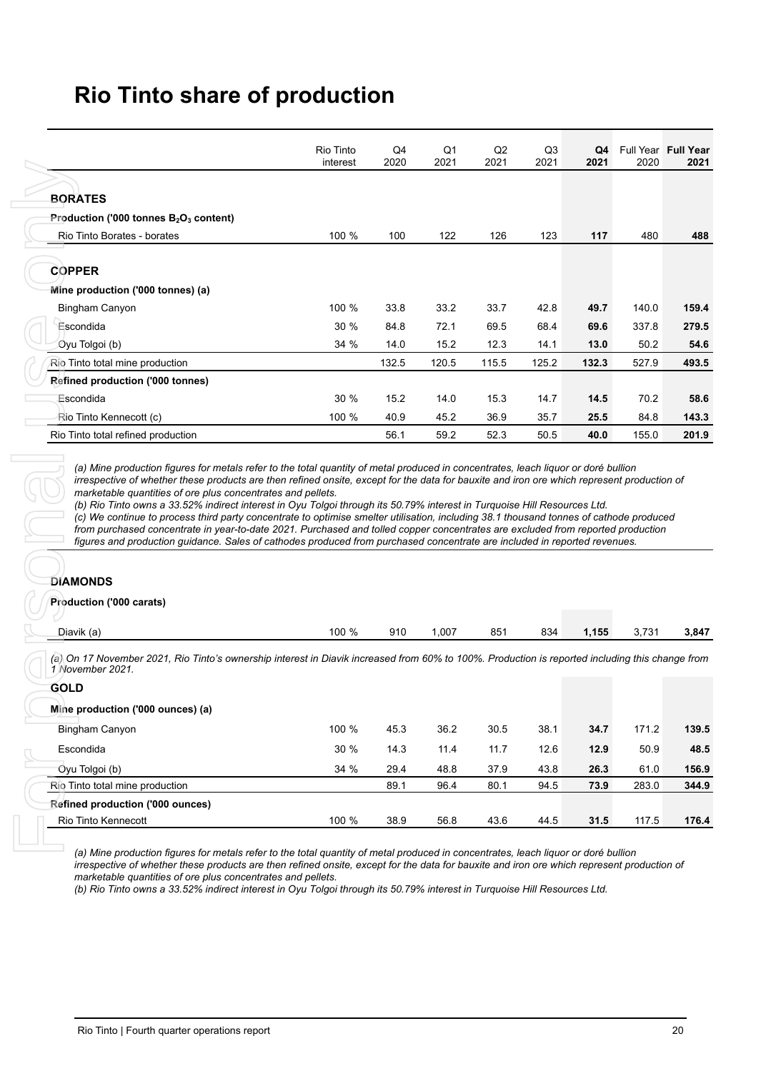| <b>BORATES</b><br>Rio Tinto Borates - borates<br><b>COPPER</b> | Production ('000 tonnes $B_2O_3$ content)                                                                                                                                                                                                                                                                                                                                                                                                                                                                                                                                                         | interest | 2020         | 2021         | 2021         | 2021         | 2021         | 2020          | 2021           |
|----------------------------------------------------------------|---------------------------------------------------------------------------------------------------------------------------------------------------------------------------------------------------------------------------------------------------------------------------------------------------------------------------------------------------------------------------------------------------------------------------------------------------------------------------------------------------------------------------------------------------------------------------------------------------|----------|--------------|--------------|--------------|--------------|--------------|---------------|----------------|
|                                                                |                                                                                                                                                                                                                                                                                                                                                                                                                                                                                                                                                                                                   |          |              |              |              |              |              |               |                |
|                                                                |                                                                                                                                                                                                                                                                                                                                                                                                                                                                                                                                                                                                   |          |              |              |              |              |              |               |                |
|                                                                |                                                                                                                                                                                                                                                                                                                                                                                                                                                                                                                                                                                                   |          |              |              |              |              |              |               |                |
|                                                                |                                                                                                                                                                                                                                                                                                                                                                                                                                                                                                                                                                                                   | 100 %    | 100          | 122          | 126          | 123          | 117          | 480           | 488            |
|                                                                |                                                                                                                                                                                                                                                                                                                                                                                                                                                                                                                                                                                                   |          |              |              |              |              |              |               |                |
|                                                                |                                                                                                                                                                                                                                                                                                                                                                                                                                                                                                                                                                                                   |          |              |              |              |              |              |               |                |
|                                                                | Mine production ('000 tonnes) (a)                                                                                                                                                                                                                                                                                                                                                                                                                                                                                                                                                                 |          |              |              |              |              |              |               |                |
| Bingham Canyon                                                 |                                                                                                                                                                                                                                                                                                                                                                                                                                                                                                                                                                                                   | 100 %    | 33.8         | 33.2         | 33.7         | 42.8         | 49.7         | 140.0         | 159.4          |
| Escondida                                                      |                                                                                                                                                                                                                                                                                                                                                                                                                                                                                                                                                                                                   | 30 %     | 84.8         | 72.1         | 69.5         | 68.4         | 69.6         | 337.8         | 279.5          |
| Oyu Tolgoi (b)                                                 |                                                                                                                                                                                                                                                                                                                                                                                                                                                                                                                                                                                                   | 34 %     | 14.0         | 15.2         | 12.3         | 14.1         | 13.0         | 50.2          | 54.6           |
| Rio Tinto total mine production                                |                                                                                                                                                                                                                                                                                                                                                                                                                                                                                                                                                                                                   |          | 132.5        | 120.5        | 115.5        | 125.2        | 132.3        | 527.9         | 493.5          |
|                                                                | <b>Refined production ('000 tonnes)</b>                                                                                                                                                                                                                                                                                                                                                                                                                                                                                                                                                           |          |              |              |              |              |              |               |                |
| Escondida                                                      |                                                                                                                                                                                                                                                                                                                                                                                                                                                                                                                                                                                                   | 30 %     | 15.2         | 14.0         | 15.3         | 14.7         | 14.5         | 70.2          | 58.6           |
| Rio Tinto Kennecott (c)                                        |                                                                                                                                                                                                                                                                                                                                                                                                                                                                                                                                                                                                   | 100 %    | 40.9         | 45.2         | 36.9         | 35.7         | 25.5         | 84.8          | 143.3          |
| Rio Tinto total refined production                             |                                                                                                                                                                                                                                                                                                                                                                                                                                                                                                                                                                                                   |          | 56.1         | 59.2         | 52.3         | 50.5         | 40.0         | 155.0         | 201.9          |
| <b>DIAMONDS</b>                                                | marketable quantities of ore plus concentrates and pellets.<br>(b) Rio Tinto owns a 33.52% indirect interest in Oyu Tolgoi through its 50.79% interest in Turquoise Hill Resources Ltd.<br>(c) We continue to process third party concentrate to optimise smelter utilisation, including 38.1 thousand tonnes of cathode produced<br>from purchased concentrate in year-to-date 2021. Purchased and tolled copper concentrates are excluded from reported production<br>figures and production guidance. Sales of cathodes produced from purchased concentrate are included in reported revenues. |          |              |              |              |              |              |               |                |
| <b>Production ('000 carats)</b>                                |                                                                                                                                                                                                                                                                                                                                                                                                                                                                                                                                                                                                   |          |              |              |              |              |              |               |                |
| Diavik (a)                                                     |                                                                                                                                                                                                                                                                                                                                                                                                                                                                                                                                                                                                   | 100 %    | 910          | 1,007        | 851          | 834          | 1,155        | 3,731         |                |
| 1 November 2021.                                               | (a) On 17 November 2021, Rio Tinto's ownership interest in Diavik increased from 60% to 100%. Production is reported including this change from                                                                                                                                                                                                                                                                                                                                                                                                                                                   |          |              |              |              |              |              |               |                |
| <b>GOLD</b>                                                    |                                                                                                                                                                                                                                                                                                                                                                                                                                                                                                                                                                                                   |          |              |              |              |              |              |               | 3,847          |
|                                                                | Mine production ('000 ounces) (a)                                                                                                                                                                                                                                                                                                                                                                                                                                                                                                                                                                 |          |              |              |              |              |              |               |                |
| Bingham Canyon                                                 |                                                                                                                                                                                                                                                                                                                                                                                                                                                                                                                                                                                                   | 100 %    | 45.3         | 36.2         | 30.5         | 38.1         | 34.7         | 171.2         | 139.5          |
| Escondida                                                      |                                                                                                                                                                                                                                                                                                                                                                                                                                                                                                                                                                                                   |          | 14.3         | 11.4         | 11.7         | 12.6         | 12.9         | 50.9          |                |
|                                                                |                                                                                                                                                                                                                                                                                                                                                                                                                                                                                                                                                                                                   | 30 %     |              |              |              |              |              |               | 48.5           |
| Oyu Tolgoi (b)<br>Rio Tinto total mine production              |                                                                                                                                                                                                                                                                                                                                                                                                                                                                                                                                                                                                   | 34 %     | 29.4<br>89.1 | 48.8<br>96.4 | 37.9<br>80.1 | 43.8<br>94.5 | 26.3<br>73.9 | 61.0<br>283.0 | 156.9<br>344.9 |
|                                                                | Refined production ('000 ounces)                                                                                                                                                                                                                                                                                                                                                                                                                                                                                                                                                                  |          |              |              |              |              |              |               |                |

#### **DIAMONDS**

| $\sim$ .<br>$\cdots$<br>)iavik (a)<br>D1a | 100 % | 910 | ,007<br>. | 851 | 834 | 1,155 | ,731<br>◡.<br>___ | 3.847 |
|-------------------------------------------|-------|-----|-----------|-----|-----|-------|-------------------|-------|
|                                           |       |     |           |     |     |       |                   |       |

| <b>GOLD</b>                       |       |      |      |      |      |      |       |       |
|-----------------------------------|-------|------|------|------|------|------|-------|-------|
| Mine production ('000 ounces) (a) |       |      |      |      |      |      |       |       |
| Bingham Canyon                    | 100 % | 45.3 | 36.2 | 30.5 | 38.1 | 34.7 | 171.2 | 139.5 |
| Escondida                         | 30 %  | 14.3 | 11.4 | 11.7 | 12.6 | 12.9 | 50.9  | 48.5  |
| Oyu Tolgoi (b)                    | 34 %  | 29.4 | 48.8 | 37.9 | 43.8 | 26.3 | 61.0  | 156.9 |
| Rio Tinto total mine production   |       | 89.1 | 96.4 | 80.1 | 94.5 | 73.9 | 283.0 | 344.9 |
| Refined production ('000 ounces)  |       |      |      |      |      |      |       |       |
| Rio Tinto Kennecott               | 100 % | 38.9 | 56.8 | 43.6 | 44.5 | 31.5 | 117.5 | 176.4 |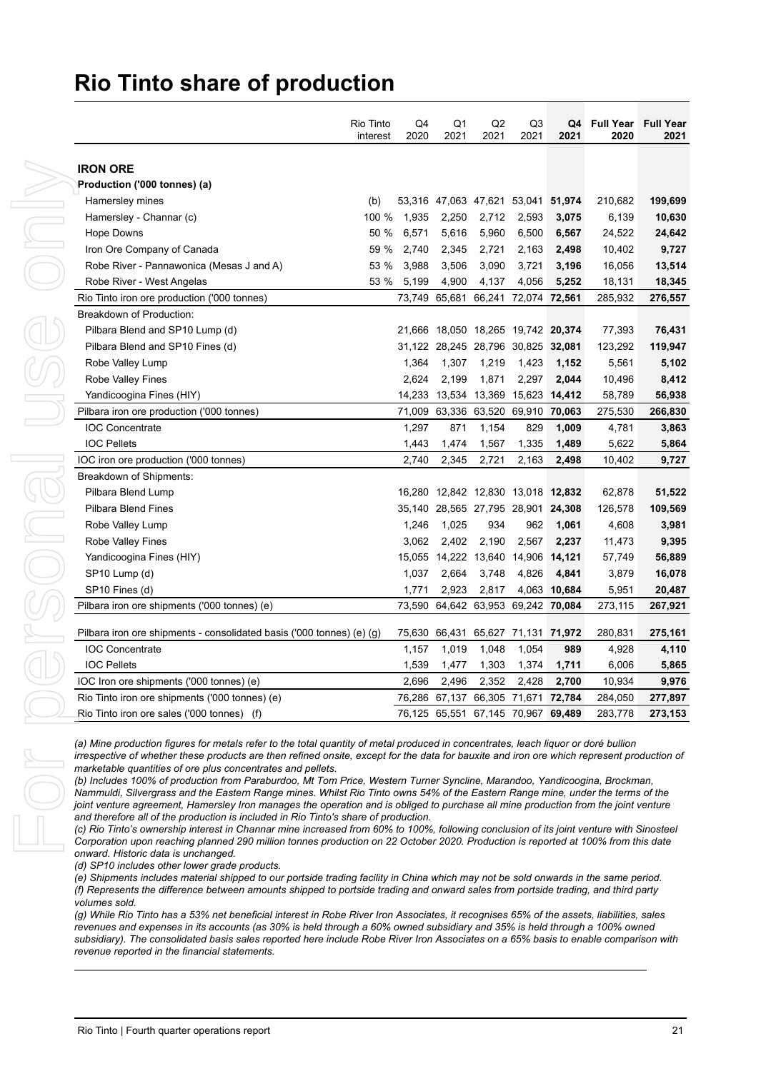| <b>IRON ORE</b><br>Production ('000 tonnes) (a)<br>210,682<br>Hamersley mines<br>(b)<br>53,316 47,063 47,621 53,041 51,974<br>Hamersley - Channar (c)<br>100 %<br>1,935<br>2,250<br>2,712<br>2,593<br>6,139<br>3,075<br>6,571<br>Hope Downs<br>50 %<br>5,616<br>5,960<br>6,500<br>6,567<br>24,522<br>Iron Ore Company of Canada<br>59 %<br>2,740<br>2,345<br>2,721<br>2,163<br>2,498<br>10,402<br>53 %<br>3,090<br>Robe River - Pannawonica (Mesas J and A)<br>3,988<br>3,506<br>3,721<br>3,196<br>16,056<br>Robe River - West Angelas<br>53 %<br>5,199<br>4,900<br>4,137<br>4,056<br>5,252<br>18,131<br>73,749 65,681 66,241 72,074 72,561<br>285,932<br>Rio Tinto iron ore production ('000 tonnes)<br>Breakdown of Production:<br>Pilbara Blend and SP10 Lump (d)<br>21,666 18,050 18,265 19,742 20,374<br>77,393<br>Pilbara Blend and SP10 Fines (d)<br>31,122 28,245 28,796 30,825 32,081<br>123,292<br>Robe Valley Lump<br>1,364<br>1,307<br>1,219<br>1,423<br>5,561<br>1,152<br>Robe Valley Fines<br>2,624<br>2,199<br>1,871<br>2,297<br>2,044<br>10,496<br>Yandicoogina Fines (HIY)<br>14,233<br>13,534 13,369 15,623 14,412<br>58,789<br>71,009 63,336 63,520 69,910 70,063<br>Pilbara iron ore production ('000 tonnes)<br>275,530<br>1,297<br><b>IOC Concentrate</b><br>871<br>1,154<br>829<br>1,009<br>4,781<br><b>IOC Pellets</b><br>1,443<br>1,474<br>1,335<br>1,489<br>5,622<br>1,567<br>IOC iron ore production ('000 tonnes)<br>2,740<br>2,345<br>2,721<br>2,163<br>2,498<br>10,402<br>Breakdown of Shipments:<br>Pilbara Blend Lump<br>16,280 12,842 12,830 13,018 12,832<br>62,878<br>Pilbara Blend Fines<br>35,140 28,565 27,795 28,901 24,308<br>126,578<br>Robe Valley Lump<br>1,246<br>1,025<br>934<br>962<br>1,061<br>4,608<br>Robe Valley Fines<br>3,062<br>2,402<br>2,190<br>2,567<br>2,237<br>11,473<br>15,055 14,222 13,640 14,906 14,121<br>Yandicoogina Fines (HIY)<br>57,749<br>SP10 Lump (d)<br>1,037<br>2,664<br>3,748<br>4,826<br>4,841<br>3,879<br>SP10 Fines (d)<br>1,771<br>2,923<br>2,817<br>4,063 10,684<br>5,951<br>Pilbara iron ore shipments ('000 tonnes) (e)<br>73,590 64,642 63,953 69,242 70,084<br>273,115<br>Pilbara iron ore shipments - consolidated basis ('000 tonnes) (e) (g)<br>75,630 66,431 65,627 71,131 71,972<br>280,831<br><b>IOC Concentrate</b><br>1,157<br>1,019<br>1,048<br>1,054<br>989<br>4,928 |
|-------------------------------------------------------------------------------------------------------------------------------------------------------------------------------------------------------------------------------------------------------------------------------------------------------------------------------------------------------------------------------------------------------------------------------------------------------------------------------------------------------------------------------------------------------------------------------------------------------------------------------------------------------------------------------------------------------------------------------------------------------------------------------------------------------------------------------------------------------------------------------------------------------------------------------------------------------------------------------------------------------------------------------------------------------------------------------------------------------------------------------------------------------------------------------------------------------------------------------------------------------------------------------------------------------------------------------------------------------------------------------------------------------------------------------------------------------------------------------------------------------------------------------------------------------------------------------------------------------------------------------------------------------------------------------------------------------------------------------------------------------------------------------------------------------------------------------------------------------------------------------------------------------------------------------------------------------------------------------------------------------------------------------------------------------------------------------------------------------------------------------------------------------------------------------------------------------------------------------------------------------------------------------------------------------------------------------------------------------------------|
|                                                                                                                                                                                                                                                                                                                                                                                                                                                                                                                                                                                                                                                                                                                                                                                                                                                                                                                                                                                                                                                                                                                                                                                                                                                                                                                                                                                                                                                                                                                                                                                                                                                                                                                                                                                                                                                                                                                                                                                                                                                                                                                                                                                                                                                                                                                                                                   |
|                                                                                                                                                                                                                                                                                                                                                                                                                                                                                                                                                                                                                                                                                                                                                                                                                                                                                                                                                                                                                                                                                                                                                                                                                                                                                                                                                                                                                                                                                                                                                                                                                                                                                                                                                                                                                                                                                                                                                                                                                                                                                                                                                                                                                                                                                                                                                                   |
|                                                                                                                                                                                                                                                                                                                                                                                                                                                                                                                                                                                                                                                                                                                                                                                                                                                                                                                                                                                                                                                                                                                                                                                                                                                                                                                                                                                                                                                                                                                                                                                                                                                                                                                                                                                                                                                                                                                                                                                                                                                                                                                                                                                                                                                                                                                                                                   |
|                                                                                                                                                                                                                                                                                                                                                                                                                                                                                                                                                                                                                                                                                                                                                                                                                                                                                                                                                                                                                                                                                                                                                                                                                                                                                                                                                                                                                                                                                                                                                                                                                                                                                                                                                                                                                                                                                                                                                                                                                                                                                                                                                                                                                                                                                                                                                                   |
|                                                                                                                                                                                                                                                                                                                                                                                                                                                                                                                                                                                                                                                                                                                                                                                                                                                                                                                                                                                                                                                                                                                                                                                                                                                                                                                                                                                                                                                                                                                                                                                                                                                                                                                                                                                                                                                                                                                                                                                                                                                                                                                                                                                                                                                                                                                                                                   |
|                                                                                                                                                                                                                                                                                                                                                                                                                                                                                                                                                                                                                                                                                                                                                                                                                                                                                                                                                                                                                                                                                                                                                                                                                                                                                                                                                                                                                                                                                                                                                                                                                                                                                                                                                                                                                                                                                                                                                                                                                                                                                                                                                                                                                                                                                                                                                                   |
|                                                                                                                                                                                                                                                                                                                                                                                                                                                                                                                                                                                                                                                                                                                                                                                                                                                                                                                                                                                                                                                                                                                                                                                                                                                                                                                                                                                                                                                                                                                                                                                                                                                                                                                                                                                                                                                                                                                                                                                                                                                                                                                                                                                                                                                                                                                                                                   |
|                                                                                                                                                                                                                                                                                                                                                                                                                                                                                                                                                                                                                                                                                                                                                                                                                                                                                                                                                                                                                                                                                                                                                                                                                                                                                                                                                                                                                                                                                                                                                                                                                                                                                                                                                                                                                                                                                                                                                                                                                                                                                                                                                                                                                                                                                                                                                                   |
|                                                                                                                                                                                                                                                                                                                                                                                                                                                                                                                                                                                                                                                                                                                                                                                                                                                                                                                                                                                                                                                                                                                                                                                                                                                                                                                                                                                                                                                                                                                                                                                                                                                                                                                                                                                                                                                                                                                                                                                                                                                                                                                                                                                                                                                                                                                                                                   |
|                                                                                                                                                                                                                                                                                                                                                                                                                                                                                                                                                                                                                                                                                                                                                                                                                                                                                                                                                                                                                                                                                                                                                                                                                                                                                                                                                                                                                                                                                                                                                                                                                                                                                                                                                                                                                                                                                                                                                                                                                                                                                                                                                                                                                                                                                                                                                                   |
|                                                                                                                                                                                                                                                                                                                                                                                                                                                                                                                                                                                                                                                                                                                                                                                                                                                                                                                                                                                                                                                                                                                                                                                                                                                                                                                                                                                                                                                                                                                                                                                                                                                                                                                                                                                                                                                                                                                                                                                                                                                                                                                                                                                                                                                                                                                                                                   |
|                                                                                                                                                                                                                                                                                                                                                                                                                                                                                                                                                                                                                                                                                                                                                                                                                                                                                                                                                                                                                                                                                                                                                                                                                                                                                                                                                                                                                                                                                                                                                                                                                                                                                                                                                                                                                                                                                                                                                                                                                                                                                                                                                                                                                                                                                                                                                                   |
|                                                                                                                                                                                                                                                                                                                                                                                                                                                                                                                                                                                                                                                                                                                                                                                                                                                                                                                                                                                                                                                                                                                                                                                                                                                                                                                                                                                                                                                                                                                                                                                                                                                                                                                                                                                                                                                                                                                                                                                                                                                                                                                                                                                                                                                                                                                                                                   |
|                                                                                                                                                                                                                                                                                                                                                                                                                                                                                                                                                                                                                                                                                                                                                                                                                                                                                                                                                                                                                                                                                                                                                                                                                                                                                                                                                                                                                                                                                                                                                                                                                                                                                                                                                                                                                                                                                                                                                                                                                                                                                                                                                                                                                                                                                                                                                                   |
|                                                                                                                                                                                                                                                                                                                                                                                                                                                                                                                                                                                                                                                                                                                                                                                                                                                                                                                                                                                                                                                                                                                                                                                                                                                                                                                                                                                                                                                                                                                                                                                                                                                                                                                                                                                                                                                                                                                                                                                                                                                                                                                                                                                                                                                                                                                                                                   |
|                                                                                                                                                                                                                                                                                                                                                                                                                                                                                                                                                                                                                                                                                                                                                                                                                                                                                                                                                                                                                                                                                                                                                                                                                                                                                                                                                                                                                                                                                                                                                                                                                                                                                                                                                                                                                                                                                                                                                                                                                                                                                                                                                                                                                                                                                                                                                                   |
|                                                                                                                                                                                                                                                                                                                                                                                                                                                                                                                                                                                                                                                                                                                                                                                                                                                                                                                                                                                                                                                                                                                                                                                                                                                                                                                                                                                                                                                                                                                                                                                                                                                                                                                                                                                                                                                                                                                                                                                                                                                                                                                                                                                                                                                                                                                                                                   |
|                                                                                                                                                                                                                                                                                                                                                                                                                                                                                                                                                                                                                                                                                                                                                                                                                                                                                                                                                                                                                                                                                                                                                                                                                                                                                                                                                                                                                                                                                                                                                                                                                                                                                                                                                                                                                                                                                                                                                                                                                                                                                                                                                                                                                                                                                                                                                                   |
|                                                                                                                                                                                                                                                                                                                                                                                                                                                                                                                                                                                                                                                                                                                                                                                                                                                                                                                                                                                                                                                                                                                                                                                                                                                                                                                                                                                                                                                                                                                                                                                                                                                                                                                                                                                                                                                                                                                                                                                                                                                                                                                                                                                                                                                                                                                                                                   |
|                                                                                                                                                                                                                                                                                                                                                                                                                                                                                                                                                                                                                                                                                                                                                                                                                                                                                                                                                                                                                                                                                                                                                                                                                                                                                                                                                                                                                                                                                                                                                                                                                                                                                                                                                                                                                                                                                                                                                                                                                                                                                                                                                                                                                                                                                                                                                                   |
|                                                                                                                                                                                                                                                                                                                                                                                                                                                                                                                                                                                                                                                                                                                                                                                                                                                                                                                                                                                                                                                                                                                                                                                                                                                                                                                                                                                                                                                                                                                                                                                                                                                                                                                                                                                                                                                                                                                                                                                                                                                                                                                                                                                                                                                                                                                                                                   |
|                                                                                                                                                                                                                                                                                                                                                                                                                                                                                                                                                                                                                                                                                                                                                                                                                                                                                                                                                                                                                                                                                                                                                                                                                                                                                                                                                                                                                                                                                                                                                                                                                                                                                                                                                                                                                                                                                                                                                                                                                                                                                                                                                                                                                                                                                                                                                                   |
|                                                                                                                                                                                                                                                                                                                                                                                                                                                                                                                                                                                                                                                                                                                                                                                                                                                                                                                                                                                                                                                                                                                                                                                                                                                                                                                                                                                                                                                                                                                                                                                                                                                                                                                                                                                                                                                                                                                                                                                                                                                                                                                                                                                                                                                                                                                                                                   |
|                                                                                                                                                                                                                                                                                                                                                                                                                                                                                                                                                                                                                                                                                                                                                                                                                                                                                                                                                                                                                                                                                                                                                                                                                                                                                                                                                                                                                                                                                                                                                                                                                                                                                                                                                                                                                                                                                                                                                                                                                                                                                                                                                                                                                                                                                                                                                                   |
|                                                                                                                                                                                                                                                                                                                                                                                                                                                                                                                                                                                                                                                                                                                                                                                                                                                                                                                                                                                                                                                                                                                                                                                                                                                                                                                                                                                                                                                                                                                                                                                                                                                                                                                                                                                                                                                                                                                                                                                                                                                                                                                                                                                                                                                                                                                                                                   |
|                                                                                                                                                                                                                                                                                                                                                                                                                                                                                                                                                                                                                                                                                                                                                                                                                                                                                                                                                                                                                                                                                                                                                                                                                                                                                                                                                                                                                                                                                                                                                                                                                                                                                                                                                                                                                                                                                                                                                                                                                                                                                                                                                                                                                                                                                                                                                                   |
|                                                                                                                                                                                                                                                                                                                                                                                                                                                                                                                                                                                                                                                                                                                                                                                                                                                                                                                                                                                                                                                                                                                                                                                                                                                                                                                                                                                                                                                                                                                                                                                                                                                                                                                                                                                                                                                                                                                                                                                                                                                                                                                                                                                                                                                                                                                                                                   |
|                                                                                                                                                                                                                                                                                                                                                                                                                                                                                                                                                                                                                                                                                                                                                                                                                                                                                                                                                                                                                                                                                                                                                                                                                                                                                                                                                                                                                                                                                                                                                                                                                                                                                                                                                                                                                                                                                                                                                                                                                                                                                                                                                                                                                                                                                                                                                                   |
|                                                                                                                                                                                                                                                                                                                                                                                                                                                                                                                                                                                                                                                                                                                                                                                                                                                                                                                                                                                                                                                                                                                                                                                                                                                                                                                                                                                                                                                                                                                                                                                                                                                                                                                                                                                                                                                                                                                                                                                                                                                                                                                                                                                                                                                                                                                                                                   |
|                                                                                                                                                                                                                                                                                                                                                                                                                                                                                                                                                                                                                                                                                                                                                                                                                                                                                                                                                                                                                                                                                                                                                                                                                                                                                                                                                                                                                                                                                                                                                                                                                                                                                                                                                                                                                                                                                                                                                                                                                                                                                                                                                                                                                                                                                                                                                                   |
|                                                                                                                                                                                                                                                                                                                                                                                                                                                                                                                                                                                                                                                                                                                                                                                                                                                                                                                                                                                                                                                                                                                                                                                                                                                                                                                                                                                                                                                                                                                                                                                                                                                                                                                                                                                                                                                                                                                                                                                                                                                                                                                                                                                                                                                                                                                                                                   |
| <b>IOC Pellets</b><br>1,539<br>1,711<br>1,477<br>1,303<br>1,374<br>6,006                                                                                                                                                                                                                                                                                                                                                                                                                                                                                                                                                                                                                                                                                                                                                                                                                                                                                                                                                                                                                                                                                                                                                                                                                                                                                                                                                                                                                                                                                                                                                                                                                                                                                                                                                                                                                                                                                                                                                                                                                                                                                                                                                                                                                                                                                          |
| 2,696                                                                                                                                                                                                                                                                                                                                                                                                                                                                                                                                                                                                                                                                                                                                                                                                                                                                                                                                                                                                                                                                                                                                                                                                                                                                                                                                                                                                                                                                                                                                                                                                                                                                                                                                                                                                                                                                                                                                                                                                                                                                                                                                                                                                                                                                                                                                                             |
|                                                                                                                                                                                                                                                                                                                                                                                                                                                                                                                                                                                                                                                                                                                                                                                                                                                                                                                                                                                                                                                                                                                                                                                                                                                                                                                                                                                                                                                                                                                                                                                                                                                                                                                                                                                                                                                                                                                                                                                                                                                                                                                                                                                                                                                                                                                                                                   |
|                                                                                                                                                                                                                                                                                                                                                                                                                                                                                                                                                                                                                                                                                                                                                                                                                                                                                                                                                                                                                                                                                                                                                                                                                                                                                                                                                                                                                                                                                                                                                                                                                                                                                                                                                                                                                                                                                                                                                                                                                                                                                                                                                                                                                                                                                                                                                                   |
| IOC fron ore shipments ('000 tonnes) (e)<br>2,496<br>2,352<br>2,428<br>2,700<br>10,934<br>Rio Tinto iron ore shipments ('000 tonnes) (e)<br>76,286 67,137 66,305 71,671 72,784<br>284,050<br>76,125 65,551 67,145 70,967 69,489<br>283,778<br>Rio Tinto iron ore sales ('000 tonnes) (f)<br>(a) Mine production figures for metals refer to the total quantity of metal produced in concentrates, leach liquor or doré bullion                                                                                                                                                                                                                                                                                                                                                                                                                                                                                                                                                                                                                                                                                                                                                                                                                                                                                                                                                                                                                                                                                                                                                                                                                                                                                                                                                                                                                                                                                                                                                                                                                                                                                                                                                                                                                                                                                                                                    |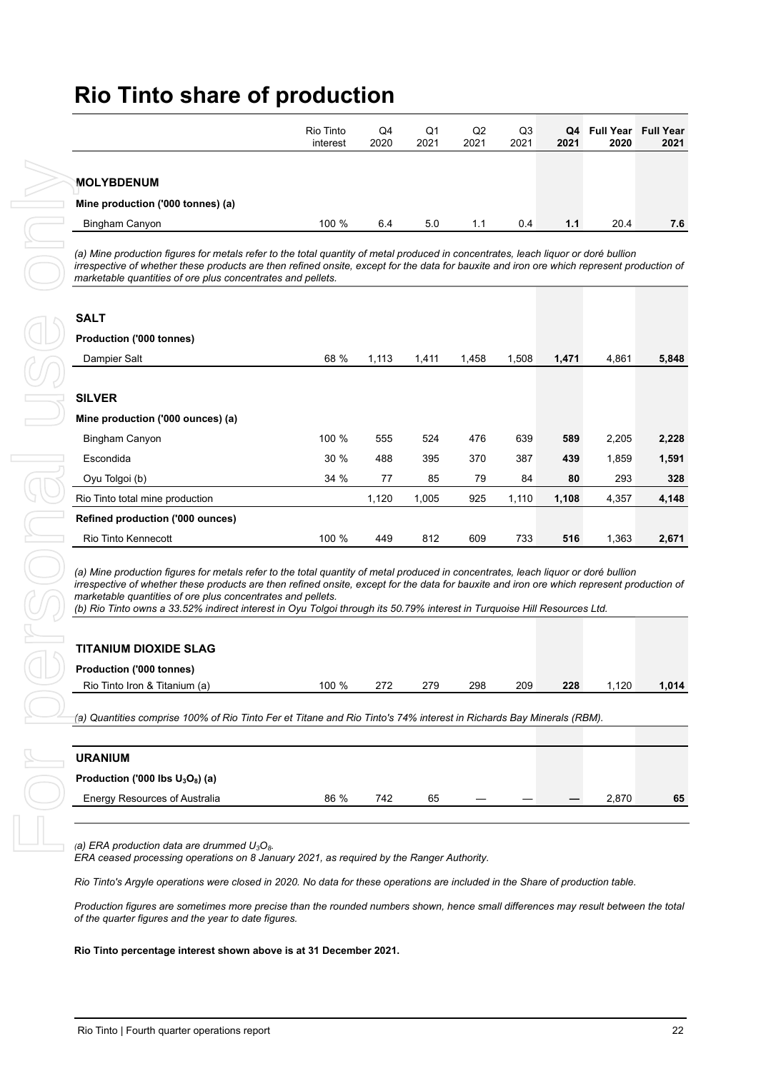|                                   | Rio Tinto<br>interest | Q4<br>2020 | Q1<br>2021 | Q2<br>2021 | Q3<br>2021 | 2021 | Q4 Full Year Full Year<br>2020 | 2021 |
|-----------------------------------|-----------------------|------------|------------|------------|------------|------|--------------------------------|------|
| MOLYBDENUM                        |                       |            |            |            |            |      |                                |      |
| Mine production ('000 tonnes) (a) |                       |            |            |            |            |      |                                |      |
| Bingham Canyon                    | 100 %                 | 6.4        | 5.0        | 1.1        | 0.4        | 1.1  | 20.4                           | 7.6  |

#### **SALT**

| Bingham Canyon                                                                                                                                                                                                                                                                                                                                                                                    | 100 % | 6.4   | 5.0   | 1.1   | 0.4   | 1.1   | 20.4           |
|---------------------------------------------------------------------------------------------------------------------------------------------------------------------------------------------------------------------------------------------------------------------------------------------------------------------------------------------------------------------------------------------------|-------|-------|-------|-------|-------|-------|----------------|
|                                                                                                                                                                                                                                                                                                                                                                                                   |       |       |       |       |       |       |                |
| (a) Mine production figures for metals refer to the total quantity of metal produced in concentrates, leach liquor or doré bullion<br>irrespective of whether these products are then refined onsite, except for the data for bauxite and iron ore which represent production of<br>marketable quantities of ore plus concentrates and pellets.                                                   |       |       |       |       |       |       |                |
| <b>SALT</b>                                                                                                                                                                                                                                                                                                                                                                                       |       |       |       |       |       |       |                |
| Production ('000 tonnes)                                                                                                                                                                                                                                                                                                                                                                          |       |       |       |       |       |       |                |
| Dampier Salt                                                                                                                                                                                                                                                                                                                                                                                      | 68 %  | 1,113 | 1,411 | 1,458 | 1,508 | 1,471 | 4,861          |
| <b>SILVER</b>                                                                                                                                                                                                                                                                                                                                                                                     |       |       |       |       |       |       |                |
| Mine production ('000 ounces) (a)                                                                                                                                                                                                                                                                                                                                                                 |       |       |       |       |       |       |                |
| Bingham Canyon                                                                                                                                                                                                                                                                                                                                                                                    | 100 % | 555   | 524   | 476   | 639   | 589   | 2,205          |
| Escondida                                                                                                                                                                                                                                                                                                                                                                                         | 30 %  | 488   | 395   | 370   | 387   | 439   | 1,859          |
| Oyu Tolgoi (b)                                                                                                                                                                                                                                                                                                                                                                                    | 34 %  | 77    | 85    | 79    | 84    | 80    | 293            |
| Rio Tinto total mine production                                                                                                                                                                                                                                                                                                                                                                   |       | 1,120 | 1,005 | 925   | 1,110 | 1,108 | 4,357          |
| <b>Refined production ('000 ounces)</b>                                                                                                                                                                                                                                                                                                                                                           |       |       |       |       |       |       |                |
| Rio Tinto Kennecott                                                                                                                                                                                                                                                                                                                                                                               | 100 % | 449   | 812   | 609   | 733   | 516   | 1,363          |
|                                                                                                                                                                                                                                                                                                                                                                                                   |       |       |       |       |       |       |                |
| marketable quantities of ore plus concentrates and pellets.<br>(b) Rio Tinto owns a 33.52% indirect interest in Oyu Tolgoi through its 50.79% interest in Turquoise Hill Resources Ltd.<br><b>TITANIUM DIOXIDE SLAG</b><br>Production ('000 tonnes)                                                                                                                                               |       |       |       |       |       |       |                |
| Rio Tinto Iron & Titanium (a)                                                                                                                                                                                                                                                                                                                                                                     | 100 % | 272   | 279   | 298   | 209   | 228   |                |
| (a) Quantities comprise 100% of Rio Tinto Fer et Titane and Rio Tinto's 74% interest in Richards Bay Minerals (RBM).                                                                                                                                                                                                                                                                              |       |       |       |       |       |       |                |
|                                                                                                                                                                                                                                                                                                                                                                                                   |       |       |       |       |       |       |                |
| <b>URANIUM</b><br>Production ('000 lbs $U_3O_8$ ) (a)                                                                                                                                                                                                                                                                                                                                             |       |       |       |       |       |       |                |
| Energy Resources of Australia                                                                                                                                                                                                                                                                                                                                                                     | 86 %  | 742   | 65    |       |       |       | 1,120<br>2,870 |
| (a) ERA production data are drummed $U_3O_8$ .<br>ERA ceased processing operations on 8 January 2021, as required by the Ranger Authority.                                                                                                                                                                                                                                                        |       |       |       |       |       |       |                |
|                                                                                                                                                                                                                                                                                                                                                                                                   |       |       |       |       |       |       |                |
|                                                                                                                                                                                                                                                                                                                                                                                                   |       |       |       |       |       |       |                |
| Rio Tinto's Argyle operations were closed in 2020. No data for these operations are included in the Share of production table.<br>Production figures are sometimes more precise than the rounded numbers shown, hence small differences may result between the total<br>of the quarter figures and the year to date figures.<br>Rio Tinto percentage interest shown above is at 31 December 2021. |       |       |       |       |       |       |                |

| <b>TITANIUM DIOXIDE SLAG</b>    |       |     |     |     |     |     |       |       |
|---------------------------------|-------|-----|-----|-----|-----|-----|-------|-------|
| <b>Production ('000 tonnes)</b> |       |     |     |     |     |     |       |       |
| Rio Tinto Iron & Titanium (a)   | 100 % | 272 | 279 | 298 | 209 | 228 | 1.120 | 1.014 |

| <b>URANIUM</b>                      |        |     |    |  |       |    |
|-------------------------------------|--------|-----|----|--|-------|----|
| Production ('000 lbs $U_3O_8$ ) (a) |        |     |    |  |       |    |
| Energy Resources of Australia       | $86\%$ | 742 | 65 |  | 2.870 | 65 |
|                                     |        |     |    |  |       |    |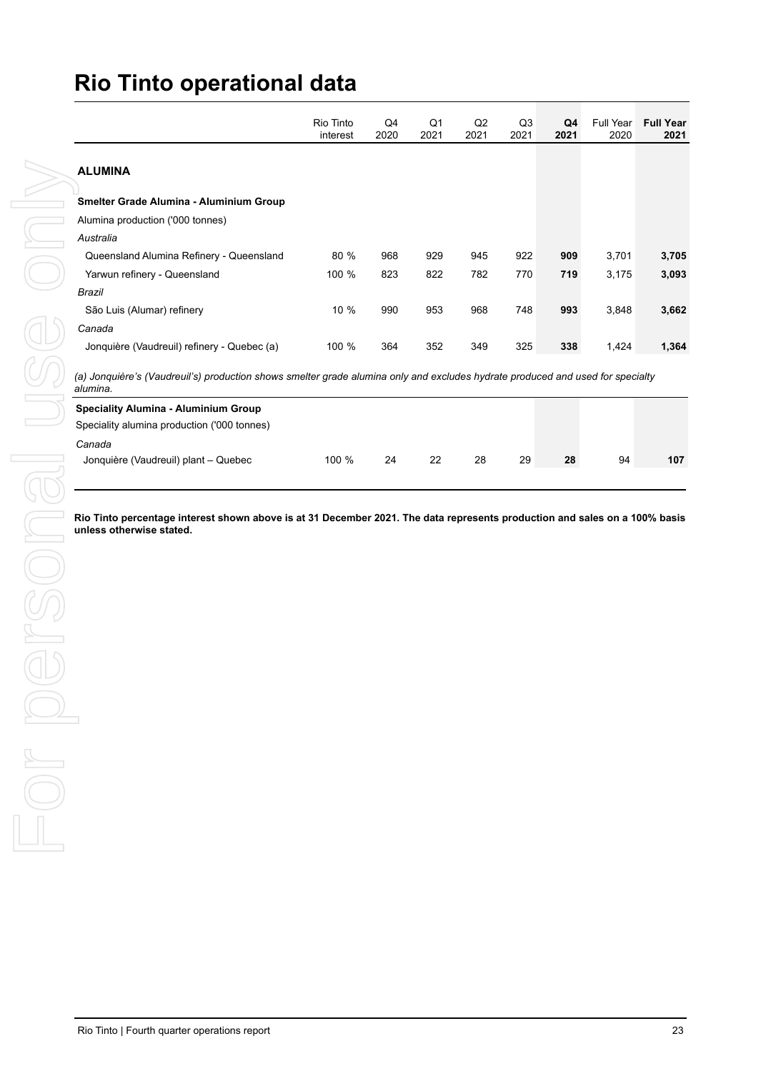| <b>ALUMINA</b><br>Smelter Grade Alumina - Aluminium Group<br>Alumina production ('000 tonnes)<br>Australia<br>922<br>Queensland Alumina Refinery - Queensland<br>80 %<br>968<br>929<br>945<br>909<br>3,701<br>Yarwun refinery - Queensland<br>100 %<br>823<br>822<br>782<br>770<br>719<br>3,175<br>Brazil<br>São Luis (Alumar) refinery<br>10 %<br>990<br>953<br>968<br>748<br>993<br>3,848<br>Canada<br>Jonquière (Vaudreuil) refinery - Quebec (a)<br>100 %<br>364<br>352<br>349<br>325<br>338<br>1,424<br>(a) Jonquière's (Vaudreuil's) production shows smelter grade alumina only and excludes hydrate produced and used for specialty<br>alumina.<br><b>Speciality Alumina - Aluminium Group</b><br>Speciality alumina production ('000 tonnes)<br>Canada<br>22<br>28<br>29<br>Jonquière (Vaudreuil) plant - Quebec<br>100 %<br>24<br>28<br>94<br>Rio Tinto percentage interest shown above is at 31 December 2021. The data represents production and sales on a 100% basis<br>unless otherwise stated. |  | 2021 | 2021 | Q3<br>2021 | 2021 | 2020 |
|----------------------------------------------------------------------------------------------------------------------------------------------------------------------------------------------------------------------------------------------------------------------------------------------------------------------------------------------------------------------------------------------------------------------------------------------------------------------------------------------------------------------------------------------------------------------------------------------------------------------------------------------------------------------------------------------------------------------------------------------------------------------------------------------------------------------------------------------------------------------------------------------------------------------------------------------------------------------------------------------------------------|--|------|------|------------|------|------|
|                                                                                                                                                                                                                                                                                                                                                                                                                                                                                                                                                                                                                                                                                                                                                                                                                                                                                                                                                                                                                |  |      |      |            |      |      |
|                                                                                                                                                                                                                                                                                                                                                                                                                                                                                                                                                                                                                                                                                                                                                                                                                                                                                                                                                                                                                |  |      |      |            |      |      |
|                                                                                                                                                                                                                                                                                                                                                                                                                                                                                                                                                                                                                                                                                                                                                                                                                                                                                                                                                                                                                |  |      |      |            |      |      |
|                                                                                                                                                                                                                                                                                                                                                                                                                                                                                                                                                                                                                                                                                                                                                                                                                                                                                                                                                                                                                |  |      |      |            |      |      |
|                                                                                                                                                                                                                                                                                                                                                                                                                                                                                                                                                                                                                                                                                                                                                                                                                                                                                                                                                                                                                |  |      |      |            |      |      |
|                                                                                                                                                                                                                                                                                                                                                                                                                                                                                                                                                                                                                                                                                                                                                                                                                                                                                                                                                                                                                |  |      |      |            |      |      |
|                                                                                                                                                                                                                                                                                                                                                                                                                                                                                                                                                                                                                                                                                                                                                                                                                                                                                                                                                                                                                |  |      |      |            |      |      |
|                                                                                                                                                                                                                                                                                                                                                                                                                                                                                                                                                                                                                                                                                                                                                                                                                                                                                                                                                                                                                |  |      |      |            |      |      |
|                                                                                                                                                                                                                                                                                                                                                                                                                                                                                                                                                                                                                                                                                                                                                                                                                                                                                                                                                                                                                |  |      |      |            |      |      |
|                                                                                                                                                                                                                                                                                                                                                                                                                                                                                                                                                                                                                                                                                                                                                                                                                                                                                                                                                                                                                |  |      |      |            |      |      |
|                                                                                                                                                                                                                                                                                                                                                                                                                                                                                                                                                                                                                                                                                                                                                                                                                                                                                                                                                                                                                |  |      |      |            |      |      |
|                                                                                                                                                                                                                                                                                                                                                                                                                                                                                                                                                                                                                                                                                                                                                                                                                                                                                                                                                                                                                |  |      |      |            |      |      |
|                                                                                                                                                                                                                                                                                                                                                                                                                                                                                                                                                                                                                                                                                                                                                                                                                                                                                                                                                                                                                |  |      |      |            |      |      |
|                                                                                                                                                                                                                                                                                                                                                                                                                                                                                                                                                                                                                                                                                                                                                                                                                                                                                                                                                                                                                |  |      |      |            |      |      |
|                                                                                                                                                                                                                                                                                                                                                                                                                                                                                                                                                                                                                                                                                                                                                                                                                                                                                                                                                                                                                |  |      |      |            |      |      |
|                                                                                                                                                                                                                                                                                                                                                                                                                                                                                                                                                                                                                                                                                                                                                                                                                                                                                                                                                                                                                |  |      |      |            |      |      |
|                                                                                                                                                                                                                                                                                                                                                                                                                                                                                                                                                                                                                                                                                                                                                                                                                                                                                                                                                                                                                |  |      |      |            |      |      |
|                                                                                                                                                                                                                                                                                                                                                                                                                                                                                                                                                                                                                                                                                                                                                                                                                                                                                                                                                                                                                |  |      |      |            |      |      |
|                                                                                                                                                                                                                                                                                                                                                                                                                                                                                                                                                                                                                                                                                                                                                                                                                                                                                                                                                                                                                |  |      |      |            |      |      |
|                                                                                                                                                                                                                                                                                                                                                                                                                                                                                                                                                                                                                                                                                                                                                                                                                                                                                                                                                                                                                |  |      |      |            |      |      |
|                                                                                                                                                                                                                                                                                                                                                                                                                                                                                                                                                                                                                                                                                                                                                                                                                                                                                                                                                                                                                |  |      |      |            |      |      |
|                                                                                                                                                                                                                                                                                                                                                                                                                                                                                                                                                                                                                                                                                                                                                                                                                                                                                                                                                                                                                |  |      |      |            |      |      |
|                                                                                                                                                                                                                                                                                                                                                                                                                                                                                                                                                                                                                                                                                                                                                                                                                                                                                                                                                                                                                |  |      |      |            |      |      |
|                                                                                                                                                                                                                                                                                                                                                                                                                                                                                                                                                                                                                                                                                                                                                                                                                                                                                                                                                                                                                |  |      |      |            |      |      |
|                                                                                                                                                                                                                                                                                                                                                                                                                                                                                                                                                                                                                                                                                                                                                                                                                                                                                                                                                                                                                |  |      |      |            |      |      |
|                                                                                                                                                                                                                                                                                                                                                                                                                                                                                                                                                                                                                                                                                                                                                                                                                                                                                                                                                                                                                |  |      |      |            |      |      |
|                                                                                                                                                                                                                                                                                                                                                                                                                                                                                                                                                                                                                                                                                                                                                                                                                                                                                                                                                                                                                |  |      |      |            |      |      |
|                                                                                                                                                                                                                                                                                                                                                                                                                                                                                                                                                                                                                                                                                                                                                                                                                                                                                                                                                                                                                |  |      |      |            |      |      |
|                                                                                                                                                                                                                                                                                                                                                                                                                                                                                                                                                                                                                                                                                                                                                                                                                                                                                                                                                                                                                |  |      |      |            |      |      |
|                                                                                                                                                                                                                                                                                                                                                                                                                                                                                                                                                                                                                                                                                                                                                                                                                                                                                                                                                                                                                |  |      |      |            |      |      |
|                                                                                                                                                                                                                                                                                                                                                                                                                                                                                                                                                                                                                                                                                                                                                                                                                                                                                                                                                                                                                |  |      |      |            |      |      |
|                                                                                                                                                                                                                                                                                                                                                                                                                                                                                                                                                                                                                                                                                                                                                                                                                                                                                                                                                                                                                |  |      |      |            |      |      |
|                                                                                                                                                                                                                                                                                                                                                                                                                                                                                                                                                                                                                                                                                                                                                                                                                                                                                                                                                                                                                |  |      |      |            |      |      |
|                                                                                                                                                                                                                                                                                                                                                                                                                                                                                                                                                                                                                                                                                                                                                                                                                                                                                                                                                                                                                |  |      |      |            |      |      |
|                                                                                                                                                                                                                                                                                                                                                                                                                                                                                                                                                                                                                                                                                                                                                                                                                                                                                                                                                                                                                |  |      |      |            |      |      |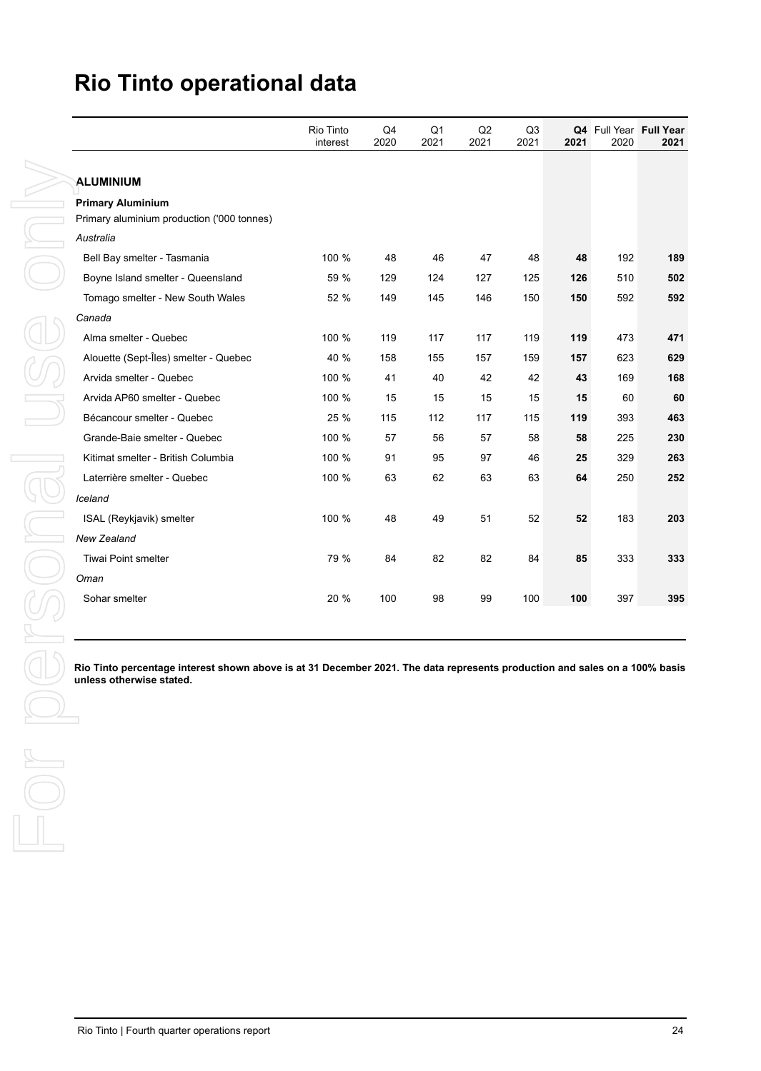| ALUMINIUM<br><b>Primary Aluminium</b><br>Primary aluminium production ('000 tonnes)<br>Australia<br>Bell Bay smelter - Tasmania<br>100 %<br>48<br>47<br>192<br>46<br>48<br>48<br>59 %<br>Boyne Island smelter - Queensland<br>129<br>127<br>126<br>510<br>124<br>125<br>52 %<br>149<br>145<br>146<br>150<br>150<br>592<br>Tomago smelter - New South Wales<br>Canada<br>Alma smelter - Quebec<br>100 %<br>117<br>117<br>119<br>473<br>119<br>119<br>Alouette (Sept-Îles) smelter - Quebec<br>40 %<br>158<br>155<br>157<br>159<br>157<br>623<br>Arvida smelter - Quebec<br>100 %<br>41<br>40<br>42<br>42<br>43<br>169<br>Arvida AP60 smelter - Quebec<br>100 %<br>15<br>15<br>15<br>15<br>15<br>60<br>25 %<br>Bécancour smelter - Quebec<br>112<br>117<br>119<br>393<br>115<br>115<br>Grande-Baie smelter - Quebec<br>100 %<br>57<br>56<br>57<br>58<br>58<br>225<br>100 %<br>91<br>95<br>97<br>329<br>Kitimat smelter - British Columbia<br>46<br>25<br>100 %<br>Laterrière smelter - Quebec<br>63<br>62<br>63<br>63<br>64<br>250<br>Iceland<br>51<br>52<br>ISAL (Reykjavik) smelter<br>100 %<br>48<br>49<br>52<br>183<br>New Zealand<br>79 %<br>Tiwai Point smelter<br>84<br>82<br>82<br>84<br>85<br>333<br>Oman<br>20 %<br>397<br>Sohar smelter<br>100<br>98<br>99<br>100<br>100<br>Rio Tinto percentage interest shown above is at 31 December 2021. The data represents production and sales on a 100% basis<br>unless otherwise stated. |  | Rio Tinto<br>interest | Q4<br>2020 | Q <sub>1</sub><br>2021 | $\mathsf{Q2}$<br>2021 | Q3<br>2021 | 2021 | Q4 Full Year Full Year<br>2020 |
|---------------------------------------------------------------------------------------------------------------------------------------------------------------------------------------------------------------------------------------------------------------------------------------------------------------------------------------------------------------------------------------------------------------------------------------------------------------------------------------------------------------------------------------------------------------------------------------------------------------------------------------------------------------------------------------------------------------------------------------------------------------------------------------------------------------------------------------------------------------------------------------------------------------------------------------------------------------------------------------------------------------------------------------------------------------------------------------------------------------------------------------------------------------------------------------------------------------------------------------------------------------------------------------------------------------------------------------------------------------------------------------------------------------------------------------------|--|-----------------------|------------|------------------------|-----------------------|------------|------|--------------------------------|
|                                                                                                                                                                                                                                                                                                                                                                                                                                                                                                                                                                                                                                                                                                                                                                                                                                                                                                                                                                                                                                                                                                                                                                                                                                                                                                                                                                                                                                             |  |                       |            |                        |                       |            |      |                                |
|                                                                                                                                                                                                                                                                                                                                                                                                                                                                                                                                                                                                                                                                                                                                                                                                                                                                                                                                                                                                                                                                                                                                                                                                                                                                                                                                                                                                                                             |  |                       |            |                        |                       |            |      |                                |
|                                                                                                                                                                                                                                                                                                                                                                                                                                                                                                                                                                                                                                                                                                                                                                                                                                                                                                                                                                                                                                                                                                                                                                                                                                                                                                                                                                                                                                             |  |                       |            |                        |                       |            |      |                                |
|                                                                                                                                                                                                                                                                                                                                                                                                                                                                                                                                                                                                                                                                                                                                                                                                                                                                                                                                                                                                                                                                                                                                                                                                                                                                                                                                                                                                                                             |  |                       |            |                        |                       |            |      |                                |
|                                                                                                                                                                                                                                                                                                                                                                                                                                                                                                                                                                                                                                                                                                                                                                                                                                                                                                                                                                                                                                                                                                                                                                                                                                                                                                                                                                                                                                             |  |                       |            |                        |                       |            |      |                                |
|                                                                                                                                                                                                                                                                                                                                                                                                                                                                                                                                                                                                                                                                                                                                                                                                                                                                                                                                                                                                                                                                                                                                                                                                                                                                                                                                                                                                                                             |  |                       |            |                        |                       |            |      |                                |
|                                                                                                                                                                                                                                                                                                                                                                                                                                                                                                                                                                                                                                                                                                                                                                                                                                                                                                                                                                                                                                                                                                                                                                                                                                                                                                                                                                                                                                             |  |                       |            |                        |                       |            |      |                                |
|                                                                                                                                                                                                                                                                                                                                                                                                                                                                                                                                                                                                                                                                                                                                                                                                                                                                                                                                                                                                                                                                                                                                                                                                                                                                                                                                                                                                                                             |  |                       |            |                        |                       |            |      |                                |
|                                                                                                                                                                                                                                                                                                                                                                                                                                                                                                                                                                                                                                                                                                                                                                                                                                                                                                                                                                                                                                                                                                                                                                                                                                                                                                                                                                                                                                             |  |                       |            |                        |                       |            |      |                                |
|                                                                                                                                                                                                                                                                                                                                                                                                                                                                                                                                                                                                                                                                                                                                                                                                                                                                                                                                                                                                                                                                                                                                                                                                                                                                                                                                                                                                                                             |  |                       |            |                        |                       |            |      |                                |
|                                                                                                                                                                                                                                                                                                                                                                                                                                                                                                                                                                                                                                                                                                                                                                                                                                                                                                                                                                                                                                                                                                                                                                                                                                                                                                                                                                                                                                             |  |                       |            |                        |                       |            |      |                                |
|                                                                                                                                                                                                                                                                                                                                                                                                                                                                                                                                                                                                                                                                                                                                                                                                                                                                                                                                                                                                                                                                                                                                                                                                                                                                                                                                                                                                                                             |  |                       |            |                        |                       |            |      |                                |
|                                                                                                                                                                                                                                                                                                                                                                                                                                                                                                                                                                                                                                                                                                                                                                                                                                                                                                                                                                                                                                                                                                                                                                                                                                                                                                                                                                                                                                             |  |                       |            |                        |                       |            |      |                                |
|                                                                                                                                                                                                                                                                                                                                                                                                                                                                                                                                                                                                                                                                                                                                                                                                                                                                                                                                                                                                                                                                                                                                                                                                                                                                                                                                                                                                                                             |  |                       |            |                        |                       |            |      |                                |
|                                                                                                                                                                                                                                                                                                                                                                                                                                                                                                                                                                                                                                                                                                                                                                                                                                                                                                                                                                                                                                                                                                                                                                                                                                                                                                                                                                                                                                             |  |                       |            |                        |                       |            |      |                                |
|                                                                                                                                                                                                                                                                                                                                                                                                                                                                                                                                                                                                                                                                                                                                                                                                                                                                                                                                                                                                                                                                                                                                                                                                                                                                                                                                                                                                                                             |  |                       |            |                        |                       |            |      |                                |
|                                                                                                                                                                                                                                                                                                                                                                                                                                                                                                                                                                                                                                                                                                                                                                                                                                                                                                                                                                                                                                                                                                                                                                                                                                                                                                                                                                                                                                             |  |                       |            |                        |                       |            |      |                                |
|                                                                                                                                                                                                                                                                                                                                                                                                                                                                                                                                                                                                                                                                                                                                                                                                                                                                                                                                                                                                                                                                                                                                                                                                                                                                                                                                                                                                                                             |  |                       |            |                        |                       |            |      |                                |
|                                                                                                                                                                                                                                                                                                                                                                                                                                                                                                                                                                                                                                                                                                                                                                                                                                                                                                                                                                                                                                                                                                                                                                                                                                                                                                                                                                                                                                             |  |                       |            |                        |                       |            |      |                                |
|                                                                                                                                                                                                                                                                                                                                                                                                                                                                                                                                                                                                                                                                                                                                                                                                                                                                                                                                                                                                                                                                                                                                                                                                                                                                                                                                                                                                                                             |  |                       |            |                        |                       |            |      |                                |
|                                                                                                                                                                                                                                                                                                                                                                                                                                                                                                                                                                                                                                                                                                                                                                                                                                                                                                                                                                                                                                                                                                                                                                                                                                                                                                                                                                                                                                             |  |                       |            |                        |                       |            |      |                                |
|                                                                                                                                                                                                                                                                                                                                                                                                                                                                                                                                                                                                                                                                                                                                                                                                                                                                                                                                                                                                                                                                                                                                                                                                                                                                                                                                                                                                                                             |  |                       |            |                        |                       |            |      |                                |
|                                                                                                                                                                                                                                                                                                                                                                                                                                                                                                                                                                                                                                                                                                                                                                                                                                                                                                                                                                                                                                                                                                                                                                                                                                                                                                                                                                                                                                             |  |                       |            |                        |                       |            |      |                                |
|                                                                                                                                                                                                                                                                                                                                                                                                                                                                                                                                                                                                                                                                                                                                                                                                                                                                                                                                                                                                                                                                                                                                                                                                                                                                                                                                                                                                                                             |  |                       |            |                        |                       |            |      |                                |
|                                                                                                                                                                                                                                                                                                                                                                                                                                                                                                                                                                                                                                                                                                                                                                                                                                                                                                                                                                                                                                                                                                                                                                                                                                                                                                                                                                                                                                             |  |                       |            |                        |                       |            |      |                                |
|                                                                                                                                                                                                                                                                                                                                                                                                                                                                                                                                                                                                                                                                                                                                                                                                                                                                                                                                                                                                                                                                                                                                                                                                                                                                                                                                                                                                                                             |  |                       |            |                        |                       |            |      |                                |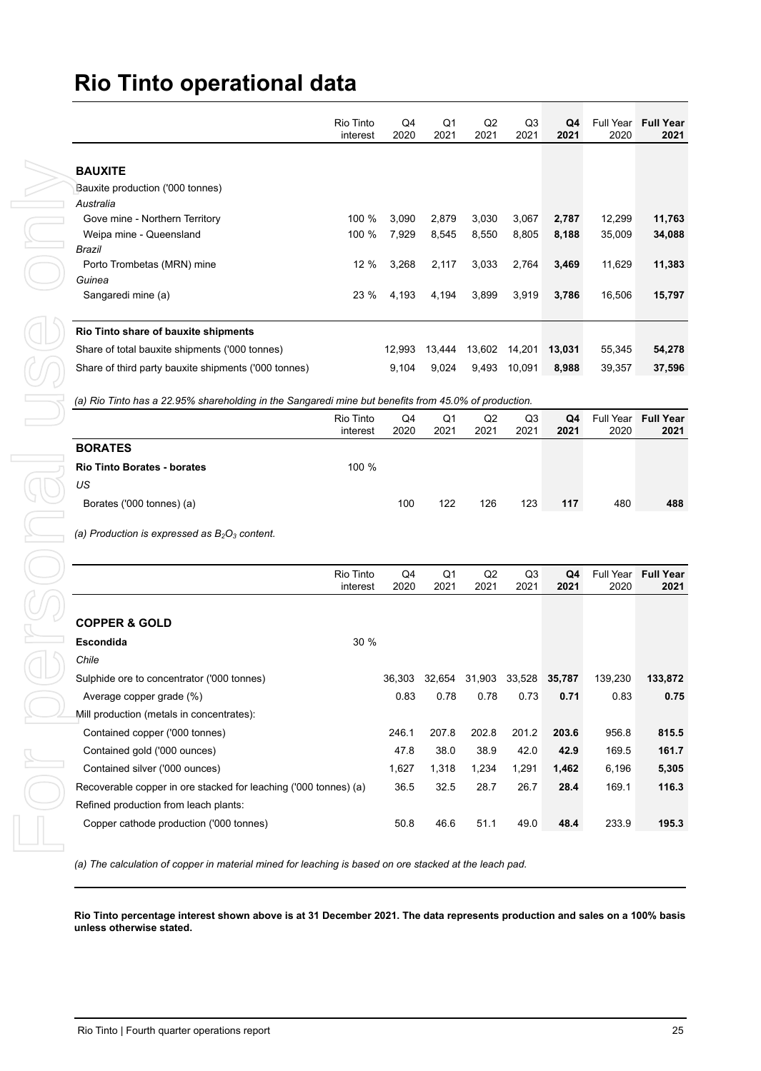| Rio Tinto<br>interest                                                                                                                                                                                                                                                                                                                                                                                                                                                                                                                                                                                                                                                                                                                                          | Q4<br>2020                                                                                                                                            | Q1<br>2021                   | Q2<br>2021                   | Q3<br>2021                   | Q4<br>2021                                                                                                                                                                                                                                               | Full Year Full Year<br>2020           | 2021                  |
|----------------------------------------------------------------------------------------------------------------------------------------------------------------------------------------------------------------------------------------------------------------------------------------------------------------------------------------------------------------------------------------------------------------------------------------------------------------------------------------------------------------------------------------------------------------------------------------------------------------------------------------------------------------------------------------------------------------------------------------------------------------|-------------------------------------------------------------------------------------------------------------------------------------------------------|------------------------------|------------------------------|------------------------------|----------------------------------------------------------------------------------------------------------------------------------------------------------------------------------------------------------------------------------------------------------|---------------------------------------|-----------------------|
|                                                                                                                                                                                                                                                                                                                                                                                                                                                                                                                                                                                                                                                                                                                                                                |                                                                                                                                                       |                              |                              |                              |                                                                                                                                                                                                                                                          |                                       |                       |
|                                                                                                                                                                                                                                                                                                                                                                                                                                                                                                                                                                                                                                                                                                                                                                |                                                                                                                                                       |                              |                              |                              |                                                                                                                                                                                                                                                          |                                       |                       |
|                                                                                                                                                                                                                                                                                                                                                                                                                                                                                                                                                                                                                                                                                                                                                                |                                                                                                                                                       |                              |                              |                              |                                                                                                                                                                                                                                                          |                                       |                       |
| 100 %                                                                                                                                                                                                                                                                                                                                                                                                                                                                                                                                                                                                                                                                                                                                                          | 3,090                                                                                                                                                 | 2,879                        | 3,030                        | 3,067                        | 2,787                                                                                                                                                                                                                                                    | 12,299                                | 11,763                |
| 100 %                                                                                                                                                                                                                                                                                                                                                                                                                                                                                                                                                                                                                                                                                                                                                          | 7,929                                                                                                                                                 | 8,545                        | 8,550                        | 8,805                        | 8,188                                                                                                                                                                                                                                                    | 35,009                                | 34,088                |
|                                                                                                                                                                                                                                                                                                                                                                                                                                                                                                                                                                                                                                                                                                                                                                |                                                                                                                                                       |                              |                              |                              |                                                                                                                                                                                                                                                          |                                       |                       |
|                                                                                                                                                                                                                                                                                                                                                                                                                                                                                                                                                                                                                                                                                                                                                                |                                                                                                                                                       |                              |                              |                              |                                                                                                                                                                                                                                                          |                                       | 11,383                |
| 23 %                                                                                                                                                                                                                                                                                                                                                                                                                                                                                                                                                                                                                                                                                                                                                           | 4,193                                                                                                                                                 | 4,194                        | 3,899                        | 3,919                        | 3,786                                                                                                                                                                                                                                                    | 16,506                                | 15,797                |
|                                                                                                                                                                                                                                                                                                                                                                                                                                                                                                                                                                                                                                                                                                                                                                |                                                                                                                                                       |                              |                              |                              |                                                                                                                                                                                                                                                          |                                       |                       |
|                                                                                                                                                                                                                                                                                                                                                                                                                                                                                                                                                                                                                                                                                                                                                                | 12,993                                                                                                                                                | 13,444                       |                              |                              | 13,031                                                                                                                                                                                                                                                   | 55,345                                | 54,278                |
|                                                                                                                                                                                                                                                                                                                                                                                                                                                                                                                                                                                                                                                                                                                                                                | 9,104                                                                                                                                                 | 9,024                        | 9,493                        |                              | 8,988                                                                                                                                                                                                                                                    | 39,357                                | 37,596                |
|                                                                                                                                                                                                                                                                                                                                                                                                                                                                                                                                                                                                                                                                                                                                                                |                                                                                                                                                       |                              |                              |                              |                                                                                                                                                                                                                                                          |                                       |                       |
| Rio Tinto                                                                                                                                                                                                                                                                                                                                                                                                                                                                                                                                                                                                                                                                                                                                                      | Q4                                                                                                                                                    | Q <sub>1</sub>               | Q2                           | Q <sub>3</sub>               | Q4                                                                                                                                                                                                                                                       | Full Year                             | <b>Full Year</b>      |
|                                                                                                                                                                                                                                                                                                                                                                                                                                                                                                                                                                                                                                                                                                                                                                |                                                                                                                                                       |                              |                              |                              |                                                                                                                                                                                                                                                          |                                       |                       |
|                                                                                                                                                                                                                                                                                                                                                                                                                                                                                                                                                                                                                                                                                                                                                                |                                                                                                                                                       |                              |                              |                              |                                                                                                                                                                                                                                                          |                                       |                       |
|                                                                                                                                                                                                                                                                                                                                                                                                                                                                                                                                                                                                                                                                                                                                                                |                                                                                                                                                       |                              |                              |                              |                                                                                                                                                                                                                                                          |                                       |                       |
|                                                                                                                                                                                                                                                                                                                                                                                                                                                                                                                                                                                                                                                                                                                                                                |                                                                                                                                                       |                              |                              |                              |                                                                                                                                                                                                                                                          |                                       |                       |
|                                                                                                                                                                                                                                                                                                                                                                                                                                                                                                                                                                                                                                                                                                                                                                |                                                                                                                                                       |                              |                              |                              |                                                                                                                                                                                                                                                          |                                       |                       |
|                                                                                                                                                                                                                                                                                                                                                                                                                                                                                                                                                                                                                                                                                                                                                                |                                                                                                                                                       |                              |                              |                              |                                                                                                                                                                                                                                                          |                                       |                       |
| Rio Tinto                                                                                                                                                                                                                                                                                                                                                                                                                                                                                                                                                                                                                                                                                                                                                      | Q4                                                                                                                                                    | Q1                           | Q2                           | Q <sub>3</sub>               | Q4                                                                                                                                                                                                                                                       | Full Year                             | <b>Full Year</b>      |
| interest                                                                                                                                                                                                                                                                                                                                                                                                                                                                                                                                                                                                                                                                                                                                                       |                                                                                                                                                       |                              |                              |                              | 2021                                                                                                                                                                                                                                                     | 2020                                  |                       |
|                                                                                                                                                                                                                                                                                                                                                                                                                                                                                                                                                                                                                                                                                                                                                                |                                                                                                                                                       |                              |                              |                              |                                                                                                                                                                                                                                                          |                                       |                       |
| 30 %                                                                                                                                                                                                                                                                                                                                                                                                                                                                                                                                                                                                                                                                                                                                                           |                                                                                                                                                       |                              |                              |                              |                                                                                                                                                                                                                                                          |                                       |                       |
|                                                                                                                                                                                                                                                                                                                                                                                                                                                                                                                                                                                                                                                                                                                                                                |                                                                                                                                                       |                              |                              |                              |                                                                                                                                                                                                                                                          |                                       |                       |
|                                                                                                                                                                                                                                                                                                                                                                                                                                                                                                                                                                                                                                                                                                                                                                | 36,303                                                                                                                                                | 32,654                       | 31,903                       | 33,528                       | 35,787                                                                                                                                                                                                                                                   | 139,230                               | 133,872               |
|                                                                                                                                                                                                                                                                                                                                                                                                                                                                                                                                                                                                                                                                                                                                                                | 0.83                                                                                                                                                  | 0.78                         | 0.78                         | 0.73                         | 0.71                                                                                                                                                                                                                                                     | 0.83                                  |                       |
|                                                                                                                                                                                                                                                                                                                                                                                                                                                                                                                                                                                                                                                                                                                                                                |                                                                                                                                                       |                              |                              |                              |                                                                                                                                                                                                                                                          |                                       |                       |
|                                                                                                                                                                                                                                                                                                                                                                                                                                                                                                                                                                                                                                                                                                                                                                | 246.1                                                                                                                                                 | 207.8                        | 202.8                        | 201.2                        | 203.6                                                                                                                                                                                                                                                    | 956.8                                 | 815.5                 |
|                                                                                                                                                                                                                                                                                                                                                                                                                                                                                                                                                                                                                                                                                                                                                                | 47.8                                                                                                                                                  | 38.0                         | 38.9                         | 42.0                         | 42.9                                                                                                                                                                                                                                                     | 169.5                                 | 161.7                 |
|                                                                                                                                                                                                                                                                                                                                                                                                                                                                                                                                                                                                                                                                                                                                                                | 1,627                                                                                                                                                 | 1,318                        | 1,234                        | 1,291                        | 1,462                                                                                                                                                                                                                                                    | 6,196                                 | 5,305                 |
|                                                                                                                                                                                                                                                                                                                                                                                                                                                                                                                                                                                                                                                                                                                                                                | 36.5                                                                                                                                                  | 32.5                         | 28.7                         | 26.7                         | 28.4                                                                                                                                                                                                                                                     | 169.1                                 | 116.3                 |
|                                                                                                                                                                                                                                                                                                                                                                                                                                                                                                                                                                                                                                                                                                                                                                |                                                                                                                                                       |                              |                              |                              |                                                                                                                                                                                                                                                          |                                       |                       |
|                                                                                                                                                                                                                                                                                                                                                                                                                                                                                                                                                                                                                                                                                                                                                                | 50.8                                                                                                                                                  | 46.6                         | 51.1                         | 49.0                         | 48.4                                                                                                                                                                                                                                                     | 233.9                                 | 195.3                 |
|                                                                                                                                                                                                                                                                                                                                                                                                                                                                                                                                                                                                                                                                                                                                                                |                                                                                                                                                       |                              |                              |                              |                                                                                                                                                                                                                                                          |                                       |                       |
| <b>BAUXITE</b><br>Bauxite production ('000 tonnes)<br>Gove mine - Northern Territory<br>Weipa mine - Queensland<br>Porto Trombetas (MRN) mine<br>Sangaredi mine (a)<br>Rio Tinto share of bauxite shipments<br>Share of total bauxite shipments ('000 tonnes)<br><b>BORATES</b><br><b>Rio Tinto Borates - borates</b><br>Borates ('000 tonnes) (a)<br>(a) Production is expressed as $B_2O_3$ content.<br><b>COPPER &amp; GOLD</b><br>Escondida<br>Sulphide ore to concentrator ('000 tonnes)<br>Average copper grade (%)<br>Mill production (metals in concentrates):<br>Contained copper ('000 tonnes)<br>Contained gold ('000 ounces)<br>Contained silver ('000 ounces)<br>Refined production from leach plants:<br>Copper cathode production ('000 tonnes) | 12 %<br>Share of third party bauxite shipments ('000 tonnes)<br>interest<br>100 %<br>Recoverable copper in ore stacked for leaching ('000 tonnes) (a) | 3,268<br>2020<br>100<br>2020 | 2,117<br>2021<br>122<br>2021 | 3,033<br>2021<br>126<br>2021 | 2,764<br>10,091<br>(a) Rio Tinto has a 22.95% shareholding in the Sangaredi mine but benefits from 45.0% of production.<br>2021<br>123<br>2021<br>(a) The calculation of copper in material mined for leaching is based on ore stacked at the leach pad. | 3,469<br>13,602 14,201<br>2021<br>117 | 11,629<br>2020<br>480 |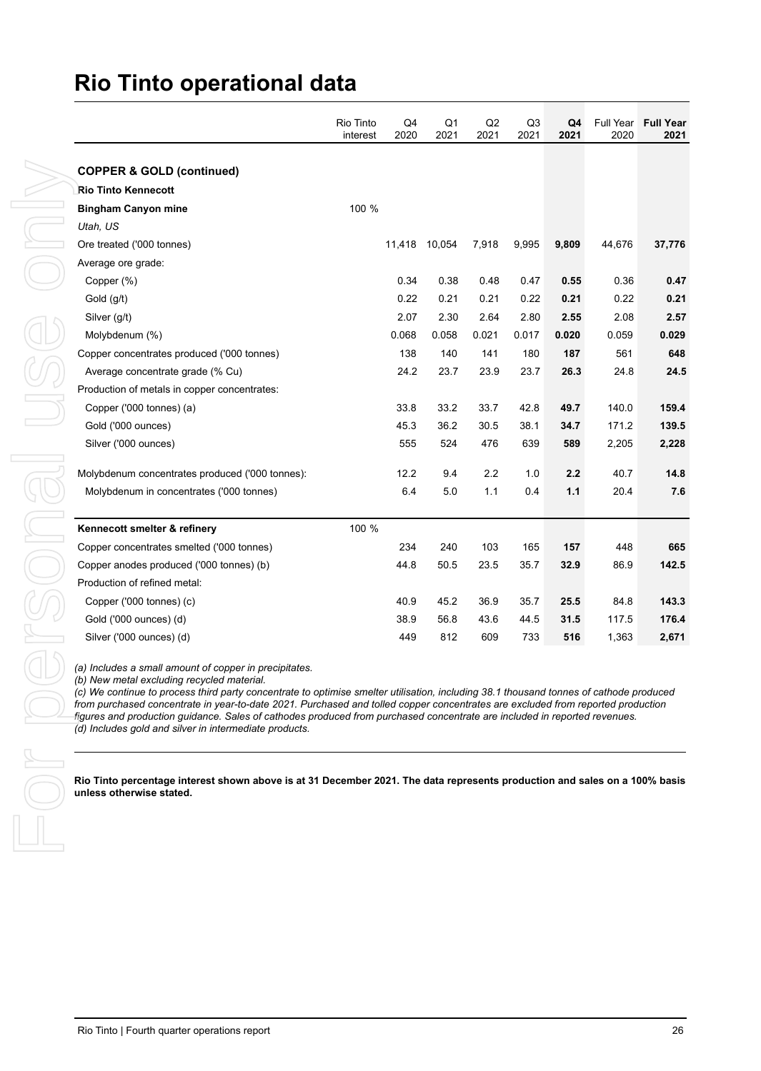| <b>COPPER &amp; GOLD (continued)</b><br><b>Rio Tinto Kennecott</b><br>100 %<br><b>Bingham Canyon mine</b><br>Utah, US<br>Ore treated ('000 tonnes)<br>11,418 10,054<br>7,918<br>9,995<br>9,809<br>Average ore grade:<br>Copper (%)<br>0.34<br>0.38<br>0.48<br>0.47<br>0.55<br>0.22<br>Gold (g/t)<br>0.21<br>0.21<br>0.22<br>0.21<br>Silver (g/t)<br>2.07<br>2.30<br>2.64<br>2.80<br>2.55<br>0.068<br>Molybdenum (%)<br>0.058<br>0.021<br>0.017<br>0.020<br>Copper concentrates produced ('000 tonnes)<br>138<br>140<br>141<br>180<br>187<br>24.2<br>23.7<br>Average concentrate grade (% Cu)<br>23.9<br>23.7<br>26.3<br>Production of metals in copper concentrates:<br>33.8<br>33.2<br>Copper ('000 tonnes) (a)<br>33.7<br>42.8<br>49.7<br>Gold ('000 ounces)<br>45.3<br>36.2<br>30.5<br>38.1<br>34.7<br>Silver ('000 ounces)<br>555<br>524<br>476<br>639<br>589<br>2.2<br>Molybdenum concentrates produced ('000 tonnes):<br>12.2<br>9.4<br>1.0<br>2.2<br>5.0<br>1.1<br>Molybdenum in concentrates ('000 tonnes)<br>6.4<br>0.4<br>1.1<br>100 %<br>Kennecott smelter & refinery<br>240<br>Copper concentrates smelted ('000 tonnes)<br>234<br>103<br>165<br>157<br>Copper anodes produced ('000 tonnes) (b)<br>44.8<br>50.5<br>23.5<br>35.7<br>32.9<br>Production of refined metal:<br>Copper ('000 tonnes) (c)<br>40.9<br>45.2<br>36.9<br>35.7<br>25.5<br>Gold ('000 ounces) (d)<br>38.9<br>56.8<br>43.6<br>44.5<br>31.5<br>Silver ('000 ounces) (d)<br>812<br>449<br>609<br>733<br>516 | (a) Includes a small amount of copper in precipitates.<br>(b) New metal excluding recycled material.<br>(c) We continue to process third party concentrate to optimise smelter utilisation, including 38.1 thousand tonnes of cathode produced<br>from purchased concentrate in year-to-date 2021. Purchased and tolled copper concentrates are excluded from reported production<br>figures and production guidance. Sales of cathodes produced from purchased concentrate are included in reported revenues.<br>(d) Includes gold and silver in intermediate products.<br>Rio Tinto percentage interest shown above is at 31 December 2021. The data represents production and sales on a 100% basis<br>unless otherwise stated. |
|-------------------------------------------------------------------------------------------------------------------------------------------------------------------------------------------------------------------------------------------------------------------------------------------------------------------------------------------------------------------------------------------------------------------------------------------------------------------------------------------------------------------------------------------------------------------------------------------------------------------------------------------------------------------------------------------------------------------------------------------------------------------------------------------------------------------------------------------------------------------------------------------------------------------------------------------------------------------------------------------------------------------------------------------------------------------------------------------------------------------------------------------------------------------------------------------------------------------------------------------------------------------------------------------------------------------------------------------------------------------------------------------------------------------------------------------------------------------------------------------|------------------------------------------------------------------------------------------------------------------------------------------------------------------------------------------------------------------------------------------------------------------------------------------------------------------------------------------------------------------------------------------------------------------------------------------------------------------------------------------------------------------------------------------------------------------------------------------------------------------------------------------------------------------------------------------------------------------------------------|
| 44,676<br>0.36<br>0.22<br>2.08<br>0.059<br>561<br>24.8<br>140.0<br>171.2<br>2,205<br>40.7<br>20.4<br>448<br>86.9<br>84.8<br>117.5<br>1,363                                                                                                                                                                                                                                                                                                                                                                                                                                                                                                                                                                                                                                                                                                                                                                                                                                                                                                                                                                                                                                                                                                                                                                                                                                                                                                                                                |                                                                                                                                                                                                                                                                                                                                                                                                                                                                                                                                                                                                                                                                                                                                    |
|                                                                                                                                                                                                                                                                                                                                                                                                                                                                                                                                                                                                                                                                                                                                                                                                                                                                                                                                                                                                                                                                                                                                                                                                                                                                                                                                                                                                                                                                                           |                                                                                                                                                                                                                                                                                                                                                                                                                                                                                                                                                                                                                                                                                                                                    |
|                                                                                                                                                                                                                                                                                                                                                                                                                                                                                                                                                                                                                                                                                                                                                                                                                                                                                                                                                                                                                                                                                                                                                                                                                                                                                                                                                                                                                                                                                           |                                                                                                                                                                                                                                                                                                                                                                                                                                                                                                                                                                                                                                                                                                                                    |
|                                                                                                                                                                                                                                                                                                                                                                                                                                                                                                                                                                                                                                                                                                                                                                                                                                                                                                                                                                                                                                                                                                                                                                                                                                                                                                                                                                                                                                                                                           |                                                                                                                                                                                                                                                                                                                                                                                                                                                                                                                                                                                                                                                                                                                                    |
|                                                                                                                                                                                                                                                                                                                                                                                                                                                                                                                                                                                                                                                                                                                                                                                                                                                                                                                                                                                                                                                                                                                                                                                                                                                                                                                                                                                                                                                                                           |                                                                                                                                                                                                                                                                                                                                                                                                                                                                                                                                                                                                                                                                                                                                    |
|                                                                                                                                                                                                                                                                                                                                                                                                                                                                                                                                                                                                                                                                                                                                                                                                                                                                                                                                                                                                                                                                                                                                                                                                                                                                                                                                                                                                                                                                                           |                                                                                                                                                                                                                                                                                                                                                                                                                                                                                                                                                                                                                                                                                                                                    |
|                                                                                                                                                                                                                                                                                                                                                                                                                                                                                                                                                                                                                                                                                                                                                                                                                                                                                                                                                                                                                                                                                                                                                                                                                                                                                                                                                                                                                                                                                           |                                                                                                                                                                                                                                                                                                                                                                                                                                                                                                                                                                                                                                                                                                                                    |
|                                                                                                                                                                                                                                                                                                                                                                                                                                                                                                                                                                                                                                                                                                                                                                                                                                                                                                                                                                                                                                                                                                                                                                                                                                                                                                                                                                                                                                                                                           |                                                                                                                                                                                                                                                                                                                                                                                                                                                                                                                                                                                                                                                                                                                                    |
|                                                                                                                                                                                                                                                                                                                                                                                                                                                                                                                                                                                                                                                                                                                                                                                                                                                                                                                                                                                                                                                                                                                                                                                                                                                                                                                                                                                                                                                                                           |                                                                                                                                                                                                                                                                                                                                                                                                                                                                                                                                                                                                                                                                                                                                    |
|                                                                                                                                                                                                                                                                                                                                                                                                                                                                                                                                                                                                                                                                                                                                                                                                                                                                                                                                                                                                                                                                                                                                                                                                                                                                                                                                                                                                                                                                                           |                                                                                                                                                                                                                                                                                                                                                                                                                                                                                                                                                                                                                                                                                                                                    |
|                                                                                                                                                                                                                                                                                                                                                                                                                                                                                                                                                                                                                                                                                                                                                                                                                                                                                                                                                                                                                                                                                                                                                                                                                                                                                                                                                                                                                                                                                           |                                                                                                                                                                                                                                                                                                                                                                                                                                                                                                                                                                                                                                                                                                                                    |
|                                                                                                                                                                                                                                                                                                                                                                                                                                                                                                                                                                                                                                                                                                                                                                                                                                                                                                                                                                                                                                                                                                                                                                                                                                                                                                                                                                                                                                                                                           |                                                                                                                                                                                                                                                                                                                                                                                                                                                                                                                                                                                                                                                                                                                                    |
|                                                                                                                                                                                                                                                                                                                                                                                                                                                                                                                                                                                                                                                                                                                                                                                                                                                                                                                                                                                                                                                                                                                                                                                                                                                                                                                                                                                                                                                                                           |                                                                                                                                                                                                                                                                                                                                                                                                                                                                                                                                                                                                                                                                                                                                    |
|                                                                                                                                                                                                                                                                                                                                                                                                                                                                                                                                                                                                                                                                                                                                                                                                                                                                                                                                                                                                                                                                                                                                                                                                                                                                                                                                                                                                                                                                                           |                                                                                                                                                                                                                                                                                                                                                                                                                                                                                                                                                                                                                                                                                                                                    |
|                                                                                                                                                                                                                                                                                                                                                                                                                                                                                                                                                                                                                                                                                                                                                                                                                                                                                                                                                                                                                                                                                                                                                                                                                                                                                                                                                                                                                                                                                           |                                                                                                                                                                                                                                                                                                                                                                                                                                                                                                                                                                                                                                                                                                                                    |
|                                                                                                                                                                                                                                                                                                                                                                                                                                                                                                                                                                                                                                                                                                                                                                                                                                                                                                                                                                                                                                                                                                                                                                                                                                                                                                                                                                                                                                                                                           |                                                                                                                                                                                                                                                                                                                                                                                                                                                                                                                                                                                                                                                                                                                                    |
|                                                                                                                                                                                                                                                                                                                                                                                                                                                                                                                                                                                                                                                                                                                                                                                                                                                                                                                                                                                                                                                                                                                                                                                                                                                                                                                                                                                                                                                                                           |                                                                                                                                                                                                                                                                                                                                                                                                                                                                                                                                                                                                                                                                                                                                    |
|                                                                                                                                                                                                                                                                                                                                                                                                                                                                                                                                                                                                                                                                                                                                                                                                                                                                                                                                                                                                                                                                                                                                                                                                                                                                                                                                                                                                                                                                                           |                                                                                                                                                                                                                                                                                                                                                                                                                                                                                                                                                                                                                                                                                                                                    |
|                                                                                                                                                                                                                                                                                                                                                                                                                                                                                                                                                                                                                                                                                                                                                                                                                                                                                                                                                                                                                                                                                                                                                                                                                                                                                                                                                                                                                                                                                           |                                                                                                                                                                                                                                                                                                                                                                                                                                                                                                                                                                                                                                                                                                                                    |
|                                                                                                                                                                                                                                                                                                                                                                                                                                                                                                                                                                                                                                                                                                                                                                                                                                                                                                                                                                                                                                                                                                                                                                                                                                                                                                                                                                                                                                                                                           |                                                                                                                                                                                                                                                                                                                                                                                                                                                                                                                                                                                                                                                                                                                                    |
|                                                                                                                                                                                                                                                                                                                                                                                                                                                                                                                                                                                                                                                                                                                                                                                                                                                                                                                                                                                                                                                                                                                                                                                                                                                                                                                                                                                                                                                                                           |                                                                                                                                                                                                                                                                                                                                                                                                                                                                                                                                                                                                                                                                                                                                    |
|                                                                                                                                                                                                                                                                                                                                                                                                                                                                                                                                                                                                                                                                                                                                                                                                                                                                                                                                                                                                                                                                                                                                                                                                                                                                                                                                                                                                                                                                                           |                                                                                                                                                                                                                                                                                                                                                                                                                                                                                                                                                                                                                                                                                                                                    |
|                                                                                                                                                                                                                                                                                                                                                                                                                                                                                                                                                                                                                                                                                                                                                                                                                                                                                                                                                                                                                                                                                                                                                                                                                                                                                                                                                                                                                                                                                           |                                                                                                                                                                                                                                                                                                                                                                                                                                                                                                                                                                                                                                                                                                                                    |
|                                                                                                                                                                                                                                                                                                                                                                                                                                                                                                                                                                                                                                                                                                                                                                                                                                                                                                                                                                                                                                                                                                                                                                                                                                                                                                                                                                                                                                                                                           |                                                                                                                                                                                                                                                                                                                                                                                                                                                                                                                                                                                                                                                                                                                                    |
|                                                                                                                                                                                                                                                                                                                                                                                                                                                                                                                                                                                                                                                                                                                                                                                                                                                                                                                                                                                                                                                                                                                                                                                                                                                                                                                                                                                                                                                                                           |                                                                                                                                                                                                                                                                                                                                                                                                                                                                                                                                                                                                                                                                                                                                    |
|                                                                                                                                                                                                                                                                                                                                                                                                                                                                                                                                                                                                                                                                                                                                                                                                                                                                                                                                                                                                                                                                                                                                                                                                                                                                                                                                                                                                                                                                                           |                                                                                                                                                                                                                                                                                                                                                                                                                                                                                                                                                                                                                                                                                                                                    |
|                                                                                                                                                                                                                                                                                                                                                                                                                                                                                                                                                                                                                                                                                                                                                                                                                                                                                                                                                                                                                                                                                                                                                                                                                                                                                                                                                                                                                                                                                           |                                                                                                                                                                                                                                                                                                                                                                                                                                                                                                                                                                                                                                                                                                                                    |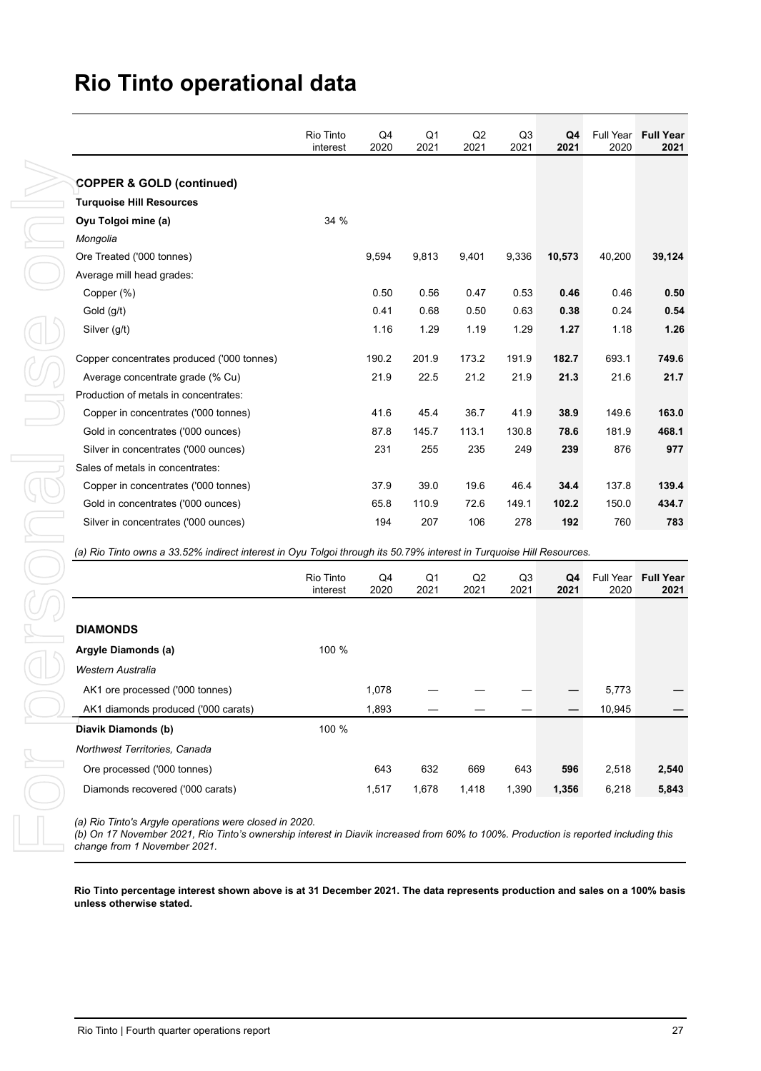| <b>COPPER &amp; GOLD (continued)</b><br><b>Turquoise Hill Resources</b><br>Oyu Tolgoi mine (a)<br>Mongolia<br>Ore Treated ('000 tonnes)<br>Average mill head grades:<br>Copper (%)<br>Gold (g/t)<br>Silver (g/t) | 34 %                  | 9,594        |              |            |                        |            |                   |
|------------------------------------------------------------------------------------------------------------------------------------------------------------------------------------------------------------------|-----------------------|--------------|--------------|------------|------------------------|------------|-------------------|
|                                                                                                                                                                                                                  |                       |              |              |            |                        |            |                   |
|                                                                                                                                                                                                                  |                       |              |              |            |                        |            |                   |
|                                                                                                                                                                                                                  |                       |              |              |            |                        |            |                   |
|                                                                                                                                                                                                                  |                       |              |              |            |                        |            |                   |
|                                                                                                                                                                                                                  |                       |              |              |            |                        |            |                   |
|                                                                                                                                                                                                                  |                       |              | 9,813        | 9,401      | 9,336                  | 10,573     | 40,200            |
|                                                                                                                                                                                                                  |                       |              |              |            |                        |            |                   |
|                                                                                                                                                                                                                  |                       | 0.50<br>0.41 | 0.56<br>0.68 | 0.47       | 0.53                   | 0.46       | 0.46              |
|                                                                                                                                                                                                                  |                       |              |              | 0.50       | 0.63                   | 0.38       | 0.24              |
|                                                                                                                                                                                                                  |                       | 1.16         | 1.29         | 1.19       | 1.29                   | 1.27       | 1.18              |
| Copper concentrates produced ('000 tonnes)                                                                                                                                                                       |                       | 190.2        | 201.9        | 173.2      | 191.9                  | 182.7      | 693.1             |
| Average concentrate grade (% Cu)                                                                                                                                                                                 |                       | 21.9         | 22.5         | 21.2       | 21.9                   | 21.3       | 21.6              |
| Production of metals in concentrates:                                                                                                                                                                            |                       |              |              |            |                        |            |                   |
| Copper in concentrates ('000 tonnes)                                                                                                                                                                             |                       | 41.6         | 45.4         | 36.7       | 41.9                   | 38.9       | 149.6             |
| Gold in concentrates ('000 ounces)                                                                                                                                                                               |                       | 87.8         | 145.7        | 113.1      | 130.8                  | 78.6       | 181.9             |
| Silver in concentrates ('000 ounces)                                                                                                                                                                             |                       | 231          | 255          | 235        | 249                    | 239        | 876               |
| Sales of metals in concentrates:                                                                                                                                                                                 |                       |              |              |            |                        |            |                   |
| Copper in concentrates ('000 tonnes)                                                                                                                                                                             |                       | 37.9         | 39.0         | 19.6       | 46.4                   | 34.4       | 137.8             |
| Gold in concentrates ('000 ounces)                                                                                                                                                                               |                       | 65.8         | 110.9        | 72.6       | 149.1                  | 102.2      | 150.0             |
| Silver in concentrates ('000 ounces)                                                                                                                                                                             |                       | 194          | 207          | 106        | 278                    | 192        | 760               |
| (a) Rio Tinto owns a 33.52% indirect interest in Oyu Tolgoi through its 50.79% interest in Turquoise Hill Resources.                                                                                             | Rio Tinto<br>interest | Q4<br>2020   | Q1<br>2021   | Q2<br>2021 | Q <sub>3</sub><br>2021 | Q4<br>2021 | Full Year<br>2020 |
|                                                                                                                                                                                                                  |                       |              |              |            |                        |            |                   |
| <b>DIAMONDS</b>                                                                                                                                                                                                  |                       |              |              |            |                        |            |                   |
| Argyle Diamonds (a)                                                                                                                                                                                              | 100 %                 |              |              |            |                        |            |                   |
| Western Australia                                                                                                                                                                                                |                       |              |              |            |                        |            |                   |
| AK1 ore processed ('000 tonnes)                                                                                                                                                                                  |                       | 1,078        |              |            |                        |            | 5,773             |
| AK1 diamonds produced ('000 carats)                                                                                                                                                                              |                       | 1,893        |              |            |                        |            | 10,945            |
| Diavik Diamonds (b)                                                                                                                                                                                              | 100 %                 |              |              |            |                        |            |                   |
| Northwest Territories, Canada                                                                                                                                                                                    |                       |              |              |            |                        |            |                   |
| Ore processed ('000 tonnes)                                                                                                                                                                                      |                       | 643          | 632          | 669        | 643                    | 596        | 2,518             |

|                                     | Rio Tinto<br>interest | Q4<br>2020 | Q1<br>2021 | Q2<br>2021 | Q3<br>2021 | Q4<br>2021 | 2020   | Full Year Full Year<br>2021 |
|-------------------------------------|-----------------------|------------|------------|------------|------------|------------|--------|-----------------------------|
|                                     |                       |            |            |            |            |            |        |                             |
| <b>DIAMONDS</b>                     |                       |            |            |            |            |            |        |                             |
| Argyle Diamonds (a)                 | 100 %                 |            |            |            |            |            |        |                             |
| Western Australia                   |                       |            |            |            |            |            |        |                             |
| AK1 ore processed ('000 tonnes)     |                       | 1,078      |            |            |            |            | 5,773  |                             |
| AK1 diamonds produced ('000 carats) |                       | 1,893      |            |            |            |            | 10,945 |                             |
| Diavik Diamonds (b)                 | 100 %                 |            |            |            |            |            |        |                             |
| Northwest Territories, Canada       |                       |            |            |            |            |            |        |                             |
| Ore processed ('000 tonnes)         |                       | 643        | 632        | 669        | 643        | 596        | 2,518  | 2,540                       |
| Diamonds recovered ('000 carats)    |                       | 1,517      | 1,678      | 1,418      | 1,390      | 1,356      | 6,218  | 5,843                       |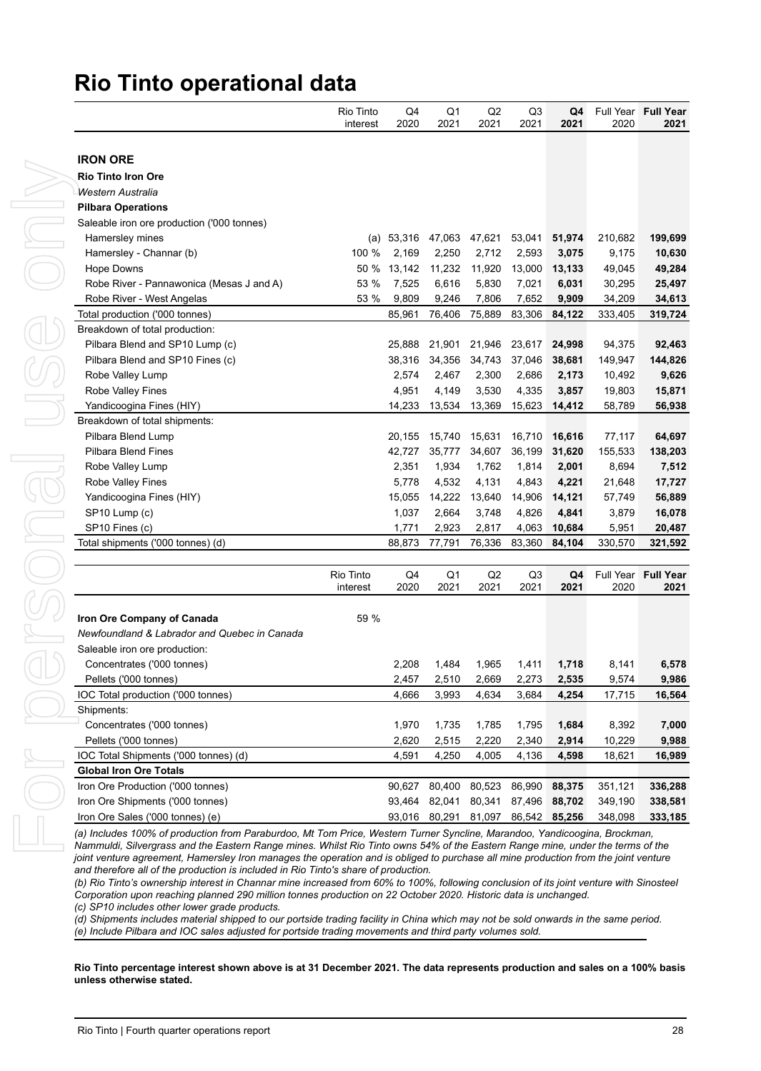| <b>IRON ORE</b><br><b>Rio Tinto Iron Ore</b><br>Western Australia<br><b>Pilbara Operations</b><br>Saleable iron ore production ('000 tonnes) |                       |                 | 2021                   | 2021            | 2021                   | 2021             | 2020                                                  |
|----------------------------------------------------------------------------------------------------------------------------------------------|-----------------------|-----------------|------------------------|-----------------|------------------------|------------------|-------------------------------------------------------|
|                                                                                                                                              |                       |                 |                        |                 |                        |                  |                                                       |
|                                                                                                                                              |                       |                 |                        |                 |                        |                  |                                                       |
|                                                                                                                                              |                       |                 |                        |                 |                        |                  |                                                       |
|                                                                                                                                              |                       |                 |                        |                 |                        |                  |                                                       |
|                                                                                                                                              |                       |                 |                        |                 |                        |                  |                                                       |
|                                                                                                                                              |                       |                 |                        |                 |                        |                  |                                                       |
| Hamersley mines                                                                                                                              |                       | (a) 53,316      | 47,063                 | 47,621          | 53,041                 | 51,974           | 210,682                                               |
| Hamersley - Channar (b)                                                                                                                      | 100 %                 | 2,169           | 2,250                  | 2,712           | 2,593                  | 3,075            | 9,175                                                 |
| <b>Hope Downs</b>                                                                                                                            | 50 %                  | 13,142          | 11,232                 | 11,920          | 13,000                 | 13,133           | 49,045                                                |
| Robe River - Pannawonica (Mesas J and A)                                                                                                     | 53 %                  | 7,525           | 6,616                  | 5,830           | 7,021                  | 6,031            | 30,295                                                |
| Robe River - West Angelas                                                                                                                    | 53 %                  | 9,809           | 9,246                  | 7,806           | 7,652                  | 9,909            | 34,209                                                |
| Total production ('000 tonnes)                                                                                                               |                       | 85,961          | 76,406                 | 75,889          | 83,306                 | 84,122           | 333,405                                               |
| Breakdown of total production:                                                                                                               |                       |                 |                        |                 |                        |                  |                                                       |
| Pilbara Blend and SP10 Lump (c)                                                                                                              |                       | 25,888          | 21,901                 | 21,946          | 23,617                 | 24,998           | 94,375                                                |
| Pilbara Blend and SP10 Fines (c)                                                                                                             |                       | 38,316          | 34,356                 | 34,743          | 37,046                 | 38,681           | 149,947                                               |
| Robe Valley Lump                                                                                                                             |                       | 2,574           | 2,467                  | 2,300           | 2,686                  | 2,173            | 10,492                                                |
| Robe Valley Fines                                                                                                                            |                       | 4,951           | 4,149                  | 3,530           | 4,335                  | 3,857            | 19,803                                                |
| Yandicoogina Fines (HIY)                                                                                                                     |                       | 14,233          | 13,534                 | 13,369          | 15,623                 | 14,412           | 58,789                                                |
| Breakdown of total shipments:                                                                                                                |                       |                 |                        |                 |                        |                  |                                                       |
| Pilbara Blend Lump                                                                                                                           |                       | 20,155          | 15,740                 | 15,631          | 16,710                 | 16,616           | 77,117                                                |
| <b>Pilbara Blend Fines</b>                                                                                                                   |                       | 42,727          | 35,777                 | 34,607          | 36,199                 | 31,620           | 155,533                                               |
| Robe Valley Lump                                                                                                                             |                       | 2,351           | 1,934                  | 1,762           | 1,814                  | 2,001            | 8,694                                                 |
| Robe Valley Fines                                                                                                                            |                       | 5,778           | 4,532                  | 4,131           | 4,843                  | 4,221            | 21,648                                                |
|                                                                                                                                              |                       | 15,055          | 14,222                 |                 |                        |                  |                                                       |
| Yandicoogina Fines (HIY)                                                                                                                     |                       |                 |                        | 13,640          | 14,906                 | 14,121           | 57,749                                                |
| SP10 Lump (c)                                                                                                                                |                       | 1,037           | 2,664                  | 3,748           | 4,826                  | 4,841            | 3,879                                                 |
| SP10 Fines (c)<br>Total shipments ('000 tonnes) (d)                                                                                          |                       | 1,771<br>88,873 | 2,923<br>77,791        | 2,817<br>76,336 | 4,063<br>83,360        | 10,684<br>84,104 | 5,951<br>330,570                                      |
|                                                                                                                                              |                       |                 |                        |                 |                        |                  |                                                       |
|                                                                                                                                              | Rio Tinto<br>interest | Q4<br>2020      | Q <sub>1</sub><br>2021 | Q2<br>2021      | Q <sub>3</sub><br>2021 | Q4<br>2021       | Full Year<br>2020                                     |
|                                                                                                                                              |                       |                 |                        |                 |                        |                  |                                                       |
|                                                                                                                                              |                       |                 |                        |                 |                        |                  |                                                       |
| Iron Ore Company of Canada                                                                                                                   | 59 %                  |                 |                        |                 |                        |                  |                                                       |
| Newfoundland & Labrador and Quebec in Canada                                                                                                 |                       |                 |                        |                 |                        |                  |                                                       |
| Saleable iron ore production:                                                                                                                |                       |                 |                        |                 |                        |                  |                                                       |
| Concentrates ('000 tonnes)                                                                                                                   |                       | 2,208           | 1,484                  | 1,965           | 1,411                  | 1,718            |                                                       |
| Pellets ('000 tonnes)                                                                                                                        |                       | 2,457           | 2,510                  | 2,669           | 2,273                  | 2,535            |                                                       |
| IOC Total production ('000 tonnes)                                                                                                           |                       | 4,666           | 3,993                  | 4,634           | 3,684                  | 4,254            |                                                       |
| Shipments:                                                                                                                                   |                       |                 |                        |                 |                        |                  |                                                       |
| Concentrates ('000 tonnes)                                                                                                                   |                       | 1,970           | 1,735                  | 1,785           | 1,795                  | 1,684            |                                                       |
| Pellets ('000 tonnes)                                                                                                                        |                       | 2,620           | 2,515                  | 2,220           | 2,340                  | 2,914            |                                                       |
| IOC Total Shipments ('000 tonnes) (d)                                                                                                        |                       | 4,591           | 4,250                  | 4,005           | 4,136                  | 4,598            | 8,141<br>9,574<br>17,715<br>8,392<br>10,229<br>18,621 |
| <b>Global Iron Ore Totals</b>                                                                                                                |                       |                 |                        |                 |                        |                  |                                                       |
| Iron Ore Production ('000 tonnes)                                                                                                            |                       | 90,627          | 80,400                 | 80,523          | 86,990                 | 88,375           |                                                       |
| Iron Ore Shipments ('000 tonnes)                                                                                                             |                       | 93.464          | 82,041                 | 80,341          | 87,496                 | 88,702           | 351,121<br>349,190                                    |